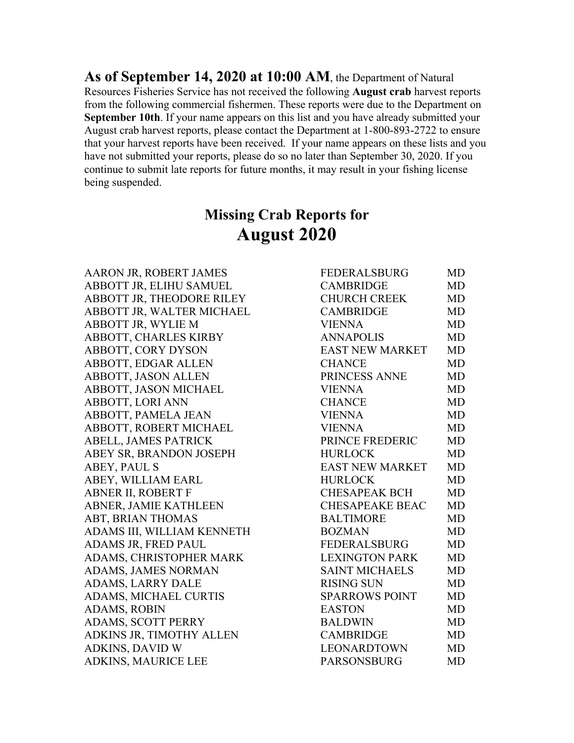**As of September 14, 2020 at 10:00 AM**, the Department of Natural Resources Fisheries Service has not received the following **August crab** harvest reports from the following commercial fishermen. These reports were due to the Department on **September 10th**. If your name appears on this list and you have already submitted your August crab harvest reports, please contact the Department at 1-800-893-2722 to ensure that your harvest reports have been received. If your name appears on these lists and you have not submitted your reports, please do so no later than September 30, 2020. If you continue to submit late reports for future months, it may result in your fishing license being suspended.

# **Missing Crab Reports for August 2020**

AARON JR, ROBERT JAMES ABBOTT JR, ELIHU SAMUEL ABBOTT JR, THEODORE RILEY ABBOTT JR, WALTER MICHAEL ABBOTT JR, WYLIE M ABBOTT, CHARLES KIRBY ABBOTT, CORY DYSON ABBOTT, EDGAR ALLEN ABBOTT, JASON ALLEN ABBOTT, JASON MICHAEL ABBOTT, LORI ANN ABBOTT, PAMELA JEAN ABBOTT, ROBERT MICHAEL ABELL, JAMES PATRICK ABEY SR, BRANDON JOSEPH ABEY, PAUL S ABEY, WILLIAM EARL ABNER II, ROBERT F ABNER, JAMIE KATHLEEN ABT, BRIAN THOMAS ADAMS III, WILLIAM KENNETH ADAMS JR, FRED PAUL ADAMS, CHRISTOPHER MARK ADAMS, JAMES NORMAN ADAMS, LARRY DALE ADAMS, MICHAEL CURTIS ADAMS, ROBIN ADAMS, SCOTT PERRY ADKINS JR, TIMOTHY ALLEN ADKINS, DAVID W ADKINS, MAURICE LEE PARSONSBURG

| <b>FEDERALSBURG</b>    | <b>MD</b> |
|------------------------|-----------|
| <b>CAMBRIDGE</b>       | <b>MD</b> |
| <b>CHURCH CREEK</b>    | <b>MD</b> |
| <b>CAMBRIDGE</b>       | <b>MD</b> |
| <b>VIENNA</b>          | <b>MD</b> |
| <b>ANNAPOLIS</b>       | <b>MD</b> |
| <b>EAST NEW MARKET</b> | <b>MD</b> |
| <b>CHANCE</b>          | <b>MD</b> |
| PRINCESS ANNE          | <b>MD</b> |
| <b>VIENNA</b>          | MD        |
| <b>CHANCE</b>          | <b>MD</b> |
| <b>VIENNA</b>          | <b>MD</b> |
| <b>VIENNA</b>          | <b>MD</b> |
| PRINCE FREDERIC        | <b>MD</b> |
| <b>HURLOCK</b>         | <b>MD</b> |
| <b>EAST NEW MARKET</b> | <b>MD</b> |
| <b>HURLOCK</b>         | <b>MD</b> |
| <b>CHESAPEAK BCH</b>   | <b>MD</b> |
| <b>CHESAPEAKE BEAC</b> | MD        |
| <b>BALTIMORE</b>       | <b>MD</b> |
| <b>BOZMAN</b>          | <b>MD</b> |
| <b>FEDERALSBURG</b>    | <b>MD</b> |
| <b>LEXINGTON PARK</b>  | MD        |
| <b>SAINT MICHAELS</b>  | <b>MD</b> |
| <b>RISING SUN</b>      | <b>MD</b> |
| <b>SPARROWS POINT</b>  | <b>MD</b> |
| <b>EASTON</b>          | <b>MD</b> |
| <b>BALDWIN</b>         | <b>MD</b> |
| <b>CAMBRIDGE</b>       | <b>MD</b> |
| <b>LEONARDTOWN</b>     | MD        |
| <b>PARSONSRURG</b>     | MD        |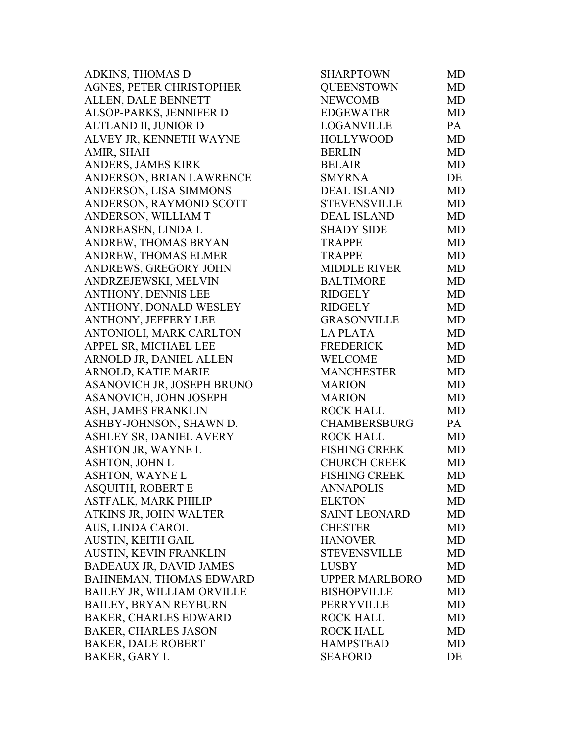| <b>ADKINS, THOMAS D</b>        | <b>SHARPTOWN</b>      | MD        |
|--------------------------------|-----------------------|-----------|
| AGNES, PETER CHRISTOPHER       | <b>QUEENSTOWN</b>     | MD        |
| ALLEN, DALE BENNETT            | <b>NEWCOMB</b>        | <b>MD</b> |
| ALSOP-PARKS, JENNIFER D        | <b>EDGEWATER</b>      | <b>MD</b> |
| ALTLAND II, JUNIOR D           | <b>LOGANVILLE</b>     | PA        |
| ALVEY JR, KENNETH WAYNE        | <b>HOLLYWOOD</b>      | <b>MD</b> |
| AMIR, SHAH                     | <b>BERLIN</b>         | <b>MD</b> |
| ANDERS, JAMES KIRK             | <b>BELAIR</b>         | <b>MD</b> |
| ANDERSON, BRIAN LAWRENCE       | <b>SMYRNA</b>         | DE        |
| ANDERSON, LISA SIMMONS         | <b>DEAL ISLAND</b>    | <b>MD</b> |
| ANDERSON, RAYMOND SCOTT        | <b>STEVENSVILLE</b>   | MD        |
| ANDERSON, WILLIAM T            | <b>DEAL ISLAND</b>    | MD        |
| ANDREASEN, LINDA L             | <b>SHADY SIDE</b>     | MD        |
| ANDREW, THOMAS BRYAN           | <b>TRAPPE</b>         | <b>MD</b> |
| ANDREW, THOMAS ELMER           | <b>TRAPPE</b>         | MD        |
| ANDREWS, GREGORY JOHN          | <b>MIDDLE RIVER</b>   | MD        |
| ANDRZEJEWSKI, MELVIN           | <b>BALTIMORE</b>      | MD        |
| ANTHONY, DENNIS LEE            | <b>RIDGELY</b>        | MD        |
| ANTHONY, DONALD WESLEY         | <b>RIDGELY</b>        | MD        |
| ANTHONY, JEFFERY LEE           | <b>GRASONVILLE</b>    | MD        |
| ANTONIOLI, MARK CARLTON        | <b>LA PLATA</b>       | MD        |
| APPEL SR, MICHAEL LEE          | <b>FREDERICK</b>      | MD        |
| ARNOLD JR, DANIEL ALLEN        | <b>WELCOME</b>        | MD        |
| ARNOLD, KATIE MARIE            | <b>MANCHESTER</b>     | MD        |
| ASANOVICH JR, JOSEPH BRUNO     | <b>MARION</b>         | MD        |
| ASANOVICH, JOHN JOSEPH         | <b>MARION</b>         | MD        |
| ASH, JAMES FRANKLIN            | <b>ROCK HALL</b>      | <b>MD</b> |
| ASHBY-JOHNSON, SHAWN D.        | <b>CHAMBERSBURG</b>   | PA        |
| ASHLEY SR, DANIEL AVERY        | <b>ROCK HALL</b>      | MD        |
| ASHTON JR, WAYNE L             | <b>FISHING CREEK</b>  | MD        |
| ASHTON, JOHN L                 | <b>CHURCH CREEK</b>   | MD        |
| <b>ASHTON, WAYNE L</b>         | <b>FISHING CREEK</b>  | MD        |
| ASQUITH, ROBERT E              | <b>ANNAPOLIS</b>      | MD        |
| <b>ASTFALK, MARK PHILIP</b>    | <b>ELKTON</b>         | MD        |
| ATKINS JR, JOHN WALTER         | <b>SAINT LEONARD</b>  | MD        |
| AUS, LINDA CAROL               | <b>CHESTER</b>        | MD        |
| AUSTIN, KEITH GAIL             | <b>HANOVER</b>        | MD        |
| AUSTIN, KEVIN FRANKLIN         | <b>STEVENSVILLE</b>   | MD        |
| <b>BADEAUX JR, DAVID JAMES</b> | <b>LUSBY</b>          | MD        |
| BAHNEMAN, THOMAS EDWARD        | <b>UPPER MARLBORO</b> | MD        |
| BAILEY JR, WILLIAM ORVILLE     | <b>BISHOPVILLE</b>    | MD        |
| BAILEY, BRYAN REYBURN          | PERRYVILLE            | MD        |
| <b>BAKER, CHARLES EDWARD</b>   | <b>ROCK HALL</b>      | MD        |
| <b>BAKER, CHARLES JASON</b>    | <b>ROCK HALL</b>      | MD        |
| <b>BAKER, DALE ROBERT</b>      | <b>HAMPSTEAD</b>      | MD        |
| <b>BAKER, GARY L</b>           | <b>SEAFORD</b>        | DE        |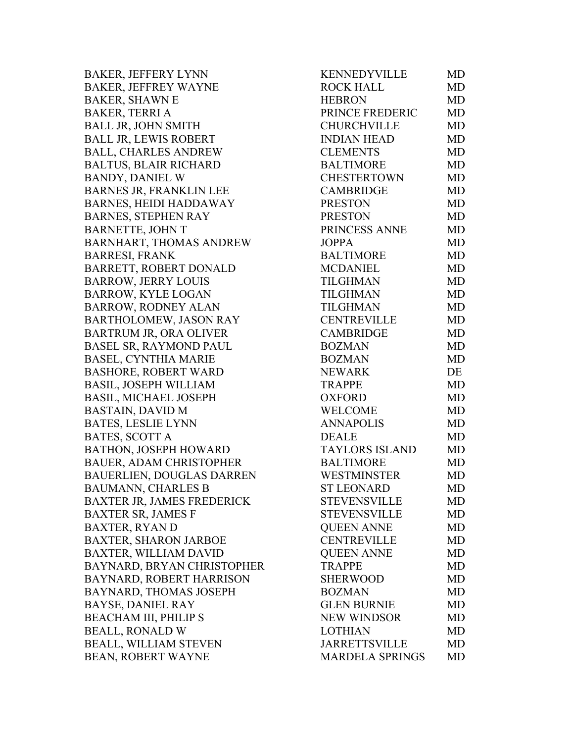BAKER, JEFFERY LYNN BAKER, JEFFREY WAYNE BAKER, SHAWN E BAKER, TERRI A BALL JR, JOHN SMITH BALL JR, LEWIS ROBERT BALL, CHARLES ANDREW BALTUS, BLAIR RICHARD BANDY, DANIEL W BARNES JR, FRANKLIN LEE BARNES, HEIDI HADDAWAY BARNES, STEPHEN RAY BARNETTE, JOHN T BARNHART, THOMAS ANDREW BARRESI, FRANK BARRETT, ROBERT DONALD BARROW, JERRY LOUIS BARROW, KYLE LOGAN BARROW, RODNEY ALAN BARTHOLOMEW, JASON RAY BARTRUM JR, ORA OLIVER BASEL SR, RAYMOND PAUL BASEL, CYNTHIA MARIE BASHORE, ROBERT WARD BASIL, JOSEPH WILLIAM BASIL, MICHAEL JOSEPH BASTAIN, DAVID M BATES, LESLIE LYNN BATES, SCOTT A BATHON, JOSEPH HOWARD BAUER, ADAM CHRISTOPHER BAUERLIEN, DOUGLAS DARREN BAUMANN, CHARLES B BAXTER JR, JAMES FREDERICK BAXTER SR, JAMES F BAXTER, RYAN D BAXTER, SHARON JARBOE BAXTER, WILLIAM DAVID BAYNARD, BRYAN CHRISTOPHER BAYNARD, ROBERT HARRISON BAYNARD, THOMAS JOSEPH BAYSE, DANIEL RAY BEACHAM III, PHILIP S BEALL, RONALD W BEALL, WILLIAM STEVEN BEAN, ROBERT WAYNE

| <b>KENNEDYVILLE</b>    | MD        |
|------------------------|-----------|
| <b>ROCK HALL</b>       | <b>MD</b> |
| <b>HEBRON</b>          | <b>MD</b> |
| PRINCE FREDERIC        | <b>MD</b> |
| <b>CHURCHVILLE</b>     | <b>MD</b> |
| <b>INDIAN HEAD</b>     | <b>MD</b> |
| <b>CLEMENTS</b>        | <b>MD</b> |
| <b>BALTIMORE</b>       | <b>MD</b> |
| CHESTERTOWN            | <b>MD</b> |
| <b>CAMBRIDGE</b>       | <b>MD</b> |
| <b>PRESTON</b>         | <b>MD</b> |
| <b>PRESTON</b>         | <b>MD</b> |
| PRINCESS ANNE          | <b>MD</b> |
| <b>JOPPA</b>           | <b>MD</b> |
| <b>BALTIMORE</b>       | <b>MD</b> |
| <b>MCDANIEL</b>        | <b>MD</b> |
| <b>TILGHMAN</b>        | <b>MD</b> |
| <b>TILGHMAN</b>        | <b>MD</b> |
| <b>TILGHMAN</b>        | <b>MD</b> |
| <b>CENTREVILLE</b>     | <b>MD</b> |
| <b>CAMBRIDGE</b>       | <b>MD</b> |
| <b>BOZMAN</b>          | <b>MD</b> |
| <b>BOZMAN</b>          | <b>MD</b> |
| <b>NEWARK</b>          | DE        |
| <b>TRAPPE</b>          | <b>MD</b> |
| <b>OXFORD</b>          | <b>MD</b> |
| <b>WELCOME</b>         | <b>MD</b> |
| <b>ANNAPOLIS</b>       | <b>MD</b> |
| <b>DEALE</b>           | <b>MD</b> |
| <b>TAYLORS ISLAND</b>  | <b>MD</b> |
| <b>BALTIMORE</b>       | <b>MD</b> |
| <b>WESTMINSTER</b>     | MD        |
| <b>ST LEONARD</b>      | MD        |
| <b>STEVENSVILLE</b>    | MD        |
| <b>STEVENSVILLE</b>    | <b>MD</b> |
| <b>OUEEN ANNE</b>      | <b>MD</b> |
| <b>CENTREVILLE</b>     | <b>MD</b> |
| <b>QUEEN ANNE</b>      | <b>MD</b> |
| <b>TRAPPE</b>          | <b>MD</b> |
| <b>SHERWOOD</b>        | <b>MD</b> |
| <b>BOZMAN</b>          | <b>MD</b> |
| <b>GLEN BURNIE</b>     | MD        |
| <b>NEW WINDSOR</b>     | <b>MD</b> |
| <b>LOTHIAN</b>         | <b>MD</b> |
| <b>JARRETTSVILLE</b>   | <b>MD</b> |
| <b>MARDELA SPRINGS</b> | MD        |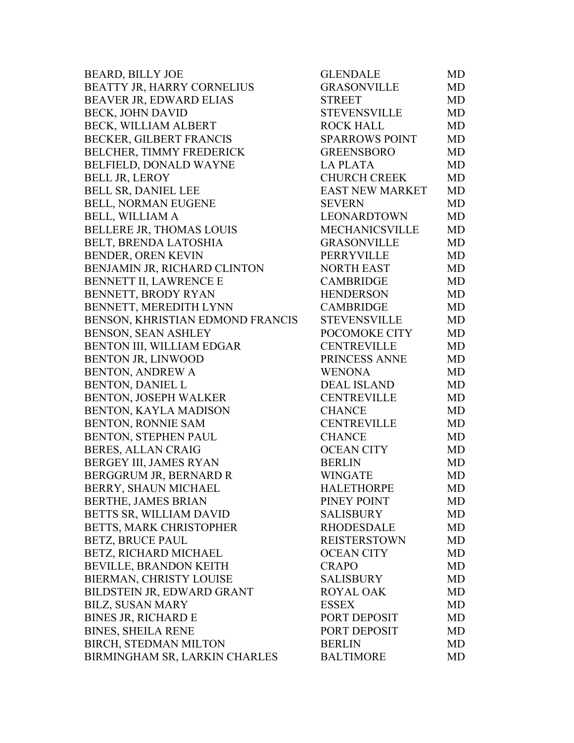| <b>BEARD, BILLY JOE</b>          | <b>GLENDALE</b>        | MD |
|----------------------------------|------------------------|----|
| BEATTY JR, HARRY CORNELIUS       | <b>GRASONVILLE</b>     | MD |
| BEAVER JR, EDWARD ELIAS          | <b>STREET</b>          | MD |
| <b>BECK, JOHN DAVID</b>          | <b>STEVENSVILLE</b>    | MD |
| BECK, WILLIAM ALBERT             | <b>ROCK HALL</b>       | MD |
| <b>BECKER, GILBERT FRANCIS</b>   | <b>SPARROWS POINT</b>  | MD |
| BELCHER, TIMMY FREDERICK         | <b>GREENSBORO</b>      | MD |
| BELFIELD, DONALD WAYNE           | <b>LAPLATA</b>         | MD |
| <b>BELL JR, LEROY</b>            | <b>CHURCH CREEK</b>    | MD |
| <b>BELL SR, DANIEL LEE</b>       | <b>EAST NEW MARKET</b> | MD |
| BELL, NORMAN EUGENE              | <b>SEVERN</b>          | MD |
| <b>BELL, WILLIAM A</b>           | LEONARDTOWN            | MD |
| <b>BELLERE JR, THOMAS LOUIS</b>  | <b>MECHANICSVILLE</b>  | MD |
| BELT, BRENDA LATOSHIA            | <b>GRASONVILLE</b>     | MD |
| BENDER, OREN KEVIN               | PERRYVILLE             | MD |
| BENJAMIN JR, RICHARD CLINTON     | <b>NORTH EAST</b>      | MD |
| BENNETT II, LAWRENCE E           | CAMBRIDGE              | MD |
| BENNETT, BRODY RYAN              | <b>HENDERSON</b>       | MD |
| BENNETT, MEREDITH LYNN           | <b>CAMBRIDGE</b>       | MD |
| BENSON, KHRISTIAN EDMOND FRANCIS | <b>STEVENSVILLE</b>    | MD |
| BENSON, SEAN ASHLEY              | POCOMOKE CITY          | MD |
| BENTON III, WILLIAM EDGAR        | <b>CENTREVILLE</b>     | MD |
| <b>BENTON JR, LINWOOD</b>        | PRINCESS ANNE          | MD |
| <b>BENTON, ANDREW A</b>          | <b>WENONA</b>          | MD |
| <b>BENTON, DANIEL L</b>          | <b>DEAL ISLAND</b>     | MD |
| BENTON, JOSEPH WALKER            | <b>CENTREVILLE</b>     | MD |
| BENTON, KAYLA MADISON            | <b>CHANCE</b>          | MD |
| <b>BENTON, RONNIE SAM</b>        | <b>CENTREVILLE</b>     | MD |
| BENTON, STEPHEN PAUL             | <b>CHANCE</b>          | MD |
| <b>BERES, ALLAN CRAIG</b>        | <b>OCEAN CITY</b>      | MD |
| BERGEY III, JAMES RYAN           | <b>BERLIN</b>          | MD |
| BERGGRUM JR, BERNARD R           | <b>WINGATE</b>         | MD |
| BERRY, SHAUN MICHAEL             | <b>HALETHORPE</b>      | MD |
| BERTHE, JAMES BRIAN              | PINEY POINT            | MD |
| BETTS SR, WILLIAM DAVID          | <b>SALISBURY</b>       | MD |
| BETTS, MARK CHRISTOPHER          | <b>RHODESDALE</b>      | MD |
| <b>BETZ, BRUCE PAUL</b>          | <b>REISTERSTOWN</b>    | MD |
| BETZ, RICHARD MICHAEL            | <b>OCEAN CITY</b>      | MD |
| BEVILLE, BRANDON KEITH           | <b>CRAPO</b>           | MD |
| BIERMAN, CHRISTY LOUISE          | SALISBURY              | MD |
| BILDSTEIN JR, EDWARD GRANT       | <b>ROYAL OAK</b>       | MD |
| <b>BILZ, SUSAN MARY</b>          | <b>ESSEX</b>           | MD |
| <b>BINES JR, RICHARD E</b>       | PORT DEPOSIT           | MD |
| <b>BINES, SHEILA RENE</b>        | PORT DEPOSIT           | MD |
| BIRCH, STEDMAN MILTON            | <b>BERLIN</b>          | MD |
| BIRMINGHAM SR, LARKIN CHARLES    | <b>BALTIMORE</b>       | MD |
|                                  |                        |    |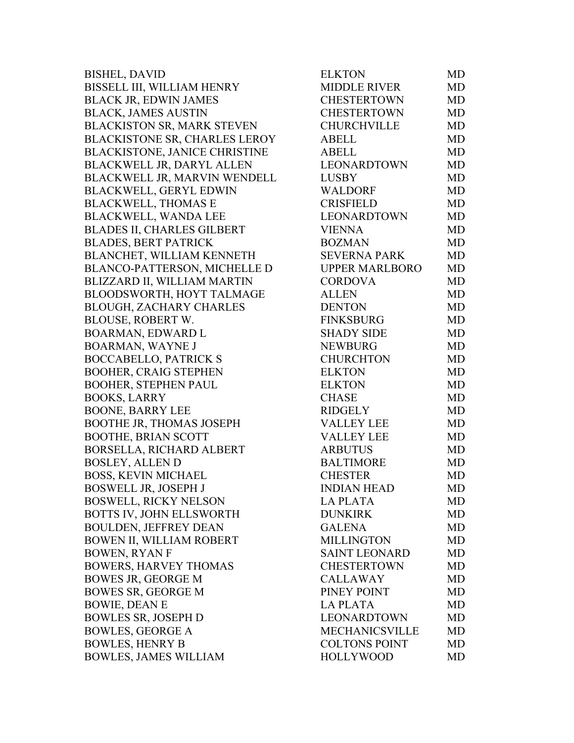| <b>BISHEL, DAVID</b>                 | <b>ELKTON</b>         | MD        |
|--------------------------------------|-----------------------|-----------|
| BISSELL III, WILLIAM HENRY           | <b>MIDDLE RIVER</b>   | MD.       |
| <b>BLACK JR, EDWIN JAMES</b>         | <b>CHESTERTOWN</b>    | MD        |
| <b>BLACK, JAMES AUSTIN</b>           | <b>CHESTERTOWN</b>    | MD        |
| <b>BLACKISTON SR, MARK STEVEN</b>    | <b>CHURCHVILLE</b>    | MD        |
| <b>BLACKISTONE SR, CHARLES LEROY</b> | <b>ABELL</b>          | <b>MD</b> |
| <b>BLACKISTONE, JANICE CHRISTINE</b> | <b>ABELL</b>          | MD        |
| <b>BLACKWELL JR, DARYL ALLEN</b>     | LEONARDTOWN           | MD        |
| BLACKWELL JR, MARVIN WENDELL         | <b>LUSBY</b>          | MD        |
| <b>BLACKWELL, GERYL EDWIN</b>        | WALDORF               | MD        |
| <b>BLACKWELL, THOMAS E</b>           | <b>CRISFIELD</b>      | MD        |
| <b>BLACKWELL, WANDA LEE</b>          | LEONARDTOWN           | MD        |
| BLADES II, CHARLES GILBERT           | <b>VIENNA</b>         | MD        |
| <b>BLADES, BERT PATRICK</b>          | <b>BOZMAN</b>         | MD        |
| BLANCHET, WILLIAM KENNETH            | <b>SEVERNA PARK</b>   | MD        |
| <b>BLANCO-PATTERSON, MICHELLE D</b>  | <b>UPPER MARLBORO</b> | MD        |
| BLIZZARD II, WILLIAM MARTIN          | <b>CORDOVA</b>        | MD        |
| BLOODSWORTH, HOYT TALMAGE            | <b>ALLEN</b>          | MD        |
| <b>BLOUGH, ZACHARY CHARLES</b>       | <b>DENTON</b>         | <b>MD</b> |
| <b>BLOUSE, ROBERT W.</b>             | <b>FINKSBURG</b>      | MD        |
| <b>BOARMAN, EDWARD L</b>             | <b>SHADY SIDE</b>     | MD        |
| <b>BOARMAN, WAYNE J</b>              | <b>NEWBURG</b>        | MD        |
| <b>BOCCABELLO, PATRICK S</b>         | <b>CHURCHTON</b>      | MD        |
| <b>BOOHER, CRAIG STEPHEN</b>         | <b>ELKTON</b>         | MD        |
| <b>BOOHER, STEPHEN PAUL</b>          | <b>ELKTON</b>         | MD        |
| <b>BOOKS, LARRY</b>                  | <b>CHASE</b>          | MD        |
| <b>BOONE, BARRY LEE</b>              | <b>RIDGELY</b>        | MD        |
| <b>BOOTHE JR, THOMAS JOSEPH</b>      | <b>VALLEY LEE</b>     | MD        |
| <b>BOOTHE, BRIAN SCOTT</b>           | <b>VALLEY LEE</b>     | MD        |
| BORSELLA, RICHARD ALBERT             | <b>ARBUTUS</b>        | MD        |
| <b>BOSLEY, ALLEN D</b>               | <b>BALTIMORE</b>      | MD        |
| <b>BOSS, KEVIN MICHAEL</b>           | <b>CHESTER</b>        | MD        |
| <b>BOSWELL JR, JOSEPH J</b>          | <b>INDIAN HEAD</b>    | MD        |
| <b>BOSWELL, RICKY NELSON</b>         | <b>LA PLATA</b>       | MD        |
| BOTTS IV, JOHN ELLSWORTH             | <b>DUNKIRK</b>        | MD        |
| <b>BOULDEN, JEFFREY DEAN</b>         | <b>GALENA</b>         | MD        |
| BOWEN II, WILLIAM ROBERT             | <b>MILLINGTON</b>     | MD        |
| <b>BOWEN, RYAN F</b>                 | <b>SAINT LEONARD</b>  | MD        |
| <b>BOWERS, HARVEY THOMAS</b>         | <b>CHESTERTOWN</b>    | <b>MD</b> |
| <b>BOWES JR, GEORGE M</b>            | <b>CALLAWAY</b>       | MD        |
| <b>BOWES SR, GEORGE M</b>            | PINEY POINT           | MD        |
| <b>BOWIE, DEAN E</b>                 | <b>LA PLATA</b>       | MD        |
| <b>BOWLES SR, JOSEPH D</b>           | LEONARDTOWN           | MD        |
| <b>BOWLES, GEORGE A</b>              | <b>MECHANICSVILLE</b> | MD        |
| <b>BOWLES, HENRY B</b>               | <b>COLTONS POINT</b>  | MD        |
| <b>BOWLES, JAMES WILLIAM</b>         | <b>HOLLYWOOD</b>      | MD        |
|                                      |                       |           |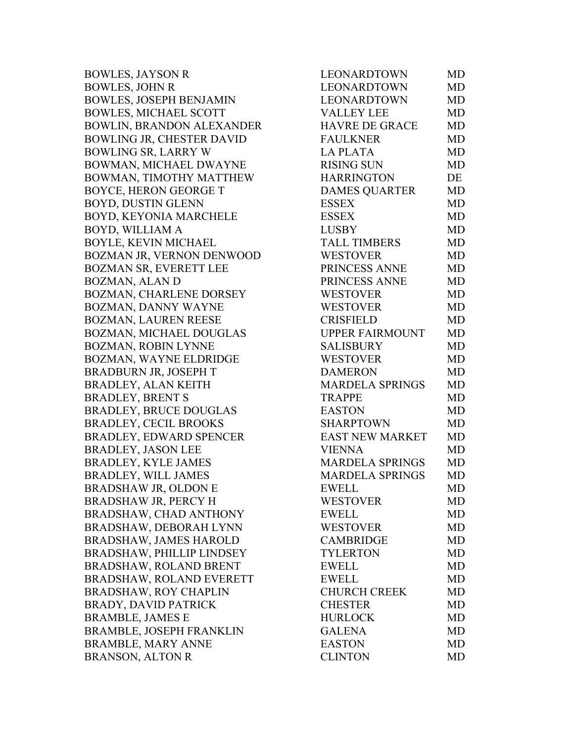| <b>BOWLES, JAYSON R</b>          | LEONARDTOWN            | <b>MD</b> |
|----------------------------------|------------------------|-----------|
| <b>BOWLES, JOHN R</b>            | <b>LEONARDTOWN</b>     | <b>MD</b> |
| <b>BOWLES, JOSEPH BENJAMIN</b>   | <b>LEONARDTOWN</b>     | <b>MD</b> |
| <b>BOWLES, MICHAEL SCOTT</b>     | <b>VALLEY LEE</b>      | <b>MD</b> |
| <b>BOWLIN, BRANDON ALEXANDER</b> | <b>HAVRE DE GRACE</b>  | <b>MD</b> |
| <b>BOWLING JR, CHESTER DAVID</b> | <b>FAULKNER</b>        | <b>MD</b> |
| BOWLING SR, LARRY W              | <b>LA PLATA</b>        | <b>MD</b> |
| BOWMAN, MICHAEL DWAYNE           | <b>RISING SUN</b>      | <b>MD</b> |
| BOWMAN, TIMOTHY MATTHEW          | <b>HARRINGTON</b>      | DE        |
| <b>BOYCE, HERON GEORGE T</b>     | <b>DAMES QUARTER</b>   | <b>MD</b> |
| <b>BOYD, DUSTIN GLENN</b>        | ESSEX                  | <b>MD</b> |
| BOYD, KEYONIA MARCHELE           | <b>ESSEX</b>           | <b>MD</b> |
| BOYD, WILLIAM A                  | <b>LUSBY</b>           | <b>MD</b> |
| <b>BOYLE, KEVIN MICHAEL</b>      | <b>TALL TIMBERS</b>    | <b>MD</b> |
| <b>BOZMAN JR, VERNON DENWOOD</b> | <b>WESTOVER</b>        | <b>MD</b> |
| <b>BOZMAN SR, EVERETT LEE</b>    | PRINCESS ANNE          | <b>MD</b> |
| BOZMAN, ALAN D                   | PRINCESS ANNE          | <b>MD</b> |
| <b>BOZMAN, CHARLENE DORSEY</b>   | <b>WESTOVER</b>        | <b>MD</b> |
| BOZMAN, DANNY WAYNE              | <b>WESTOVER</b>        | <b>MD</b> |
| BOZMAN, LAUREN REESE             | <b>CRISFIELD</b>       | <b>MD</b> |
| BOZMAN, MICHAEL DOUGLAS          | <b>UPPER FAIRMOUNT</b> | <b>MD</b> |
| BOZMAN, ROBIN LYNNE              | <b>SALISBURY</b>       | <b>MD</b> |
| BOZMAN, WAYNE ELDRIDGE           | <b>WESTOVER</b>        | <b>MD</b> |
| BRADBURN JR, JOSEPH T            | <b>DAMERON</b>         | <b>MD</b> |
| BRADLEY, ALAN KEITH              | <b>MARDELA SPRINGS</b> | MD        |
| <b>BRADLEY, BRENT S</b>          | <b>TRAPPE</b>          | <b>MD</b> |
| <b>BRADLEY, BRUCE DOUGLAS</b>    | <b>EASTON</b>          | <b>MD</b> |
| <b>BRADLEY, CECIL BROOKS</b>     | <b>SHARPTOWN</b>       | MD        |
| <b>BRADLEY, EDWARD SPENCER</b>   | <b>EAST NEW MARKET</b> | <b>MD</b> |
| <b>BRADLEY, JASON LEE</b>        | <b>VIENNA</b>          | <b>MD</b> |
| <b>BRADLEY, KYLE JAMES</b>       | <b>MARDELA SPRINGS</b> | <b>MD</b> |
| <b>BRADLEY, WILL JAMES</b>       | <b>MARDELA SPRINGS</b> | MD        |
| BRADSHAW JR, OLDON E             | EWELL                  | MD        |
| BRADSHAW JR, PERCY H             | <b>WESTOVER</b>        | MD        |
| <b>BRADSHAW, CHAD ANTHONY</b>    | <b>EWELL</b>           | MD        |
| BRADSHAW, DEBORAH LYNN           | <b>WESTOVER</b>        | MD        |
| BRADSHAW, JAMES HAROLD           | <b>CAMBRIDGE</b>       | <b>MD</b> |
| BRADSHAW, PHILLIP LINDSEY        | <b>TYLERTON</b>        | MD        |
| <b>BRADSHAW, ROLAND BRENT</b>    | <b>EWELL</b>           | MD        |
| <b>BRADSHAW, ROLAND EVERETT</b>  | <b>EWELL</b>           | <b>MD</b> |
| BRADSHAW, ROY CHAPLIN            | <b>CHURCH CREEK</b>    | MD        |
| BRADY, DAVID PATRICK             | <b>CHESTER</b>         | MD        |
| <b>BRAMBLE, JAMES E</b>          | <b>HURLOCK</b>         | MD        |
| <b>BRAMBLE, JOSEPH FRANKLIN</b>  | <b>GALENA</b>          | MD        |
| <b>BRAMBLE, MARY ANNE</b>        | <b>EASTON</b>          | MD        |
| BRANSON, ALTON R                 | <b>CLINTON</b>         | <b>MD</b> |
|                                  |                        |           |

| LEONARDTOWN            | MD        |
|------------------------|-----------|
| <b>LEONARDTOWN</b>     | <b>MD</b> |
| LEONARDTOWN            | <b>MD</b> |
| <b>VALLEY LEE</b>      | <b>MD</b> |
| <b>HAVRE DE GRACE</b>  | <b>MD</b> |
| <b>FAULKNER</b>        | <b>MD</b> |
| <b>LA PLATA</b>        | <b>MD</b> |
| <b>RISING SUN</b>      | <b>MD</b> |
| <b>HARRINGTON</b>      | DE        |
| <b>DAMES QUARTER</b>   | <b>MD</b> |
| <b>ESSEX</b>           | <b>MD</b> |
| <b>ESSEX</b>           | <b>MD</b> |
| <b>LUSBY</b>           | <b>MD</b> |
| <b>TALL TIMBERS</b>    | <b>MD</b> |
| <b>WESTOVER</b>        | <b>MD</b> |
| PRINCESS ANNE          | <b>MD</b> |
| PRINCESS ANNE          | MD        |
| <b>WESTOVER</b>        | <b>MD</b> |
| <b>WESTOVER</b>        | <b>MD</b> |
| <b>CRISFIELD</b>       | <b>MD</b> |
| <b>UPPER FAIRMOUNT</b> | <b>MD</b> |
| SALISBURY              | <b>MD</b> |
| <b>WESTOVER</b>        | <b>MD</b> |
| <b>DAMERON</b>         | <b>MD</b> |
| <b>MARDELA SPRINGS</b> | <b>MD</b> |
| <b>TRAPPE</b>          | MD        |
| <b>EASTON</b>          | <b>MD</b> |
| <b>SHARPTOWN</b>       | <b>MD</b> |
| <b>EAST NEW MARKET</b> | <b>MD</b> |
| <b>VIENNA</b>          | <b>MD</b> |
| <b>MARDELA SPRINGS</b> | <b>MD</b> |
| <b>MARDELA SPRINGS</b> | <b>MD</b> |
| <b>EWELL</b>           | <b>MD</b> |
| <b>WESTOVER</b>        | MD        |
| <b>EWELL</b>           | MD        |
| <b>WESTOVER</b>        | MD        |
| <b>CAMBRIDGE</b>       | MD        |
| <b>TYLERTON</b>        | <b>MD</b> |
| <b>EWELL</b>           | MD        |
| <b>EWELL</b>           | MD        |
| <b>CHURCH CREEK</b>    | MD        |
| <b>CHESTER</b>         | MD        |
| <b>HURLOCK</b>         | <b>MD</b> |
| <b>GALENA</b>          | <b>MD</b> |
| <b>EASTON</b>          | MD        |
| <b>CLINTON</b>         | MD        |
|                        |           |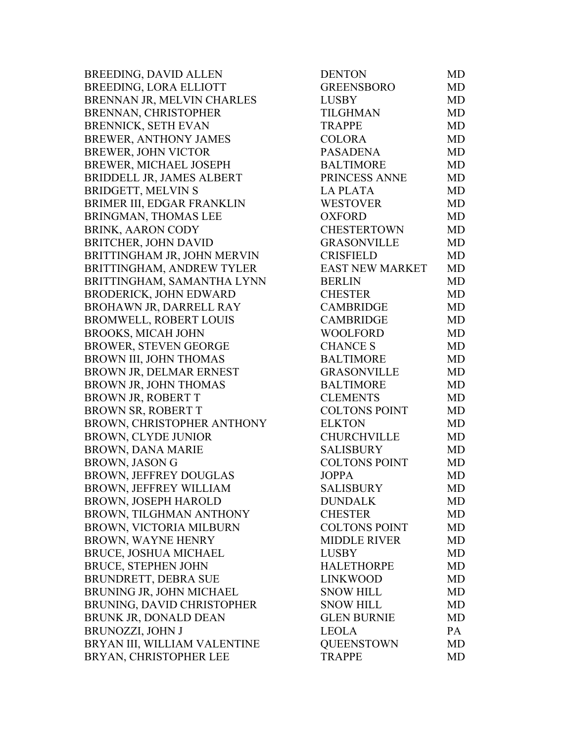BREEDING, DAVID ALLEN BREEDING, LORA ELLIOTT BRENNAN JR, MELVIN CHARLES BRENNAN, CHRISTOPHER BRENNICK, SETH EVAN BREWER, ANTHONY JAMES BREWER, JOHN VICTOR BREWER, MICHAEL JOSEPH BRIDDELL JR, JAMES ALBERT BRIDGETT, MELVIN S BRIMER III, EDGAR FRANKLIN BRINGMAN, THOMAS LEE BRINK, AARON CODY BRITCHER, JOHN DAVID BRITTINGHAM JR, JOHN MERVIN BRITTINGHAM, ANDREW TYLER BRITTINGHAM, SAMANTHA LYNN BRODERICK, JOHN EDWARD BROHAWN JR, DARRELL RAY BROMWELL, ROBERT LOUIS BROOKS, MICAH JOHN BROWER, STEVEN GEORGE BROWN III, JOHN THOMAS BROWN JR, DELMAR ERNEST BROWN JR, JOHN THOMAS BROWN JR, ROBERT T BROWN SR, ROBERT T BROWN, CHRISTOPHER ANTHONY BROWN, CLYDE JUNIOR BROWN, DANA MARIE BROWN, JASON G BROWN, JEFFREY DOUGLAS BROWN, JEFFREY WILLIAM BROWN, JOSEPH HAROLD BROWN, TILGHMAN ANTHONY BROWN, VICTORIA MILBURN BROWN, WAYNE HENRY BRUCE, JOSHUA MICHAEL BRUCE, STEPHEN JOHN BRUNDRETT, DEBRA SUE BRUNING JR, JOHN MICHAEL BRUNING, DAVID CHRISTOPHER BRUNK JR, DONALD DEAN BRUNOZZI, JOHN J BRYAN III, WILLIAM VALENTINE BRYAN, CHRISTOPHER LEE

| <b>DENTON</b>          | MD        |
|------------------------|-----------|
| <b>GREENSBORO</b>      | <b>MD</b> |
| <b>LUSBY</b>           | <b>MD</b> |
| <b>TILGHMAN</b>        | <b>MD</b> |
| <b>TRAPPE</b>          | <b>MD</b> |
| <b>COLORA</b>          | <b>MD</b> |
| <b>PASADENA</b>        | <b>MD</b> |
| <b>BALTIMORE</b>       | <b>MD</b> |
| PRINCESS ANNE          | <b>MD</b> |
| <b>LA PLATA</b>        | <b>MD</b> |
| <b>WESTOVER</b>        | <b>MD</b> |
| <b>OXFORD</b>          | <b>MD</b> |
| CHESTERTOWN            | <b>MD</b> |
| <b>GRASONVILLE</b>     | <b>MD</b> |
| <b>CRISFIELD</b>       | <b>MD</b> |
| <b>EAST NEW MARKET</b> | <b>MD</b> |
| <b>BERLIN</b>          | <b>MD</b> |
| <b>CHESTER</b>         | <b>MD</b> |
| <b>CAMBRIDGE</b>       | <b>MD</b> |
| <b>CAMBRIDGE</b>       | <b>MD</b> |
| <b>WOOLFORD</b>        | <b>MD</b> |
| <b>CHANCE S</b>        | <b>MD</b> |
| <b>BALTIMORE</b>       | <b>MD</b> |
| <b>GRASONVILLE</b>     | <b>MD</b> |
| <b>BALTIMORE</b>       | <b>MD</b> |
| <b>CLEMENTS</b>        | <b>MD</b> |
| <b>COLTONS POINT</b>   | <b>MD</b> |
| <b>ELKTON</b>          | <b>MD</b> |
| <b>CHURCHVILLE</b>     | <b>MD</b> |
| <b>SALISBURY</b>       | <b>MD</b> |
| <b>COLTONS POINT</b>   | <b>MD</b> |
| <b>JOPPA</b>           | <b>MD</b> |
| <b>SALISBURY</b>       | MD        |
| <b>DUNDALK</b>         | MD        |
| <b>CHESTER</b>         | MD        |
| <b>COLTONS POINT</b>   | <b>MD</b> |
| <b>MIDDLE RIVER</b>    | <b>MD</b> |
| <b>LUSBY</b>           | <b>MD</b> |
| <b>HALETHORPE</b>      | MD        |
| <b>LINKWOOD</b>        | <b>MD</b> |
| <b>SNOW HILL</b>       | <b>MD</b> |
| <b>SNOW HILL</b>       | <b>MD</b> |
| <b>GLEN BURNIE</b>     | MD        |
| <b>LEOLA</b>           | PA        |
| <b>QUEENSTOWN</b>      | MD        |
| <b>TRAPPE</b>          | <b>MD</b> |
|                        |           |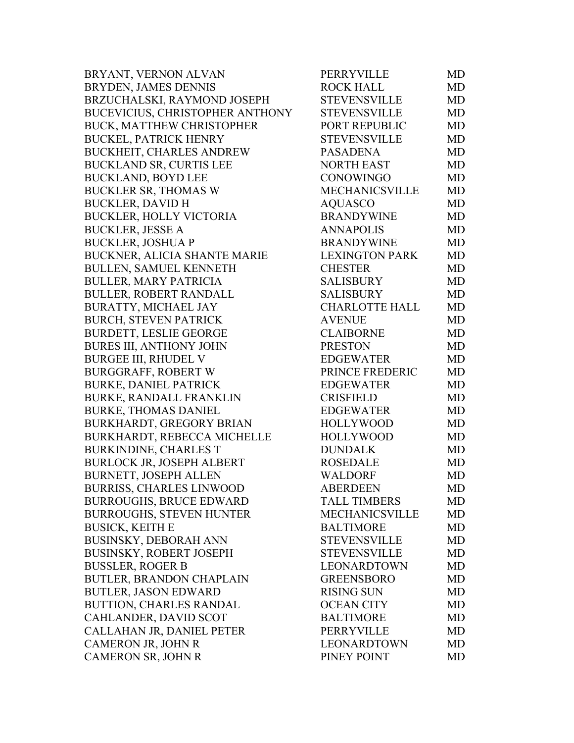| BRYANT, VERNON ALVAN             | PERRYVILLE            | MD.       |
|----------------------------------|-----------------------|-----------|
| BRYDEN, JAMES DENNIS             | <b>ROCK HALL</b>      | MD.       |
| BRZUCHALSKI, RAYMOND JOSEPH      | <b>STEVENSVILLE</b>   | MD        |
| BUCEVICIUS, CHRISTOPHER ANTHONY  | <b>STEVENSVILLE</b>   | MD        |
| BUCK, MATTHEW CHRISTOPHER        | PORT REPUBLIC         | MD        |
| <b>BUCKEL, PATRICK HENRY</b>     | <b>STEVENSVILLE</b>   | <b>MD</b> |
| BUCKHEIT, CHARLES ANDREW         | <b>PASADENA</b>       | MD        |
| <b>BUCKLAND SR, CURTIS LEE</b>   | NORTH EAST            | MD        |
| <b>BUCKLAND, BOYD LEE</b>        | <b>CONOWINGO</b>      | MD.       |
| <b>BUCKLER SR, THOMAS W</b>      | <b>MECHANICSVILLE</b> | MD        |
| <b>BUCKLER, DAVID H</b>          | <b>AQUASCO</b>        | MD        |
| BUCKLER, HOLLY VICTORIA          | <b>BRANDYWINE</b>     | MD        |
| <b>BUCKLER, JESSE A</b>          | <b>ANNAPOLIS</b>      | MD        |
| <b>BUCKLER, JOSHUA P</b>         | <b>BRANDYWINE</b>     | MD        |
| BUCKNER, ALICIA SHANTE MARIE     | <b>LEXINGTON PARK</b> | MD        |
| <b>BULLEN, SAMUEL KENNETH</b>    | <b>CHESTER</b>        | MD        |
| <b>BULLER, MARY PATRICIA</b>     | <b>SALISBURY</b>      | MD        |
| <b>BULLER, ROBERT RANDALL</b>    | <b>SALISBURY</b>      | MD        |
| BURATTY, MICHAEL JAY             | <b>CHARLOTTE HALL</b> | MD        |
| <b>BURCH, STEVEN PATRICK</b>     | <b>AVENUE</b>         | MD        |
| <b>BURDETT, LESLIE GEORGE</b>    | <b>CLAIBORNE</b>      | MD        |
| BURES III, ANTHONY JOHN          | <b>PRESTON</b>        | MD        |
| <b>BURGEE III, RHUDEL V</b>      | <b>EDGEWATER</b>      | MD        |
| <b>BURGGRAFF, ROBERT W</b>       | PRINCE FREDERIC       | MD        |
| <b>BURKE, DANIEL PATRICK</b>     | <b>EDGEWATER</b>      | MD        |
| BURKE, RANDALL FRANKLIN          | <b>CRISFIELD</b>      | MD        |
| <b>BURKE, THOMAS DANIEL</b>      | <b>EDGEWATER</b>      | MD        |
| BURKHARDT, GREGORY BRIAN         | <b>HOLLYWOOD</b>      | MD        |
| BURKHARDT, REBECCA MICHELLE      | <b>HOLLYWOOD</b>      | MD.       |
| <b>BURKINDINE, CHARLES T</b>     | <b>DUNDALK</b>        | MD        |
| <b>BURLOCK JR, JOSEPH ALBERT</b> | <b>ROSEDALE</b>       | MD        |
| <b>BURNETT, JOSEPH ALLEN</b>     | <b>WALDORF</b>        | MD        |
| <b>BURRISS, CHARLES LINWOOD</b>  | ABERDEEN              | MD        |
| <b>BURROUGHS, BRUCE EDWARD</b>   | <b>TALL TIMBERS</b>   | MD.       |
| <b>BURROUGHS, STEVEN HUNTER</b>  | <b>MECHANICSVILLE</b> | MD        |
| <b>BUSICK, KEITH E</b>           | <b>BALTIMORE</b>      | MD        |
| BUSINSKY, DEBORAH ANN            | <b>STEVENSVILLE</b>   | MD        |
| BUSINSKY, ROBERT JOSEPH          | <b>STEVENSVILLE</b>   | MD        |
| <b>BUSSLER, ROGER B</b>          | LEONARDTOWN           | MD        |
| BUTLER, BRANDON CHAPLAIN         | <b>GREENSBORO</b>     | MD        |
| <b>BUTLER, JASON EDWARD</b>      | <b>RISING SUN</b>     | MD        |
| BUTTION, CHARLES RANDAL          | <b>OCEAN CITY</b>     | MD        |
| CAHLANDER, DAVID SCOT            | <b>BALTIMORE</b>      | MD        |
| CALLAHAN JR, DANIEL PETER        | PERRYVILLE            | MD        |
| CAMERON JR, JOHN R               | LEONARDTOWN           | MD        |
| CAMERON SR, JOHN R               | PINEY POINT           | <b>MD</b> |
|                                  |                       |           |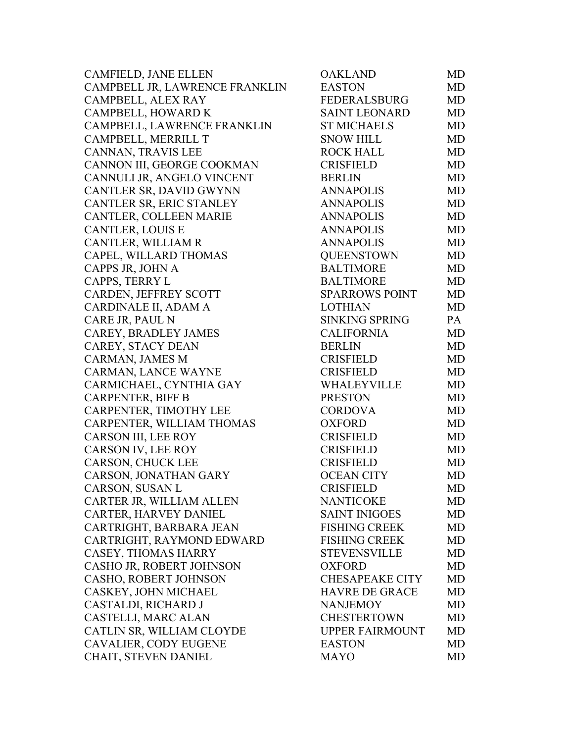| <b>CAMFIELD, JANE ELLEN</b>    | <b>OAKLAND</b>         | MD        |
|--------------------------------|------------------------|-----------|
| CAMPBELL JR, LAWRENCE FRANKLIN | <b>EASTON</b>          | <b>MD</b> |
| CAMPBELL, ALEX RAY             | <b>FEDERALSBURG</b>    | MD        |
| CAMPBELL, HOWARD K             | <b>SAINT LEONARD</b>   | MD        |
| CAMPBELL, LAWRENCE FRANKLIN    | <b>ST MICHAELS</b>     | <b>MD</b> |
| CAMPBELL, MERRILL T            | <b>SNOW HILL</b>       | MD        |
| CANNAN, TRAVIS LEE             | <b>ROCK HALL</b>       | MD        |
| CANNON III, GEORGE COOKMAN     | <b>CRISFIELD</b>       | MD        |
| CANNULI JR, ANGELO VINCENT     | <b>BERLIN</b>          | MD        |
| CANTLER SR, DAVID GWYNN        | <b>ANNAPOLIS</b>       | <b>MD</b> |
| CANTLER SR, ERIC STANLEY       | <b>ANNAPOLIS</b>       | MD        |
| CANTLER, COLLEEN MARIE         | <b>ANNAPOLIS</b>       | MD        |
| <b>CANTLER, LOUIS E</b>        | <b>ANNAPOLIS</b>       | MD        |
| CANTLER, WILLIAM R             | <b>ANNAPOLIS</b>       | MD        |
| CAPEL, WILLARD THOMAS          | <b>QUEENSTOWN</b>      | MD        |
| CAPPS JR, JOHN A               | <b>BALTIMORE</b>       | MD        |
| CAPPS, TERRY L                 | <b>BALTIMORE</b>       | MD        |
| CARDEN, JEFFREY SCOTT          | <b>SPARROWS POINT</b>  | MD        |
| CARDINALE II, ADAM A           | <b>LOTHIAN</b>         | <b>MD</b> |
| CARE JR, PAUL N                | <b>SINKING SPRING</b>  | PA        |
| CAREY, BRADLEY JAMES           | <b>CALIFORNIA</b>      | MD        |
| CAREY, STACY DEAN              | <b>BERLIN</b>          | MD        |
| CARMAN, JAMES M                | <b>CRISFIELD</b>       | MD        |
| CARMAN, LANCE WAYNE            | <b>CRISFIELD</b>       | MD        |
| CARMICHAEL, CYNTHIA GAY        | WHALEYVILLE            | MD        |
| <b>CARPENTER, BIFF B</b>       | <b>PRESTON</b>         | MD        |
| CARPENTER, TIMOTHY LEE         | <b>CORDOVA</b>         | MD        |
| CARPENTER, WILLIAM THOMAS      | <b>OXFORD</b>          | MD        |
| CARSON III, LEE ROY            | CRISFIELD              | MD        |
| CARSON IV, LEE ROY             | <b>CRISFIELD</b>       | MD        |
| CARSON, CHUCK LEE              | <b>CRISFIELD</b>       | MD        |
| CARSON, JONATHAN GARY          | <b>OCEAN CITY</b>      | MD        |
| CARSON, SUSAN L                | <b>CRISFIELD</b>       | <b>MD</b> |
| CARTER JR, WILLIAM ALLEN       | <b>NANTICOKE</b>       | MD        |
| CARTER, HARVEY DANIEL          | <b>SAINT INIGOES</b>   | <b>MD</b> |
| CARTRIGHT, BARBARA JEAN        | <b>FISHING CREEK</b>   | MD        |
| CARTRIGHT, RAYMOND EDWARD      | <b>FISHING CREEK</b>   | <b>MD</b> |
| CASEY, THOMAS HARRY            | <b>STEVENSVILLE</b>    | MD        |
| CASHO JR, ROBERT JOHNSON       | <b>OXFORD</b>          | MD        |
| CASHO, ROBERT JOHNSON          | <b>CHESAPEAKE CITY</b> | MD        |
| CASKEY, JOHN MICHAEL           | <b>HAVRE DE GRACE</b>  | MD        |
| CASTALDI, RICHARD J            | <b>NANJEMOY</b>        | MD        |
| CASTELLI, MARC ALAN            | <b>CHESTERTOWN</b>     | <b>MD</b> |
| CATLIN SR, WILLIAM CLOYDE      | <b>UPPER FAIRMOUNT</b> | MD        |
| CAVALIER, CODY EUGENE          | <b>EASTON</b>          | MD        |
| CHAIT, STEVEN DANIEL           | MAYO                   | MD        |
|                                |                        |           |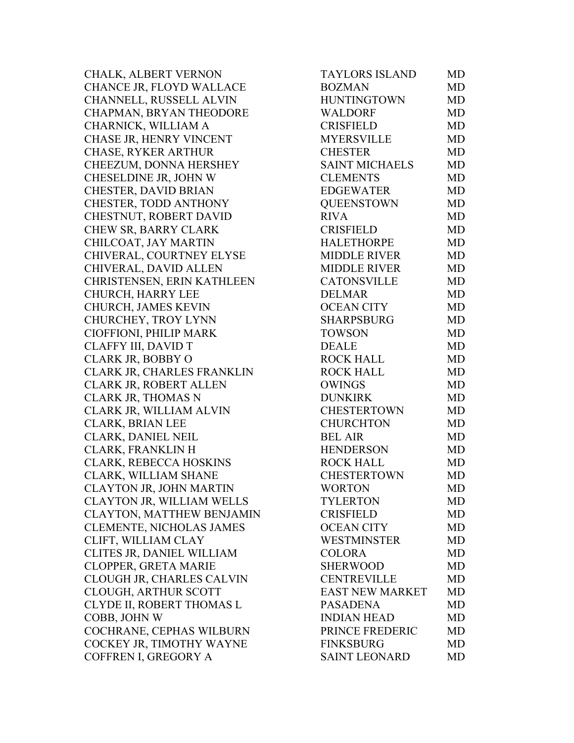CHALK, ALBERT VERNON CHANCE JR, FLOYD WALLACE CHANNELL, RUSSELL ALVIN CHAPMAN, BRYAN THEODORE CHARNICK, WILLIAM A CHASE JR, HENRY VINCENT CHASE, RYKER ARTHUR CHEEZUM, DONNA HERSHEY CHESELDINE JR, JOHN W CHESTER, DAVID BRIAN CHESTER, TODD ANTHONY CHESTNUT, ROBERT DAVID CHEW SR, BARRY CLARK CHILCOAT, JAY MARTIN CHIVERAL, COURTNEY ELYSE CHIVERAL, DAVID ALLEN CHRISTENSEN, ERIN KATHLEEN CHURCH, HARRY LEE CHURCH, JAMES KEVIN CHURCHEY, TROY LYNN CIOFFIONI, PHILIP MARK CLAFFY III, DAVID T CLARK JR, BOBBY O CLARK JR, CHARLES FRANKLIN CLARK JR, ROBERT ALLEN CLARK JR, THOMAS N CLARK JR, WILLIAM ALVIN CLARK, BRIAN LEE CLARK, DANIEL NEIL CLARK, FRANKLIN H CLARK, REBECCA HOSKINS CLARK, WILLIAM SHANE CLAYTON JR, JOHN MARTIN CLAYTON JR, WILLIAM WELLS CLAYTON, MATTHEW BENJAMIN CLEMENTE, NICHOLAS JAMES CLIFT, WILLIAM CLAY CLITES JR, DANIEL WILLIAM CLOPPER, GRETA MARIE CLOUGH JR, CHARLES CALVIN CLOUGH, ARTHUR SCOTT CLYDE II, ROBERT THOMAS L COBB, JOHN W COCHRANE, CEPHAS WILBURN COCKEY JR, TIMOTHY WAYNE COFFREN I, GREGORY A

| TAYLORS ISLAND         | MD        |
|------------------------|-----------|
| <b>BOZMAN</b>          | <b>MD</b> |
| <b>HUNTINGTOWN</b>     | MD        |
| <b>WALDORF</b>         | <b>MD</b> |
| <b>CRISFIELD</b>       | <b>MD</b> |
| <b>MYERSVILLE</b>      | <b>MD</b> |
| <b>CHESTER</b>         | <b>MD</b> |
| <b>SAINT MICHAELS</b>  | MD        |
| <b>CLEMENTS</b>        | <b>MD</b> |
| <b>EDGEWATER</b>       | <b>MD</b> |
| <b>OUEENSTOWN</b>      | <b>MD</b> |
| <b>RIVA</b>            | MD        |
| <b>CRISFIELD</b>       | <b>MD</b> |
| <b>HALETHORPE</b>      | <b>MD</b> |
| <b>MIDDLE RIVER</b>    | <b>MD</b> |
| <b>MIDDLE RIVER</b>    | <b>MD</b> |
| <b>CATONSVILLE</b>     | <b>MD</b> |
| <b>DELMAR</b>          | <b>MD</b> |
| <b>OCEAN CITY</b>      | <b>MD</b> |
| <b>SHARPSBURG</b>      | <b>MD</b> |
| <b>TOWSON</b>          | <b>MD</b> |
| <b>DEALE</b>           | <b>MD</b> |
| <b>ROCK HALL</b>       | <b>MD</b> |
| <b>ROCK HALL</b>       | <b>MD</b> |
| <b>OWINGS</b>          | <b>MD</b> |
| <b>DUNKIRK</b>         | <b>MD</b> |
| <b>CHESTERTOWN</b>     | <b>MD</b> |
| <b>CHURCHTON</b>       | <b>MD</b> |
| <b>BEL AIR</b>         | <b>MD</b> |
| <b>HENDERSON</b>       | <b>MD</b> |
| <b>ROCK HALL</b>       | <b>MD</b> |
| <b>CHESTERTOWN</b>     | <b>MD</b> |
| <b>WORTON</b>          | MD        |
| <b>TYLERTON</b>        | <b>MD</b> |
| <b>CRISFIELD</b>       | <b>MD</b> |
| <b>OCEAN CITY</b>      | <b>MD</b> |
| <b>WESTMINSTER</b>     | <b>MD</b> |
| <b>COLORA</b>          | <b>MD</b> |
| <b>SHERWOOD</b>        | <b>MD</b> |
| <b>CENTREVILLE</b>     | <b>MD</b> |
| <b>EAST NEW MARKET</b> | <b>MD</b> |
| <b>PASADENA</b>        | <b>MD</b> |
| <b>INDIAN HEAD</b>     | <b>MD</b> |
| PRINCE FREDERIC        | <b>MD</b> |
| <b>FINKSBURG</b>       | <b>MD</b> |
| <b>SAINT LEONARD</b>   | <b>MD</b> |
|                        |           |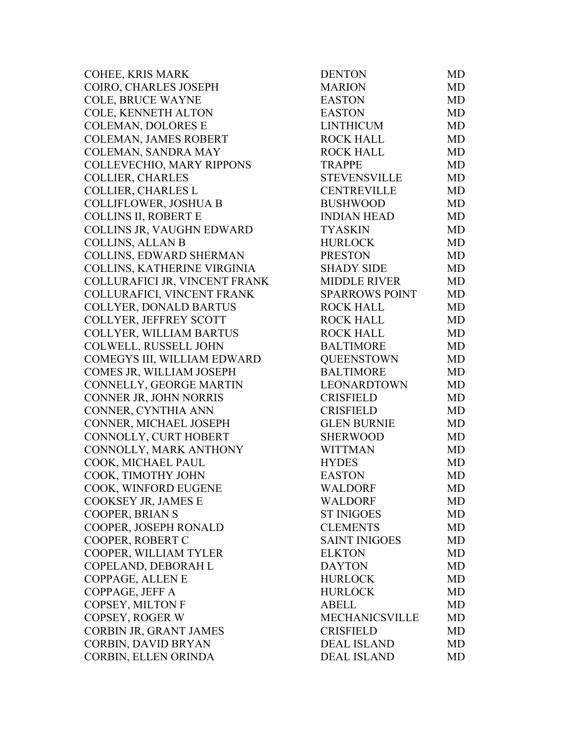COHEE, KRIS MARK COIRO, CHARLES JOSEPH COLE, BRUCE WAYNE COLE, KENNETH ALTON COLEMAN, DOLORES E COLEMAN, JAMES ROBERT COLEMAN, SANDRA MAY COLLEVECHIO, MARY RIPPONS COLLIER, CHARLES COLLIER, CHARLES L COLLIFLOWER, JOSHUA B COLLINS II, ROBERT E COLLINS JR, VAUGHN EDWARD COLLINS, ALLAN B COLLINS, EDWARD SHERMAN COLLINS, KATHERINE VIRGINIA COLLURAFICI JR, VINCENT FRANK COLLURAFICI, VINCENT FRANK COLLYER, DONALD BARTUS COLLYER, JEFFREY SCOTT COLLYER, WILLIAM BARTUS COLWELL, RUSSELL JOHN COMEGYS III, WILLIAM EDWARD COMES JR, WILLIAM JOSEPH CONNELLY, GEORGE MARTIN CONNER JR, JOHN NORRIS CONNER, CYNTHIA ANN CONNER, MICHAEL JOSEPH CONNOLLY, CURT HOBERT CONNOLLY, MARK ANTHONY COOK, MICHAEL PAUL COOK, TIMOTHY JOHN COOK, WINFORD EUGENE COOKSEY JR, JAMES E COOPER, BRIAN S COOPER, JOSEPH RONALD COOPER, ROBERT C COOPER, WILLIAM TYLER COPELAND, DEBORAH L COPPAGE, ALLEN E COPPAGE, JEFF A COPSEY, MILTON F COPSEY, ROGER W CORBIN JR, GRANT JAMES CORBIN, DAVID BRYAN CORBIN, ELLEN ORINDA

| <b>DENTON</b>         | MD        |
|-----------------------|-----------|
| <b>MARION</b>         | <b>MD</b> |
| <b>EASTON</b>         | MD        |
| <b>EASTON</b>         | <b>MD</b> |
| <b>LINTHICUM</b>      | <b>MD</b> |
| <b>ROCK HALL</b>      | <b>MD</b> |
| <b>ROCK HALL</b>      | <b>MD</b> |
| <b>TRAPPE</b>         | MD        |
| <b>STEVENSVILLE</b>   | <b>MD</b> |
| <b>CENTREVILLE</b>    | <b>MD</b> |
| <b>BUSHWOOD</b>       | <b>MD</b> |
| <b>INDIAN HEAD</b>    | <b>MD</b> |
| <b>TYASKIN</b>        | <b>MD</b> |
| <b>HURLOCK</b>        | <b>MD</b> |
| <b>PRESTON</b>        | MD        |
| <b>SHADY SIDE</b>     | <b>MD</b> |
| <b>MIDDLE RIVER</b>   | <b>MD</b> |
| <b>SPARROWS POINT</b> | MD        |
| <b>ROCK HALL</b>      | <b>MD</b> |
| <b>ROCK HALL</b>      | <b>MD</b> |
| <b>ROCK HALL</b>      | <b>MD</b> |
| <b>BALTIMORE</b>      | MD        |
| <b>QUEENSTOWN</b>     | <b>MD</b> |
| <b>BALTIMORE</b>      | <b>MD</b> |
| <b>LEONARDTOWN</b>    | <b>MD</b> |
| <b>CRISFIELD</b>      | MD        |
| <b>CRISFIELD</b>      | <b>MD</b> |
| <b>GLEN BURNIE</b>    | <b>MD</b> |
| <b>SHERWOOD</b>       | <b>MD</b> |
| <b>WITTMAN</b>        | <b>MD</b> |
| <b>HYDES</b>          | MD        |
| <b>EASTON</b>         | <b>MD</b> |
| <b>WALDORF</b>        | MD        |
| <b>WALDORF</b>        | MD        |
| <b>ST INIGOES</b>     | MD        |
| <b>CLEMENTS</b>       | MD        |
| <b>SAINT INIGOES</b>  | <b>MD</b> |
| <b>ELKTON</b>         | MD        |
| <b>DAYTON</b>         | MD        |
| <b>HURLOCK</b>        | <b>MD</b> |
| <b>HURLOCK</b>        | MD        |
| ABELL                 | MD        |
| <b>MECHANICSVILLE</b> | MD        |
| <b>CRISFIELD</b>      | MD        |
| <b>DEAL ISLAND</b>    | MD        |
| <b>DEAL ISLAND</b>    | MD        |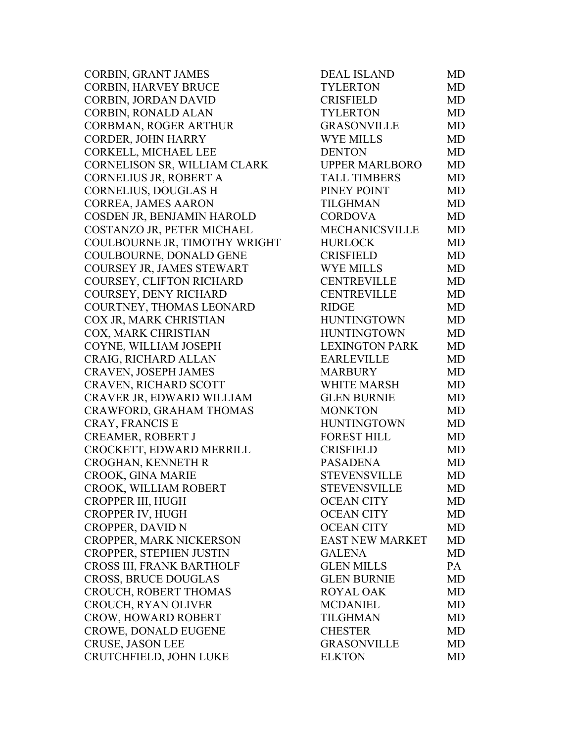CORBIN, GRANT JAMES CORBIN, HARVEY BRUCE CORBIN, JORDAN DAVID CORBIN, RONALD ALAN CORBMAN, ROGER ARTHUR CORDER, JOHN HARRY CORKELL, MICHAEL LEE CORNELISON SR, WILLIAM CLARK CORNELIUS JR, ROBERT A CORNELIUS, DOUGLAS H CORREA, JAMES AARON COSDEN JR, BENJAMIN HAROLD COSTANZO JR, PETER MICHAEL COULBOURNE JR, TIMOTHY WRIGHT COULBOURNE, DONALD GENE COURSEY JR, JAMES STEWART COURSEY, CLIFTON RICHARD COURSEY, DENY RICHARD COURTNEY, THOMAS LEONARD COX JR, MARK CHRISTIAN COX, MARK CHRISTIAN COYNE, WILLIAM JOSEPH CRAIG, RICHARD ALLAN CRAVEN, JOSEPH JAMES CRAVEN, RICHARD SCOTT CRAVER JR, EDWARD WILLIAM CRAWFORD, GRAHAM THOMAS CRAY, FRANCIS E CREAMER, ROBERT J CROCKETT, EDWARD MERRILL CROGHAN, KENNETH R CROOK, GINA MARIE CROOK, WILLIAM ROBERT CROPPER III, HUGH CROPPER IV, HUGH CROPPER, DAVID N CROPPER, MARK NICKERSON CROPPER, STEPHEN JUSTIN CROSS III, FRANK BARTHOLF CROSS, BRUCE DOUGLAS CROUCH, ROBERT THOMAS CROUCH, RYAN OLIVER CROW, HOWARD ROBERT CROWE, DONALD EUGENE CRUSE, JASON LEE CRUTCHFIELD, JOHN LUKE

| DEAL ISLAND            | MD        |
|------------------------|-----------|
| <b>TYLERTON</b>        | <b>MD</b> |
| <b>CRISFIELD</b>       | MD        |
| <b>TYLERTON</b>        | <b>MD</b> |
| <b>GRASONVILLE</b>     | <b>MD</b> |
| <b>WYE MILLS</b>       | <b>MD</b> |
| <b>DENTON</b>          | <b>MD</b> |
| <b>UPPER MARLBORO</b>  | <b>MD</b> |
| <b>TALL TIMBERS</b>    | <b>MD</b> |
| PINEY POINT            | <b>MD</b> |
| <b>TILGHMAN</b>        | <b>MD</b> |
| <b>CORDOVA</b>         | <b>MD</b> |
| <b>MECHANICSVILLE</b>  | MD        |
| <b>HURLOCK</b>         | <b>MD</b> |
| <b>CRISFIELD</b>       | <b>MD</b> |
| <b>WYE MILLS</b>       | <b>MD</b> |
| <b>CENTREVILLE</b>     | <b>MD</b> |
| <b>CENTREVILLE</b>     | <b>MD</b> |
| <b>RIDGE</b>           | <b>MD</b> |
| <b>HUNTINGTOWN</b>     | <b>MD</b> |
| <b>HUNTINGTOWN</b>     | <b>MD</b> |
| <b>LEXINGTON PARK</b>  | <b>MD</b> |
| <b>EARLEVILLE</b>      | MD        |
| <b>MARBURY</b>         | <b>MD</b> |
| <b>WHITE MARSH</b>     | <b>MD</b> |
| <b>GLEN BURNIE</b>     | <b>MD</b> |
| <b>MONKTON</b>         | <b>MD</b> |
| <b>HUNTINGTOWN</b>     | <b>MD</b> |
| <b>FOREST HILL</b>     | <b>MD</b> |
| <b>CRISFIELD</b>       | <b>MD</b> |
| <b>PASADENA</b>        | <b>MD</b> |
| <b>STEVENSVILLE</b>    | MD        |
| <b>STEVENSVILLE</b>    | MD        |
| <b>OCEAN CITY</b>      | MD        |
| <b>OCEAN CITY</b>      | <b>MD</b> |
| <b>OCEAN CITY</b>      | MD        |
| <b>EAST NEW MARKET</b> | <b>MD</b> |
| <b>GALENA</b>          | <b>MD</b> |
| <b>GLEN MILLS</b>      | PA        |
| <b>GLEN BURNIE</b>     | <b>MD</b> |
| <b>ROYAL OAK</b>       | <b>MD</b> |
| <b>MCDANIEL</b>        | <b>MD</b> |
| <b>TILGHMAN</b>        | <b>MD</b> |
| <b>CHESTER</b>         | <b>MD</b> |
| <b>GRASONVILLE</b>     | <b>MD</b> |
| <b>ELKTON</b>          | <b>MD</b> |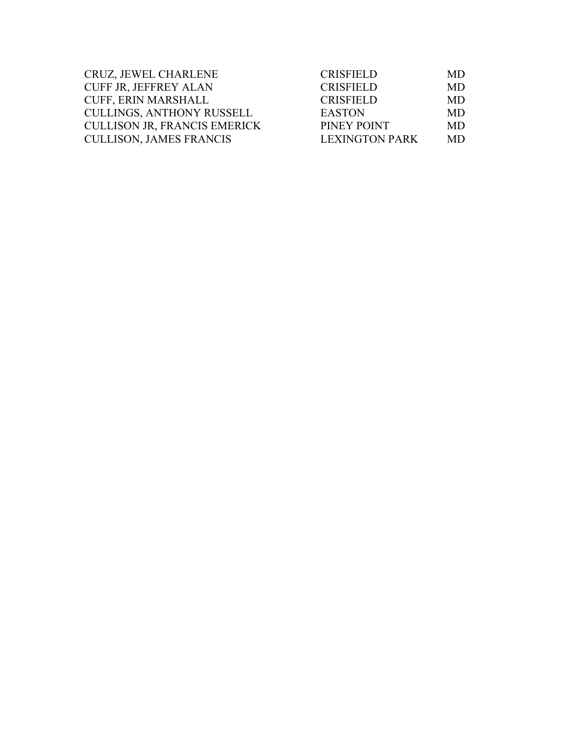| CRUZ, JEWEL CHARLENE                | <b>CRISFIELD</b>      | MD. |
|-------------------------------------|-----------------------|-----|
| <b>CUFF JR, JEFFREY ALAN</b>        | <b>CRISFIELD</b>      | MD. |
| CUFF, ERIN MARSHALL                 | <b>CRISFIELD</b>      | MD. |
| <b>CULLINGS, ANTHONY RUSSELL</b>    | <b>EASTON</b>         | MD. |
| <b>CULLISON JR, FRANCIS EMERICK</b> | PINEY POINT           | MD. |
| <b>CULLISON, JAMES FRANCIS</b>      | <b>LEXINGTON PARK</b> | MD  |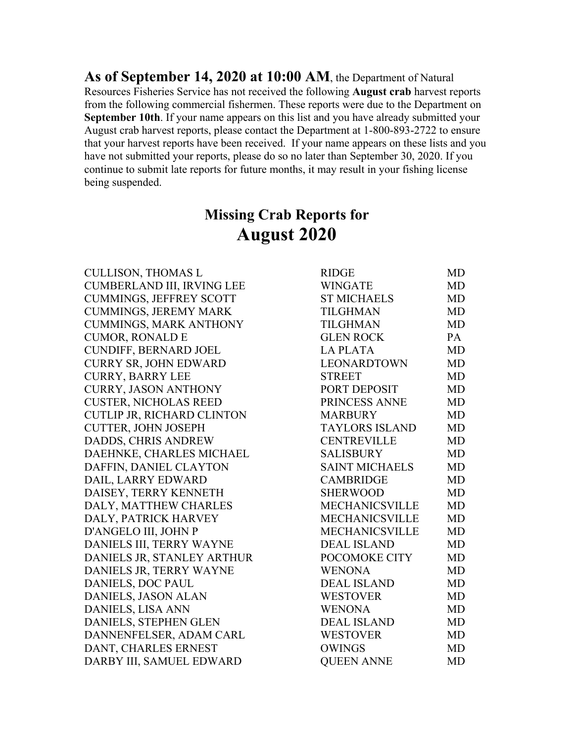**As of September 14, 2020 at 10:00 AM**, the Department of Natural Resources Fisheries Service has not received the following **August crab** harvest reports from the following commercial fishermen. These reports were due to the Department on **September 10th**. If your name appears on this list and you have already submitted your August crab harvest reports, please contact the Department at 1-800-893-2722 to ensure that your harvest reports have been received. If your name appears on these lists and you have not submitted your reports, please do so no later than September 30, 2020. If you continue to submit late reports for future months, it may result in your fishing license being suspended.

# **Missing Crab Reports for August 2020**

CULLISON, THOMAS L CUMBERLAND III, IRVING LEE CUMMINGS, JEFFREY SCOTT CUMMINGS, JEREMY MARK CUMMINGS, MARK ANTHONY CUMOR, RONALD E CUNDIFF, BERNARD JOEL CURRY SR, JOHN EDWARD CURRY, BARRY LEE CURRY, JASON ANTHONY **CUSTER, NICHOLAS REED** CUTLIP JR, RICHARD CLINTON CUTTER, JOHN JOSEPH DADDS, CHRIS ANDREW DAEHNKE, CHARLES MICHAEL DAFFIN, DANIEL CLAYTON DAIL, LARRY EDWARD DAISEY, TERRY KENNETH DALY, MATTHEW CHARLES DALY, PATRICK HARVEY D'ANGELO III, JOHN P DANIELS III, TERRY WAYNE DANIELS JR, STANLEY ARTHUR DANIELS JR, TERRY WAYNE DANIELS, DOC PAUL DANIELS, JASON ALAN DANIELS, LISA ANN DANIELS, STEPHEN GLEN DANNENFELSER, ADAM CARL DANT, CHARLES ERNEST DARBY III, SAMUEL EDWARD QUEEN ANNE MD

| <b>RIDGE</b>          | MD        |
|-----------------------|-----------|
| <b>WINGATE</b>        | <b>MD</b> |
| <b>ST MICHAELS</b>    | <b>MD</b> |
| <b>TILGHMAN</b>       | <b>MD</b> |
| <b>TILGHMAN</b>       | <b>MD</b> |
| <b>GLEN ROCK</b>      | <b>PA</b> |
| <b>LA PLATA</b>       | <b>MD</b> |
| <b>LEONARDTOWN</b>    | <b>MD</b> |
| <b>STREET</b>         | <b>MD</b> |
| PORT DEPOSIT          | <b>MD</b> |
| PRINCESS ANNE         | <b>MD</b> |
| <b>MARBURY</b>        | <b>MD</b> |
| <b>TAYLORS ISLAND</b> | <b>MD</b> |
| <b>CENTREVILLE</b>    | <b>MD</b> |
| <b>SALISBURY</b>      | <b>MD</b> |
| <b>SAINT MICHAELS</b> | MD        |
| <b>CAMBRIDGE</b>      | <b>MD</b> |
| <b>SHERWOOD</b>       | <b>MD</b> |
| MECHANICSVILLE        | <b>MD</b> |
| MECHANICSVILLE        | <b>MD</b> |
| MECHANICSVILLE        | <b>MD</b> |
| <b>DEAL ISLAND</b>    | <b>MD</b> |
| POCOMOKE CITY         | <b>MD</b> |
| <b>WENONA</b>         | <b>MD</b> |
| <b>DEAL ISLAND</b>    | <b>MD</b> |
| <b>WESTOVER</b>       | <b>MD</b> |
| <b>WENONA</b>         | MD        |
| <b>DEAL ISLAND</b>    | <b>MD</b> |
| <b>WESTOVER</b>       | <b>MD</b> |
| <b>OWINGS</b>         | <b>MD</b> |
| OUEEN ANNE            | MD        |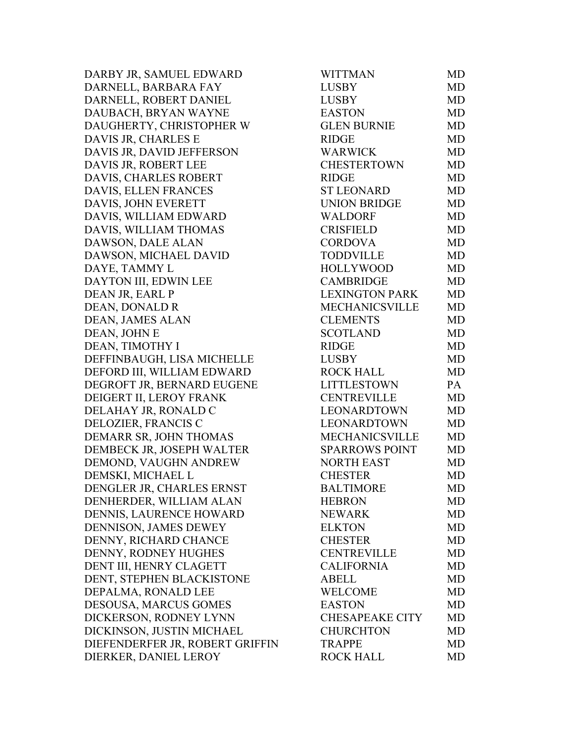DARBY JR, SAMUEL EDWARD DARNELL, BARBARA FAY DARNELL, ROBERT DANIEL DAUBACH, BRYAN WAYNE DAUGHERTY, CHRISTOPHER W DAVIS JR, CHARLES E DAVIS JR, DAVID JEFFERSON DAVIS JR, ROBERT LEE DAVIS, CHARLES ROBERT DAVIS, ELLEN FRANCES DAVIS, JOHN EVERETT DAVIS, WILLIAM EDWARD DAVIS, WILLIAM THOMAS DAWSON, DALE ALAN DAWSON, MICHAEL DAVID DAYE, TAMMY L DAYTON III, EDWIN LEE DEAN JR, EARL P DEAN, DONALD R DEAN, JAMES ALAN DEAN, JOHN E DEAN, TIMOTHY I DEFFINBAUGH, LISA MICHELLE DEFORD III, WILLIAM EDWARD DEGROFT JR, BERNARD EUGENE DEIGERT II, LEROY FRANK DELAHAY JR, RONALD C DELOZIER, FRANCIS C DEMARR SR, JOHN THOMAS DEMBECK JR, JOSEPH WALTER DEMOND, VAUGHN ANDREW DEMSKI, MICHAEL L DENGLER JR, CHARLES ERNST DENHERDER, WILLIAM ALAN DENNIS, LAURENCE HOWARD DENNISON, JAMES DEWEY DENNY, RICHARD CHANCE DENNY, RODNEY HUGHES DENT III, HENRY CLAGETT DENT, STEPHEN BLACKISTONE DEPALMA, RONALD LEE DESOUSA, MARCUS GOMES DICKERSON, RODNEY LYNN DICKINSON, JUSTIN MICHAEL DIEFENDERFER JR, ROBERT GRIFFIN DIERKER, DANIEL LEROY

| <b>WITTMAN</b>         | MD        |
|------------------------|-----------|
| <b>LUSBY</b>           | <b>MD</b> |
| <b>LUSBY</b>           | <b>MD</b> |
| <b>EASTON</b>          | MD        |
| <b>GLEN BURNIE</b>     | <b>MD</b> |
| <b>RIDGE</b>           | <b>MD</b> |
| <b>WARWICK</b>         | <b>MD</b> |
| <b>CHESTERTOWN</b>     | <b>MD</b> |
| <b>RIDGE</b>           | <b>MD</b> |
| <b>ST LEONARD</b>      | <b>MD</b> |
| <b>UNION BRIDGE</b>    | <b>MD</b> |
| <b>WALDORF</b>         | <b>MD</b> |
| <b>CRISFIELD</b>       | <b>MD</b> |
| <b>CORDOVA</b>         | <b>MD</b> |
| <b>TODDVILLE</b>       | <b>MD</b> |
| <b>HOLLYWOOD</b>       | <b>MD</b> |
| <b>CAMBRIDGE</b>       | <b>MD</b> |
| <b>LEXINGTON PARK</b>  | <b>MD</b> |
| <b>MECHANICSVILLE</b>  | <b>MD</b> |
| <b>CLEMENTS</b>        | <b>MD</b> |
| <b>SCOTLAND</b>        | <b>MD</b> |
| <b>RIDGE</b>           | <b>MD</b> |
| <b>LUSBY</b>           | MD        |
| <b>ROCK HALL</b>       | <b>MD</b> |
| <b>LITTLESTOWN</b>     | PA        |
| <b>CENTREVILLE</b>     | MD        |
| LEONARDTOWN            | <b>MD</b> |
| <b>LEONARDTOWN</b>     | <b>MD</b> |
| MECHANICSVILLE         | <b>MD</b> |
| <b>SPARROWS POINT</b>  | <b>MD</b> |
| <b>NORTH EAST</b>      | <b>MD</b> |
| <b>CHESTER</b>         | <b>MD</b> |
| <b>BALTIMORE</b>       | MD        |
| <b>HEBRON</b>          | MD        |
| <b>NEWARK</b>          | MD        |
| <b>ELKTON</b>          | MD        |
| <b>CHESTER</b>         | <b>MD</b> |
| <b>CENTREVILLE</b>     | MD        |
| <b>CALIFORNIA</b>      | MD        |
| <b>ABELL</b>           | <b>MD</b> |
| <b>WELCOME</b>         | MD        |
| <b>EASTON</b>          | MD        |
| <b>CHESAPEAKE CITY</b> | <b>MD</b> |
| <b>CHURCHTON</b>       | MD        |
| <b>TRAPPE</b>          | <b>MD</b> |
| <b>ROCK HALL</b>       | MD        |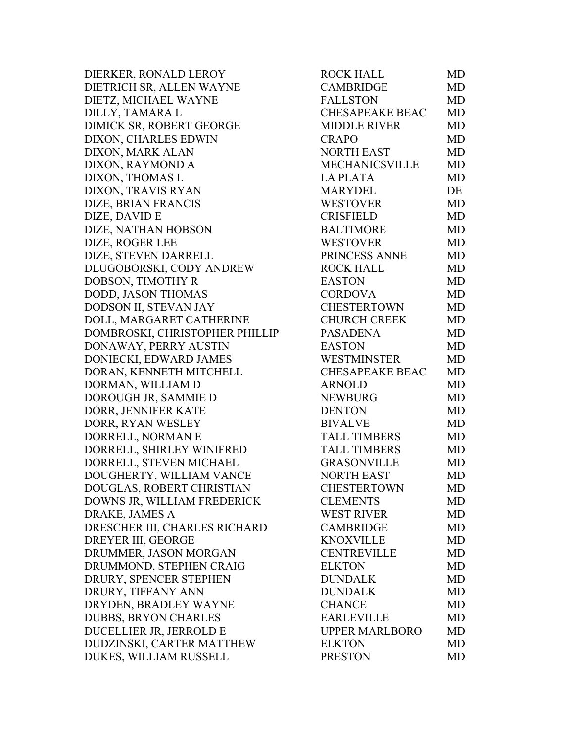DIERKER, RONALD LEROY DIETRICH SR, ALLEN WAYNE DIETZ, MICHAEL WAYNE DILLY, TAMARA L DIMICK SR, ROBERT GEORGE DIXON, CHARLES EDWIN DIXON, MARK ALAN DIXON, RAYMOND A DIXON, THOMAS L DIXON, TRAVIS RYAN DIZE, BRIAN FRANCIS DIZE, DAVID E DIZE, NATHAN HOBSON DIZE, ROGER LEE DIZE, STEVEN DARRELL DLUGOBORSKI, CODY ANDREW DOBSON, TIMOTHY R DODD, JASON THOMAS DODSON II, STEVAN JAY DOLL, MARGARET CATHERINE DOMBROSKI, CHRISTOPHER PHILLIP DONAWAY, PERRY AUSTIN DONIECKI, EDWARD JAMES DORAN, KENNETH MITCHELL DORMAN, WILLIAM D DOROUGH JR, SAMMIE D DORR, JENNIFER KATE DORR, RYAN WESLEY DORRELL, NORMAN E DORRELL, SHIRLEY WINIFRED DORRELL, STEVEN MICHAEL DOUGHERTY, WILLIAM VANCE DOUGLAS, ROBERT CHRISTIAN DOWNS JR, WILLIAM FREDERICK DRAKE, JAMES A DRESCHER III, CHARLES RICHARD DREYER III, GEORGE DRUMMER, JASON MORGAN DRUMMOND, STEPHEN CRAIG DRURY, SPENCER STEPHEN DRURY, TIFFANY ANN DRYDEN, BRADLEY WAYNE DUBBS, BRYON CHARLES DUCELLIER JR, JERROLD E DUDZINSKI, CARTER MATTHEW DUKES, WILLIAM RUSSELL

| ROCK HALL              | MD        |
|------------------------|-----------|
| <b>CAMBRIDGE</b>       | <b>MD</b> |
| <b>FALLSTON</b>        | MD        |
| <b>CHESAPEAKE BEAC</b> | <b>MD</b> |
| <b>MIDDLE RIVER</b>    | <b>MD</b> |
| <b>CRAPO</b>           | <b>MD</b> |
| <b>NORTH EAST</b>      | <b>MD</b> |
| <b>MECHANICSVILLE</b>  | <b>MD</b> |
| <b>LA PLATA</b>        | <b>MD</b> |
| <b>MARYDEL</b>         | DE        |
| <b>WESTOVER</b>        | MD        |
| <b>CRISFIELD</b>       | MD        |
| <b>BALTIMORE</b>       | <b>MD</b> |
| <b>WESTOVER</b>        | <b>MD</b> |
| PRINCESS ANNE          | <b>MD</b> |
| <b>ROCK HALL</b>       | <b>MD</b> |
| <b>EASTON</b>          | <b>MD</b> |
| <b>CORDOVA</b>         | <b>MD</b> |
| <b>CHESTERTOWN</b>     | <b>MD</b> |
| <b>CHURCH CREEK</b>    | <b>MD</b> |
| <b>PASADENA</b>        | <b>MD</b> |
| <b>EASTON</b>          | <b>MD</b> |
| <b>WESTMINSTER</b>     | MD        |
| <b>CHESAPEAKE BEAC</b> | <b>MD</b> |
| <b>ARNOLD</b>          | <b>MD</b> |
| <b>NEWBURG</b>         | <b>MD</b> |
| <b>DENTON</b>          | <b>MD</b> |
| <b>BIVALVE</b>         | <b>MD</b> |
| <b>TALL TIMBERS</b>    | <b>MD</b> |
| <b>TALL TIMBERS</b>    | <b>MD</b> |
| <b>GRASONVILLE</b>     | MD        |
| <b>NORTH EAST</b>      | <b>MD</b> |
| <b>CHESTERTOWN</b>     | MD        |
| <b>CLEMENTS</b>        | MD        |
| <b>WEST RIVER</b>      | <b>MD</b> |
| <b>CAMBRIDGE</b>       | <b>MD</b> |
| <b>KNOXVILLE</b>       | <b>MD</b> |
| <b>CENTREVILLE</b>     | <b>MD</b> |
| <b>ELKTON</b>          | <b>MD</b> |
| <b>DUNDALK</b>         | <b>MD</b> |
| <b>DUNDALK</b>         | <b>MD</b> |
| <b>CHANCE</b>          | <b>MD</b> |
| <b>EARLEVILLE</b>      | <b>MD</b> |
| <b>UPPER MARLBORO</b>  | <b>MD</b> |
| <b>ELKTON</b>          | <b>MD</b> |
| <b>PRESTON</b>         | MD        |
|                        |           |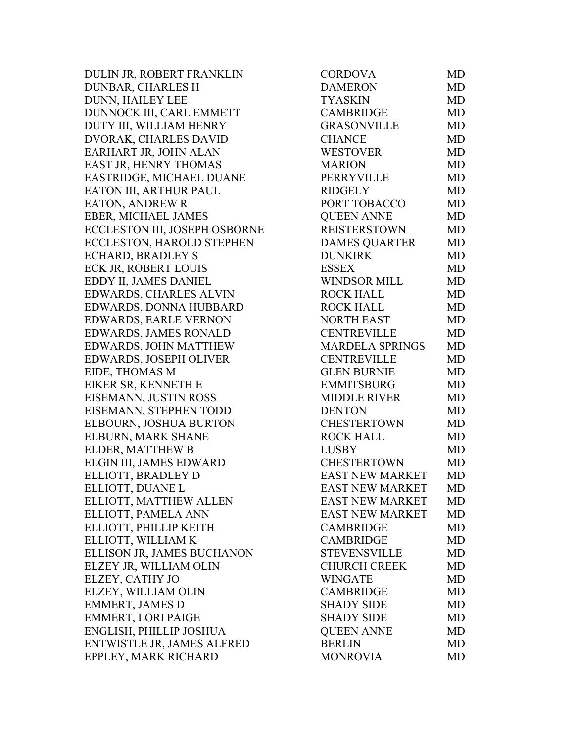DULIN JR, ROBERT FRANKLIN DUNBAR, CHARLES H DUNN, HAILEY LEE DUNNOCK III, CARL EMMETT DUTY III, WILLIAM HENRY DVORAK, CHARLES DAVID EARHART JR, JOHN ALAN EAST JR, HENRY THOMAS EASTRIDGE, MICHAEL DUANE EATON III, ARTHUR PAUL EATON, ANDREW R EBER, MICHAEL JAMES ECCLESTON III, JOSEPH OSBORNE ECCLESTON, HAROLD STEPHEN ECHARD, BRADLEY S ECK JR, ROBERT LOUIS EDDY II, JAMES DANIEL EDWARDS, CHARLES ALVIN EDWARDS, DONNA HUBBARD EDWARDS, EARLE VERNON EDWARDS, JAMES RONALD EDWARDS, JOHN MATTHEW EDWARDS, JOSEPH OLIVER EIDE, THOMAS M EIKER SR, KENNETH E EISEMANN, JUSTIN ROSS EISEMANN, STEPHEN TODD ELBOURN, JOSHUA BURTON ELBURN, MARK SHANE ELDER, MATTHEW B ELGIN III, JAMES EDWARD ELLIOTT, BRADLEY D ELLIOTT, DUANE L ELLIOTT, MATTHEW ALLEN ELLIOTT, PAMELA ANN ELLIOTT, PHILLIP KEITH ELLIOTT, WILLIAM K ELLISON JR, JAMES BUCHANON ELZEY JR, WILLIAM OLIN ELZEY, CATHY JO ELZEY, WILLIAM OLIN EMMERT, JAMES D EMMERT, LORI PAIGE ENGLISH, PHILLIP JOSHUA ENTWISTLE JR, JAMES ALFRED EPPLEY, MARK RICHARD

| <b>CORDOVA</b>         | <b>MD</b> |
|------------------------|-----------|
| <b>DAMERON</b>         | MD        |
| TYASKIN                | MD        |
| <b>CAMBRIDGE</b>       | <b>MD</b> |
| <b>GRASONVILLE</b>     | <b>MD</b> |
| <b>CHANCE</b>          | <b>MD</b> |
| <b>WESTOVER</b>        | MD        |
| <b>MARION</b>          | <b>MD</b> |
| <b>PERRYVILLE</b>      | MD        |
| <b>RIDGELY</b>         | <b>MD</b> |
| PORT TOBACCO           | <b>MD</b> |
| <b>QUEEN ANNE</b>      | MD        |
| <b>REISTERSTOWN</b>    | <b>MD</b> |
| <b>DAMES QUARTER</b>   | <b>MD</b> |
| <b>DUNKIRK</b>         | <b>MD</b> |
| <b>ESSEX</b>           | <b>MD</b> |
| <b>WINDSOR MILL</b>    | <b>MD</b> |
| <b>ROCK HALL</b>       | <b>MD</b> |
| <b>ROCK HALL</b>       | <b>MD</b> |
| <b>NORTH EAST</b>      | <b>MD</b> |
| <b>CENTREVILLE</b>     | <b>MD</b> |
| <b>MARDELA SPRINGS</b> | MD        |
| <b>CENTREVILLE</b>     | MD        |
| <b>GLEN BURNIE</b>     | <b>MD</b> |
| <b>EMMITSBURG</b>      | <b>MD</b> |
| <b>MIDDLE RIVER</b>    | <b>MD</b> |
| <b>DENTON</b>          | <b>MD</b> |
| <b>CHESTERTOWN</b>     | <b>MD</b> |
| <b>ROCK HALL</b>       | <b>MD</b> |
| <b>LUSBY</b>           | <b>MD</b> |
| <b>CHESTERTOWN</b>     | MD        |
| EAST NEW MARKET        | <b>MD</b> |
| <b>EAST NEW MARKET</b> | <b>MD</b> |
| <b>EAST NEW MARKET</b> | MD        |
| <b>EAST NEW MARKET</b> | MD        |
| <b>CAMBRIDGE</b>       | MD        |
| <b>CAMBRIDGE</b>       | <b>MD</b> |
| <b>STEVENSVILLE</b>    | <b>MD</b> |
| <b>CHURCH CREEK</b>    | MD        |
| <b>WINGATE</b>         | <b>MD</b> |
| <b>CAMBRIDGE</b>       | MD        |
| SHADY SIDE             | <b>MD</b> |
| <b>SHADY SIDE</b>      | <b>MD</b> |
| <b>QUEEN ANNE</b>      | MD        |
|                        |           |
| <b>BERLIN</b>          | MD        |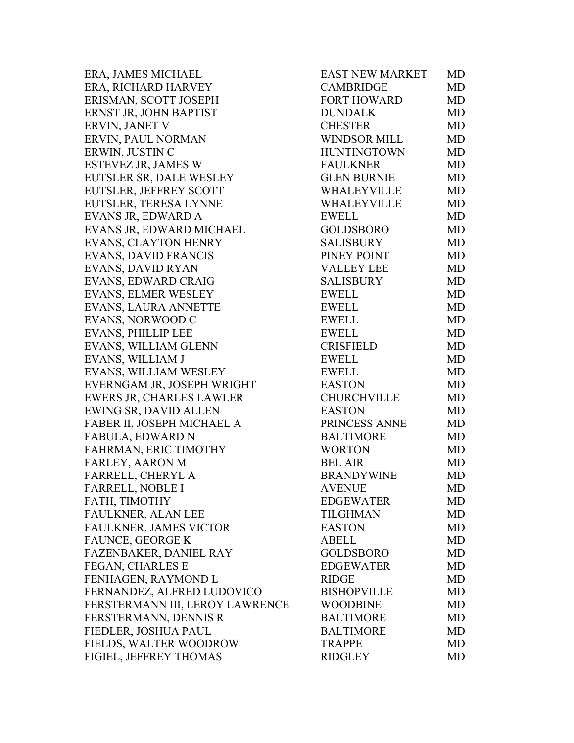ERA, JAMES MICHAEL ERA, RICHARD HARVEY ERISMAN, SCOTT JOSEPH ERNST JR, JOHN BAPTIST ERVIN, JANET V ERVIN, PAUL NORMAN ERWIN, JUSTIN C ESTEVEZ JR, JAMES W EUTSLER SR, DALE WESLEY EUTSLER, JEFFREY SCOTT EUTSLER, TERESA LYNNE EVANS JR, EDWARD A EVANS JR, EDWARD MICHAEL EVANS, CLAYTON HENRY EVANS, DAVID FRANCIS EVANS, DAVID RYAN EVANS, EDWARD CRAIG EVANS, ELMER WESLEY EVANS, LAURA ANNETTE EVANS, NORWOOD C EVANS, PHILLIP LEE EVANS, WILLIAM GLENN EVANS, WILLIAM J EVANS, WILLIAM WESLEY EVERNGAM JR, JOSEPH WRIGHT EWERS JR, CHARLES LAWLER EWING SR, DAVID ALLEN FABER II, JOSEPH MICHAEL A FABULA, EDWARD N FAHRMAN, ERIC TIMOTHY FARLEY, AARON M FARRELL, CHERYL A FARRELL, NOBLE I FATH, TIMOTHY FAULKNER, ALAN LEE FAULKNER, JAMES VICTOR FAUNCE, GEORGE K FAZENBAKER, DANIEL RAY FEGAN, CHARLES E FENHAGEN, RAYMOND L FERNANDEZ, ALFRED LUDOVICO FERSTERMANN III, LEROY LAWRENCE FERSTERMANN, DENNIS R FIEDLER, JOSHUA PAUL FIELDS, WALTER WOODROW FIGIEL, JEFFREY THOMAS

| <b>EAST NEW MARKET</b> | MD        |
|------------------------|-----------|
| <b>CAMBRIDGE</b>       | MD        |
| <b>FORT HOWARD</b>     | <b>MD</b> |
| <b>DUNDALK</b>         | MD        |
| <b>CHESTER</b>         | <b>MD</b> |
| <b>WINDSOR MILL</b>    | <b>MD</b> |
| <b>HUNTINGTOWN</b>     | MD        |
| <b>FAULKNER</b>        | <b>MD</b> |
| <b>GLEN BURNIE</b>     | <b>MD</b> |
| WHALEYVILLE            | <b>MD</b> |
| <b>WHALEYVILLE</b>     | <b>MD</b> |
| <b>EWELL</b>           | MD        |
| <b>GOLDSBORO</b>       | <b>MD</b> |
| <b>SALISBURY</b>       | MD        |
| PINEY POINT            | <b>MD</b> |
| <b>VALLEY LEE</b>      | <b>MD</b> |
| <b>SALISBURY</b>       | <b>MD</b> |
| <b>EWELL</b>           | <b>MD</b> |
| <b>EWELL</b>           | <b>MD</b> |
| <b>EWELL</b>           | <b>MD</b> |
| <b>EWELL</b>           | <b>MD</b> |
| <b>CRISFIELD</b>       | MD        |
| <b>EWELL</b>           | MD        |
| <b>EWELL</b>           | MD        |
| <b>EASTON</b>          | <b>MD</b> |
| <b>CHURCHVILLE</b>     | <b>MD</b> |
| <b>EASTON</b>          | <b>MD</b> |
| PRINCESS ANNE          | <b>MD</b> |
| <b>BALTIMORE</b>       | MD        |
| <b>WORTON</b>          | <b>MD</b> |
| <b>BEL AIR</b>         | MD        |
| <b>BRANDYWINE</b>      | <b>MD</b> |
| <b>AVENUE</b>          | MD        |
| <b>EDGEWATER</b>       | MD        |
| <b>TILGHMAN</b>        | MD        |
| <b>EASTON</b>          | MD        |
| <b>ABELL</b>           | MD        |
| <b>GOLDSBORO</b>       | MD        |
| <b>EDGEWATER</b>       | MD        |
| <b>RIDGE</b>           | <b>MD</b> |
| <b>BISHOPVILLE</b>     | MD        |
| <b>WOODBINE</b>        | MD        |
| <b>BALTIMORE</b>       | MD        |
| <b>BALTIMORE</b>       | MD        |
| <b>TRAPPE</b>          | <b>MD</b> |
| <b>RIDGLEY</b>         | MD        |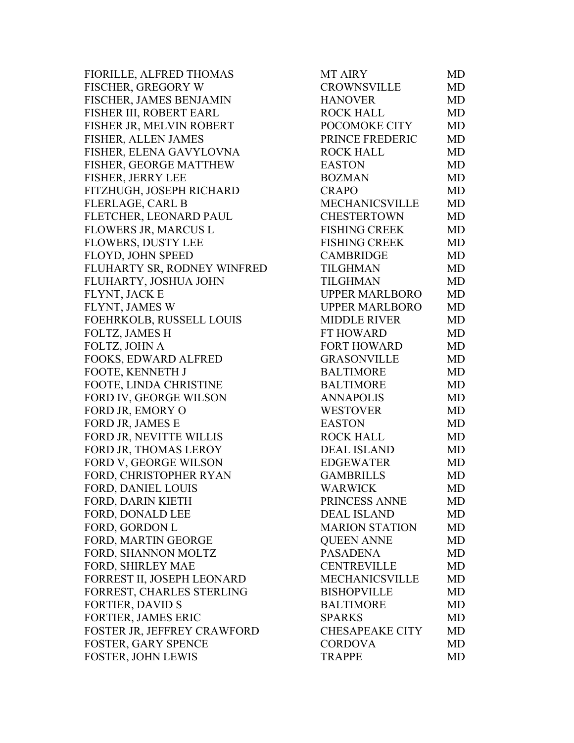FIORILLE, ALFRED THOMAS FISCHER, GREGORY W FISCHER, JAMES BENJAMIN FISHER III, ROBERT EARL FISHER JR, MELVIN ROBERT FISHER, ALLEN JAMES FISHER, ELENA GAVYLOVNA FISHER, GEORGE MATTHEW FISHER, JERRY LEE FITZHUGH, JOSEPH RICHARD FLERLAGE, CARL B FLETCHER, LEONARD PAUL FLOWERS JR, MARCUS L FLOWERS, DUSTY LEE FLOYD, JOHN SPEED FLUHARTY SR, RODNEY WINFRED FLUHARTY, JOSHUA JOHN FLYNT, JACK E FLYNT, JAMES W FOEHRKOLB, RUSSELL LOUIS FOLTZ, JAMES H FOLTZ, JOHN A FOOKS, EDWARD ALFRED FOOTE, KENNETH J FOOTE, LINDA CHRISTINE FORD IV, GEORGE WILSON FORD JR, EMORY O FORD JR, JAMES E FORD JR, NEVITTE WILLIS FORD JR, THOMAS LEROY FORD V, GEORGE WILSON FORD, CHRISTOPHER RYAN FORD, DANIEL LOUIS FORD, DARIN KIETH FORD, DONALD LEE FORD, GORDON L FORD, MARTIN GEORGE FORD, SHANNON MOLTZ FORD, SHIRLEY MAE FORREST II, JOSEPH LEONARD FORREST, CHARLES STERLING FORTIER, DAVID S FORTIER, JAMES ERIC FOSTER JR, JEFFREY CRAWFORD FOSTER, GARY SPENCE FOSTER, JOHN LEWIS

| <b>MT AIRY</b>         | MD        |
|------------------------|-----------|
| <b>CROWNSVILLE</b>     | <b>MD</b> |
| <b>HANOVER</b>         | MD        |
| <b>ROCK HALL</b>       | <b>MD</b> |
| POCOMOKE CITY          | <b>MD</b> |
| PRINCE FREDERIC        | <b>MD</b> |
| <b>ROCK HALL</b>       | <b>MD</b> |
| <b>EASTON</b>          | <b>MD</b> |
| <b>BOZMAN</b>          | <b>MD</b> |
| <b>CRAPO</b>           | <b>MD</b> |
| MECHANICSVILLE         | <b>MD</b> |
| <b>CHESTERTOWN</b>     | <b>MD</b> |
| <b>FISHING CREEK</b>   | <b>MD</b> |
| <b>FISHING CREEK</b>   | <b>MD</b> |
| <b>CAMBRIDGE</b>       | <b>MD</b> |
| <b>TILGHMAN</b>        | <b>MD</b> |
| <b>TILGHMAN</b>        | <b>MD</b> |
| <b>UPPER MARLBORO</b>  | MD        |
| <b>UPPER MARLBORO</b>  | <b>MD</b> |
| <b>MIDDLE RIVER</b>    | <b>MD</b> |
| <b>FT HOWARD</b>       | <b>MD</b> |
| <b>FORT HOWARD</b>     | <b>MD</b> |
| <b>GRASONVILLE</b>     | MD        |
| <b>BALTIMORE</b>       | <b>MD</b> |
| <b>BALTIMORE</b>       | <b>MD</b> |
| <b>ANNAPOLIS</b>       | <b>MD</b> |
| <b>WESTOVER</b>        | <b>MD</b> |
| <b>EASTON</b>          | <b>MD</b> |
| <b>ROCK HALL</b>       | MD        |
| <b>DEAL ISLAND</b>     | <b>MD</b> |
| <b>EDGEWATER</b>       | <b>MD</b> |
| <b>GAMBRILLS</b>       | MD        |
| <b>WARWICK</b>         | MD        |
| PRINCESS ANNE          | MD        |
| <b>DEAL ISLAND</b>     | <b>MD</b> |
| <b>MARION STATION</b>  | MD        |
| <b>QUEEN ANNE</b>      | <b>MD</b> |
| <b>PASADENA</b>        | MD        |
| <b>CENTREVILLE</b>     | MD        |
| <b>MECHANICSVILLE</b>  | <b>MD</b> |
| <b>BISHOPVILLE</b>     | <b>MD</b> |
| <b>BALTIMORE</b>       | MD        |
| SPARKS                 | <b>MD</b> |
| <b>CHESAPEAKE CITY</b> | <b>MD</b> |
| <b>CORDOVA</b>         | MD        |
| <b>TRAPPE</b>          | MD        |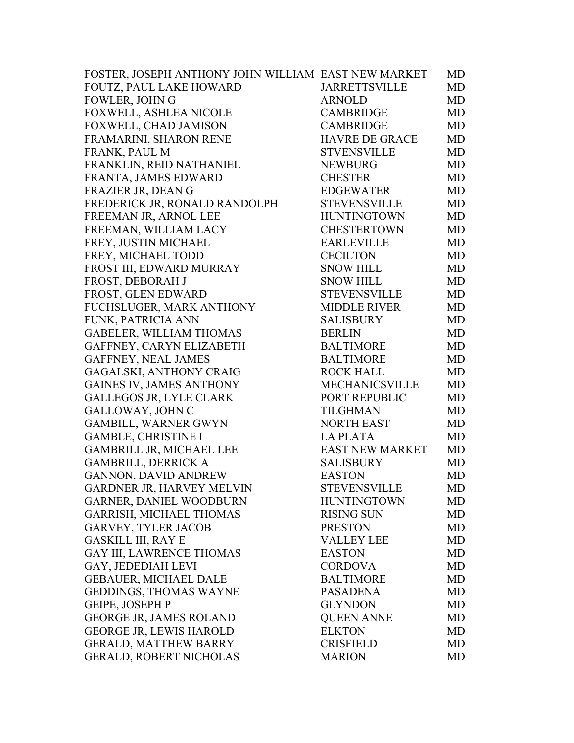| FOUTZ, PAUL LAKE HOWARD<br><b>JARRETTSVILLE</b><br><b>MD</b><br><b>FOWLER, JOHN G</b><br><b>ARNOLD</b><br>MD<br>FOXWELL, ASHLEA NICOLE<br><b>CAMBRIDGE</b><br><b>MD</b><br>FOXWELL, CHAD JAMISON<br><b>CAMBRIDGE</b><br><b>MD</b><br>FRAMARINI, SHARON RENE<br><b>HAVRE DE GRACE</b><br><b>MD</b><br>FRANK, PAUL M<br>MD<br><b>STVENSVILLE</b><br>FRANKLIN, REID NATHANIEL<br><b>NEWBURG</b><br>MD<br>FRANTA, JAMES EDWARD<br><b>CHESTER</b><br>MD<br>FRAZIER JR, DEAN G<br><b>EDGEWATER</b><br>MD<br>FREDERICK JR, RONALD RANDOLPH<br><b>STEVENSVILLE</b><br><b>MD</b><br>FREEMAN JR, ARNOL LEE<br><b>HUNTINGTOWN</b><br>MD<br>FREEMAN, WILLIAM LACY<br><b>CHESTERTOWN</b><br>MD<br>FREY, JUSTIN MICHAEL<br><b>EARLEVILLE</b><br>MD<br>FREY, MICHAEL TODD<br><b>CECILTON</b><br>MD<br>FROST III, EDWARD MURRAY<br><b>SNOW HILL</b><br><b>MD</b><br>FROST, DEBORAH J<br>MD<br><b>SNOW HILL</b><br>FROST, GLEN EDWARD<br><b>STEVENSVILLE</b><br>MD<br>FUCHSLUGER, MARK ANTHONY<br><b>MIDDLE RIVER</b><br>MD<br><b>MD</b><br>FUNK, PATRICIA ANN<br><b>SALISBURY</b><br>GABELER, WILLIAM THOMAS<br><b>BERLIN</b><br>MD<br>GAFFNEY, CARYN ELIZABETH<br><b>BALTIMORE</b><br>MD<br>GAFFNEY, NEAL JAMES<br><b>BALTIMORE</b><br><b>MD</b><br>GAGALSKI, ANTHONY CRAIG<br><b>ROCK HALL</b><br><b>MD</b><br><b>GAINES IV, JAMES ANTHONY</b><br><b>MECHANICSVILLE</b><br><b>MD</b><br>GALLEGOS JR, LYLE CLARK<br>PORT REPUBLIC<br>MD<br>GALLOWAY, JOHN C<br>MD<br><b>TILGHMAN</b><br><b>GAMBILL, WARNER GWYN</b><br><b>NORTH EAST</b><br>MD<br><b>GAMBLE, CHRISTINE I</b><br><b>LA PLATA</b><br><b>MD</b><br><b>GAMBRILL JR, MICHAEL LEE</b><br><b>EAST NEW MARKET</b><br>MD<br><b>GAMBRILL, DERRICK A</b><br><b>SALISBURY</b><br>MD<br><b>GANNON, DAVID ANDREW</b><br><b>EASTON</b><br>MD<br>GARDNER JR, HARVEY MELVIN<br>STEVENSVILLE<br>MD<br><b>GARNER, DANIEL WOODBURN</b><br><b>HUNTINGTOWN</b><br>MD.<br>GARRISH, MICHAEL THOMAS<br><b>RISING SUN</b><br>MD<br><b>GARVEY, TYLER JACOB</b><br><b>PRESTON</b><br><b>MD</b><br><b>GASKILL III, RAY E</b><br>MD<br><b>VALLEY LEE</b><br><b>GAY III, LAWRENCE THOMAS</b><br><b>EASTON</b><br><b>MD</b><br>GAY, JEDEDIAH LEVI<br><b>CORDOVA</b><br><b>MD</b><br><b>GEBAUER, MICHAEL DALE</b><br><b>BALTIMORE</b><br>MD<br>GEDDINGS, THOMAS WAYNE<br><b>PASADENA</b><br>MD<br><b>GEIPE, JOSEPH P</b><br><b>GLYNDON</b><br>MD<br>GEORGE JR, JAMES ROLAND<br><b>QUEEN ANNE</b><br>MD<br><b>GEORGE JR, LEWIS HAROLD</b><br><b>ELKTON</b><br><b>MD</b><br><b>GERALD, MATTHEW BARRY</b><br><b>CRISFIELD</b><br><b>MD</b><br><b>GERALD, ROBERT NICHOLAS</b><br><b>MARION</b><br>MD | FOSTER, JOSEPH ANTHONY JOHN WILLIAM EAST NEW MARKET | MD |
|------------------------------------------------------------------------------------------------------------------------------------------------------------------------------------------------------------------------------------------------------------------------------------------------------------------------------------------------------------------------------------------------------------------------------------------------------------------------------------------------------------------------------------------------------------------------------------------------------------------------------------------------------------------------------------------------------------------------------------------------------------------------------------------------------------------------------------------------------------------------------------------------------------------------------------------------------------------------------------------------------------------------------------------------------------------------------------------------------------------------------------------------------------------------------------------------------------------------------------------------------------------------------------------------------------------------------------------------------------------------------------------------------------------------------------------------------------------------------------------------------------------------------------------------------------------------------------------------------------------------------------------------------------------------------------------------------------------------------------------------------------------------------------------------------------------------------------------------------------------------------------------------------------------------------------------------------------------------------------------------------------------------------------------------------------------------------------------------------------------------------------------------------------------------------------------------------------------------------------------------------------------------------------------------------------------------------------------------------------------------------------------------------------------------------------------------------------------------------------------------------------------------------------------------------------------------------------------------------------------|-----------------------------------------------------|----|
|                                                                                                                                                                                                                                                                                                                                                                                                                                                                                                                                                                                                                                                                                                                                                                                                                                                                                                                                                                                                                                                                                                                                                                                                                                                                                                                                                                                                                                                                                                                                                                                                                                                                                                                                                                                                                                                                                                                                                                                                                                                                                                                                                                                                                                                                                                                                                                                                                                                                                                                                                                                                                  |                                                     |    |
|                                                                                                                                                                                                                                                                                                                                                                                                                                                                                                                                                                                                                                                                                                                                                                                                                                                                                                                                                                                                                                                                                                                                                                                                                                                                                                                                                                                                                                                                                                                                                                                                                                                                                                                                                                                                                                                                                                                                                                                                                                                                                                                                                                                                                                                                                                                                                                                                                                                                                                                                                                                                                  |                                                     |    |
|                                                                                                                                                                                                                                                                                                                                                                                                                                                                                                                                                                                                                                                                                                                                                                                                                                                                                                                                                                                                                                                                                                                                                                                                                                                                                                                                                                                                                                                                                                                                                                                                                                                                                                                                                                                                                                                                                                                                                                                                                                                                                                                                                                                                                                                                                                                                                                                                                                                                                                                                                                                                                  |                                                     |    |
|                                                                                                                                                                                                                                                                                                                                                                                                                                                                                                                                                                                                                                                                                                                                                                                                                                                                                                                                                                                                                                                                                                                                                                                                                                                                                                                                                                                                                                                                                                                                                                                                                                                                                                                                                                                                                                                                                                                                                                                                                                                                                                                                                                                                                                                                                                                                                                                                                                                                                                                                                                                                                  |                                                     |    |
|                                                                                                                                                                                                                                                                                                                                                                                                                                                                                                                                                                                                                                                                                                                                                                                                                                                                                                                                                                                                                                                                                                                                                                                                                                                                                                                                                                                                                                                                                                                                                                                                                                                                                                                                                                                                                                                                                                                                                                                                                                                                                                                                                                                                                                                                                                                                                                                                                                                                                                                                                                                                                  |                                                     |    |
|                                                                                                                                                                                                                                                                                                                                                                                                                                                                                                                                                                                                                                                                                                                                                                                                                                                                                                                                                                                                                                                                                                                                                                                                                                                                                                                                                                                                                                                                                                                                                                                                                                                                                                                                                                                                                                                                                                                                                                                                                                                                                                                                                                                                                                                                                                                                                                                                                                                                                                                                                                                                                  |                                                     |    |
|                                                                                                                                                                                                                                                                                                                                                                                                                                                                                                                                                                                                                                                                                                                                                                                                                                                                                                                                                                                                                                                                                                                                                                                                                                                                                                                                                                                                                                                                                                                                                                                                                                                                                                                                                                                                                                                                                                                                                                                                                                                                                                                                                                                                                                                                                                                                                                                                                                                                                                                                                                                                                  |                                                     |    |
|                                                                                                                                                                                                                                                                                                                                                                                                                                                                                                                                                                                                                                                                                                                                                                                                                                                                                                                                                                                                                                                                                                                                                                                                                                                                                                                                                                                                                                                                                                                                                                                                                                                                                                                                                                                                                                                                                                                                                                                                                                                                                                                                                                                                                                                                                                                                                                                                                                                                                                                                                                                                                  |                                                     |    |
|                                                                                                                                                                                                                                                                                                                                                                                                                                                                                                                                                                                                                                                                                                                                                                                                                                                                                                                                                                                                                                                                                                                                                                                                                                                                                                                                                                                                                                                                                                                                                                                                                                                                                                                                                                                                                                                                                                                                                                                                                                                                                                                                                                                                                                                                                                                                                                                                                                                                                                                                                                                                                  |                                                     |    |
|                                                                                                                                                                                                                                                                                                                                                                                                                                                                                                                                                                                                                                                                                                                                                                                                                                                                                                                                                                                                                                                                                                                                                                                                                                                                                                                                                                                                                                                                                                                                                                                                                                                                                                                                                                                                                                                                                                                                                                                                                                                                                                                                                                                                                                                                                                                                                                                                                                                                                                                                                                                                                  |                                                     |    |
|                                                                                                                                                                                                                                                                                                                                                                                                                                                                                                                                                                                                                                                                                                                                                                                                                                                                                                                                                                                                                                                                                                                                                                                                                                                                                                                                                                                                                                                                                                                                                                                                                                                                                                                                                                                                                                                                                                                                                                                                                                                                                                                                                                                                                                                                                                                                                                                                                                                                                                                                                                                                                  |                                                     |    |
|                                                                                                                                                                                                                                                                                                                                                                                                                                                                                                                                                                                                                                                                                                                                                                                                                                                                                                                                                                                                                                                                                                                                                                                                                                                                                                                                                                                                                                                                                                                                                                                                                                                                                                                                                                                                                                                                                                                                                                                                                                                                                                                                                                                                                                                                                                                                                                                                                                                                                                                                                                                                                  |                                                     |    |
|                                                                                                                                                                                                                                                                                                                                                                                                                                                                                                                                                                                                                                                                                                                                                                                                                                                                                                                                                                                                                                                                                                                                                                                                                                                                                                                                                                                                                                                                                                                                                                                                                                                                                                                                                                                                                                                                                                                                                                                                                                                                                                                                                                                                                                                                                                                                                                                                                                                                                                                                                                                                                  |                                                     |    |
|                                                                                                                                                                                                                                                                                                                                                                                                                                                                                                                                                                                                                                                                                                                                                                                                                                                                                                                                                                                                                                                                                                                                                                                                                                                                                                                                                                                                                                                                                                                                                                                                                                                                                                                                                                                                                                                                                                                                                                                                                                                                                                                                                                                                                                                                                                                                                                                                                                                                                                                                                                                                                  |                                                     |    |
|                                                                                                                                                                                                                                                                                                                                                                                                                                                                                                                                                                                                                                                                                                                                                                                                                                                                                                                                                                                                                                                                                                                                                                                                                                                                                                                                                                                                                                                                                                                                                                                                                                                                                                                                                                                                                                                                                                                                                                                                                                                                                                                                                                                                                                                                                                                                                                                                                                                                                                                                                                                                                  |                                                     |    |
|                                                                                                                                                                                                                                                                                                                                                                                                                                                                                                                                                                                                                                                                                                                                                                                                                                                                                                                                                                                                                                                                                                                                                                                                                                                                                                                                                                                                                                                                                                                                                                                                                                                                                                                                                                                                                                                                                                                                                                                                                                                                                                                                                                                                                                                                                                                                                                                                                                                                                                                                                                                                                  |                                                     |    |
|                                                                                                                                                                                                                                                                                                                                                                                                                                                                                                                                                                                                                                                                                                                                                                                                                                                                                                                                                                                                                                                                                                                                                                                                                                                                                                                                                                                                                                                                                                                                                                                                                                                                                                                                                                                                                                                                                                                                                                                                                                                                                                                                                                                                                                                                                                                                                                                                                                                                                                                                                                                                                  |                                                     |    |
|                                                                                                                                                                                                                                                                                                                                                                                                                                                                                                                                                                                                                                                                                                                                                                                                                                                                                                                                                                                                                                                                                                                                                                                                                                                                                                                                                                                                                                                                                                                                                                                                                                                                                                                                                                                                                                                                                                                                                                                                                                                                                                                                                                                                                                                                                                                                                                                                                                                                                                                                                                                                                  |                                                     |    |
|                                                                                                                                                                                                                                                                                                                                                                                                                                                                                                                                                                                                                                                                                                                                                                                                                                                                                                                                                                                                                                                                                                                                                                                                                                                                                                                                                                                                                                                                                                                                                                                                                                                                                                                                                                                                                                                                                                                                                                                                                                                                                                                                                                                                                                                                                                                                                                                                                                                                                                                                                                                                                  |                                                     |    |
|                                                                                                                                                                                                                                                                                                                                                                                                                                                                                                                                                                                                                                                                                                                                                                                                                                                                                                                                                                                                                                                                                                                                                                                                                                                                                                                                                                                                                                                                                                                                                                                                                                                                                                                                                                                                                                                                                                                                                                                                                                                                                                                                                                                                                                                                                                                                                                                                                                                                                                                                                                                                                  |                                                     |    |
|                                                                                                                                                                                                                                                                                                                                                                                                                                                                                                                                                                                                                                                                                                                                                                                                                                                                                                                                                                                                                                                                                                                                                                                                                                                                                                                                                                                                                                                                                                                                                                                                                                                                                                                                                                                                                                                                                                                                                                                                                                                                                                                                                                                                                                                                                                                                                                                                                                                                                                                                                                                                                  |                                                     |    |
|                                                                                                                                                                                                                                                                                                                                                                                                                                                                                                                                                                                                                                                                                                                                                                                                                                                                                                                                                                                                                                                                                                                                                                                                                                                                                                                                                                                                                                                                                                                                                                                                                                                                                                                                                                                                                                                                                                                                                                                                                                                                                                                                                                                                                                                                                                                                                                                                                                                                                                                                                                                                                  |                                                     |    |
|                                                                                                                                                                                                                                                                                                                                                                                                                                                                                                                                                                                                                                                                                                                                                                                                                                                                                                                                                                                                                                                                                                                                                                                                                                                                                                                                                                                                                                                                                                                                                                                                                                                                                                                                                                                                                                                                                                                                                                                                                                                                                                                                                                                                                                                                                                                                                                                                                                                                                                                                                                                                                  |                                                     |    |
|                                                                                                                                                                                                                                                                                                                                                                                                                                                                                                                                                                                                                                                                                                                                                                                                                                                                                                                                                                                                                                                                                                                                                                                                                                                                                                                                                                                                                                                                                                                                                                                                                                                                                                                                                                                                                                                                                                                                                                                                                                                                                                                                                                                                                                                                                                                                                                                                                                                                                                                                                                                                                  |                                                     |    |
|                                                                                                                                                                                                                                                                                                                                                                                                                                                                                                                                                                                                                                                                                                                                                                                                                                                                                                                                                                                                                                                                                                                                                                                                                                                                                                                                                                                                                                                                                                                                                                                                                                                                                                                                                                                                                                                                                                                                                                                                                                                                                                                                                                                                                                                                                                                                                                                                                                                                                                                                                                                                                  |                                                     |    |
|                                                                                                                                                                                                                                                                                                                                                                                                                                                                                                                                                                                                                                                                                                                                                                                                                                                                                                                                                                                                                                                                                                                                                                                                                                                                                                                                                                                                                                                                                                                                                                                                                                                                                                                                                                                                                                                                                                                                                                                                                                                                                                                                                                                                                                                                                                                                                                                                                                                                                                                                                                                                                  |                                                     |    |
|                                                                                                                                                                                                                                                                                                                                                                                                                                                                                                                                                                                                                                                                                                                                                                                                                                                                                                                                                                                                                                                                                                                                                                                                                                                                                                                                                                                                                                                                                                                                                                                                                                                                                                                                                                                                                                                                                                                                                                                                                                                                                                                                                                                                                                                                                                                                                                                                                                                                                                                                                                                                                  |                                                     |    |
|                                                                                                                                                                                                                                                                                                                                                                                                                                                                                                                                                                                                                                                                                                                                                                                                                                                                                                                                                                                                                                                                                                                                                                                                                                                                                                                                                                                                                                                                                                                                                                                                                                                                                                                                                                                                                                                                                                                                                                                                                                                                                                                                                                                                                                                                                                                                                                                                                                                                                                                                                                                                                  |                                                     |    |
|                                                                                                                                                                                                                                                                                                                                                                                                                                                                                                                                                                                                                                                                                                                                                                                                                                                                                                                                                                                                                                                                                                                                                                                                                                                                                                                                                                                                                                                                                                                                                                                                                                                                                                                                                                                                                                                                                                                                                                                                                                                                                                                                                                                                                                                                                                                                                                                                                                                                                                                                                                                                                  |                                                     |    |
|                                                                                                                                                                                                                                                                                                                                                                                                                                                                                                                                                                                                                                                                                                                                                                                                                                                                                                                                                                                                                                                                                                                                                                                                                                                                                                                                                                                                                                                                                                                                                                                                                                                                                                                                                                                                                                                                                                                                                                                                                                                                                                                                                                                                                                                                                                                                                                                                                                                                                                                                                                                                                  |                                                     |    |
|                                                                                                                                                                                                                                                                                                                                                                                                                                                                                                                                                                                                                                                                                                                                                                                                                                                                                                                                                                                                                                                                                                                                                                                                                                                                                                                                                                                                                                                                                                                                                                                                                                                                                                                                                                                                                                                                                                                                                                                                                                                                                                                                                                                                                                                                                                                                                                                                                                                                                                                                                                                                                  |                                                     |    |
|                                                                                                                                                                                                                                                                                                                                                                                                                                                                                                                                                                                                                                                                                                                                                                                                                                                                                                                                                                                                                                                                                                                                                                                                                                                                                                                                                                                                                                                                                                                                                                                                                                                                                                                                                                                                                                                                                                                                                                                                                                                                                                                                                                                                                                                                                                                                                                                                                                                                                                                                                                                                                  |                                                     |    |
|                                                                                                                                                                                                                                                                                                                                                                                                                                                                                                                                                                                                                                                                                                                                                                                                                                                                                                                                                                                                                                                                                                                                                                                                                                                                                                                                                                                                                                                                                                                                                                                                                                                                                                                                                                                                                                                                                                                                                                                                                                                                                                                                                                                                                                                                                                                                                                                                                                                                                                                                                                                                                  |                                                     |    |
|                                                                                                                                                                                                                                                                                                                                                                                                                                                                                                                                                                                                                                                                                                                                                                                                                                                                                                                                                                                                                                                                                                                                                                                                                                                                                                                                                                                                                                                                                                                                                                                                                                                                                                                                                                                                                                                                                                                                                                                                                                                                                                                                                                                                                                                                                                                                                                                                                                                                                                                                                                                                                  |                                                     |    |
|                                                                                                                                                                                                                                                                                                                                                                                                                                                                                                                                                                                                                                                                                                                                                                                                                                                                                                                                                                                                                                                                                                                                                                                                                                                                                                                                                                                                                                                                                                                                                                                                                                                                                                                                                                                                                                                                                                                                                                                                                                                                                                                                                                                                                                                                                                                                                                                                                                                                                                                                                                                                                  |                                                     |    |
|                                                                                                                                                                                                                                                                                                                                                                                                                                                                                                                                                                                                                                                                                                                                                                                                                                                                                                                                                                                                                                                                                                                                                                                                                                                                                                                                                                                                                                                                                                                                                                                                                                                                                                                                                                                                                                                                                                                                                                                                                                                                                                                                                                                                                                                                                                                                                                                                                                                                                                                                                                                                                  |                                                     |    |
|                                                                                                                                                                                                                                                                                                                                                                                                                                                                                                                                                                                                                                                                                                                                                                                                                                                                                                                                                                                                                                                                                                                                                                                                                                                                                                                                                                                                                                                                                                                                                                                                                                                                                                                                                                                                                                                                                                                                                                                                                                                                                                                                                                                                                                                                                                                                                                                                                                                                                                                                                                                                                  |                                                     |    |
|                                                                                                                                                                                                                                                                                                                                                                                                                                                                                                                                                                                                                                                                                                                                                                                                                                                                                                                                                                                                                                                                                                                                                                                                                                                                                                                                                                                                                                                                                                                                                                                                                                                                                                                                                                                                                                                                                                                                                                                                                                                                                                                                                                                                                                                                                                                                                                                                                                                                                                                                                                                                                  |                                                     |    |
|                                                                                                                                                                                                                                                                                                                                                                                                                                                                                                                                                                                                                                                                                                                                                                                                                                                                                                                                                                                                                                                                                                                                                                                                                                                                                                                                                                                                                                                                                                                                                                                                                                                                                                                                                                                                                                                                                                                                                                                                                                                                                                                                                                                                                                                                                                                                                                                                                                                                                                                                                                                                                  |                                                     |    |
|                                                                                                                                                                                                                                                                                                                                                                                                                                                                                                                                                                                                                                                                                                                                                                                                                                                                                                                                                                                                                                                                                                                                                                                                                                                                                                                                                                                                                                                                                                                                                                                                                                                                                                                                                                                                                                                                                                                                                                                                                                                                                                                                                                                                                                                                                                                                                                                                                                                                                                                                                                                                                  |                                                     |    |
|                                                                                                                                                                                                                                                                                                                                                                                                                                                                                                                                                                                                                                                                                                                                                                                                                                                                                                                                                                                                                                                                                                                                                                                                                                                                                                                                                                                                                                                                                                                                                                                                                                                                                                                                                                                                                                                                                                                                                                                                                                                                                                                                                                                                                                                                                                                                                                                                                                                                                                                                                                                                                  |                                                     |    |
|                                                                                                                                                                                                                                                                                                                                                                                                                                                                                                                                                                                                                                                                                                                                                                                                                                                                                                                                                                                                                                                                                                                                                                                                                                                                                                                                                                                                                                                                                                                                                                                                                                                                                                                                                                                                                                                                                                                                                                                                                                                                                                                                                                                                                                                                                                                                                                                                                                                                                                                                                                                                                  |                                                     |    |
|                                                                                                                                                                                                                                                                                                                                                                                                                                                                                                                                                                                                                                                                                                                                                                                                                                                                                                                                                                                                                                                                                                                                                                                                                                                                                                                                                                                                                                                                                                                                                                                                                                                                                                                                                                                                                                                                                                                                                                                                                                                                                                                                                                                                                                                                                                                                                                                                                                                                                                                                                                                                                  |                                                     |    |
|                                                                                                                                                                                                                                                                                                                                                                                                                                                                                                                                                                                                                                                                                                                                                                                                                                                                                                                                                                                                                                                                                                                                                                                                                                                                                                                                                                                                                                                                                                                                                                                                                                                                                                                                                                                                                                                                                                                                                                                                                                                                                                                                                                                                                                                                                                                                                                                                                                                                                                                                                                                                                  |                                                     |    |
|                                                                                                                                                                                                                                                                                                                                                                                                                                                                                                                                                                                                                                                                                                                                                                                                                                                                                                                                                                                                                                                                                                                                                                                                                                                                                                                                                                                                                                                                                                                                                                                                                                                                                                                                                                                                                                                                                                                                                                                                                                                                                                                                                                                                                                                                                                                                                                                                                                                                                                                                                                                                                  |                                                     |    |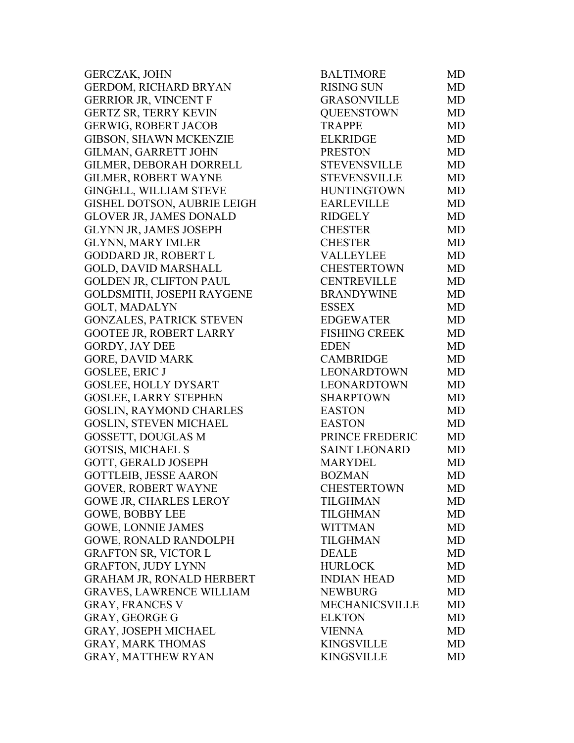GERCZAK, JOHN GERDOM, RICHARD BRYAN GERRIOR JR, VINCENT F GERTZ SR, TERRY KEVIN GERWIG, ROBERT JACOB GIBSON, SHAWN MCKENZIE GILMAN, GARRETT JOHN GILMER, DEBORAH DORRELL GILMER, ROBERT WAYNE GINGELL, WILLIAM STEVE GISHEL DOTSON, AUBRIE LEIGH GLOVER JR, JAMES DONALD GLYNN JR, JAMES JOSEPH **GLYNN, MARY IMLER** GODDARD JR, ROBERT L GOLD, DAVID MARSHALL GOLDEN JR, CLIFTON PAUL GOLDSMITH, JOSEPH RAYGENE GOLT, MADALYN GONZALES, PATRICK STEVEN GOOTEE JR, ROBERT LARRY GORDY, JAY DEE GORE, DAVID MARK GOSLEE, ERIC J GOSLEE, HOLLY DYSART GOSLEE, LARRY STEPHEN GOSLIN, RAYMOND CHARLES GOSLIN, STEVEN MICHAEL GOSSETT, DOUGLAS M GOTSIS, MICHAEL S GOTT, GERALD JOSEPH GOTTLEIB, JESSE AARON GOVER, ROBERT WAYNE GOWE JR, CHARLES LEROY GOWE, BOBBY LEE GOWE, LONNIE JAMES GOWE, RONALD RANDOLPH GRAFTON SR, VICTOR L GRAFTON, JUDY LYNN GRAHAM JR, RONALD HERBERT GRAVES, LAWRENCE WILLIAM GRAY, FRANCES V GRAY, GEORGE G GRAY, JOSEPH MICHAEL GRAY, MARK THOMAS GRAY, MATTHEW RYAN

| <b>BALTIMORE</b>      | MD        |
|-----------------------|-----------|
| <b>RISING SUN</b>     | <b>MD</b> |
| <b>GRASONVILLE</b>    | <b>MD</b> |
| <b>QUEENSTOWN</b>     | <b>MD</b> |
| <b>TRAPPE</b>         | <b>MD</b> |
| <b>ELKRIDGE</b>       | <b>MD</b> |
| <b>PRESTON</b>        | <b>MD</b> |
| <b>STEVENSVILLE</b>   | <b>MD</b> |
| <b>STEVENSVILLE</b>   | <b>MD</b> |
| <b>HUNTINGTOWN</b>    | <b>MD</b> |
| <b>EARLEVILLE</b>     | <b>MD</b> |
| <b>RIDGELY</b>        | <b>MD</b> |
| <b>CHESTER</b>        | <b>MD</b> |
| <b>CHESTER</b>        | <b>MD</b> |
| <b>VALLEYLEE</b>      | <b>MD</b> |
| <b>CHESTERTOWN</b>    | <b>MD</b> |
| <b>CENTREVILLE</b>    | <b>MD</b> |
| <b>BRANDYWINE</b>     | <b>MD</b> |
| <b>ESSEX</b>          | <b>MD</b> |
| <b>EDGEWATER</b>      | <b>MD</b> |
| <b>FISHING CREEK</b>  | <b>MD</b> |
| <b>EDEN</b>           | MD        |
| <b>CAMBRIDGE</b>      | MD        |
| <b>LEONARDTOWN</b>    | <b>MD</b> |
| <b>LEONARDTOWN</b>    | <b>MD</b> |
| <b>SHARPTOWN</b>      | <b>MD</b> |
| <b>EASTON</b>         | <b>MD</b> |
| <b>EASTON</b>         | <b>MD</b> |
| PRINCE FREDERIC       | <b>MD</b> |
| <b>SAINT LEONARD</b>  | <b>MD</b> |
| <b>MARYDEL</b>        | <b>MD</b> |
| <b>BOZMAN</b>         | <b>MD</b> |
| <b>CHESTERTOWN</b>    | MD        |
| <b>TILGHMAN</b>       | <b>MD</b> |
| <b>TILGHMAN</b>       | <b>MD</b> |
| <b>WITTMAN</b>        | MD        |
| <b>TILGHMAN</b>       | <b>MD</b> |
| <b>DEALE</b>          | MD        |
| <b>HURLOCK</b>        | MD        |
| <b>INDIAN HEAD</b>    | MD        |
| <b>NEWBURG</b>        | <b>MD</b> |
| <b>MECHANICSVILLE</b> | MD        |
| <b>ELKTON</b>         | MD        |
| <b>VIENNA</b>         | MD        |
| <b>KINGSVILLE</b>     | <b>MD</b> |
| <b>KINGSVILLE</b>     | MD        |
|                       |           |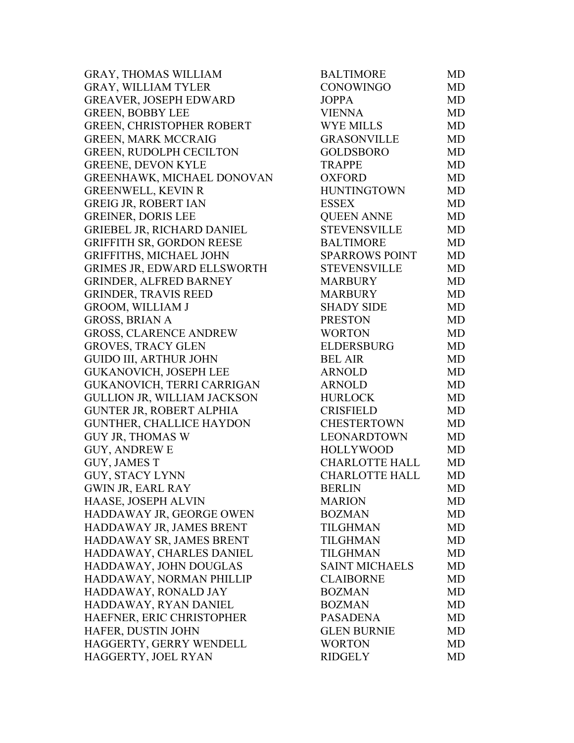GRAY, THOMAS WILLIAM GRAY, WILLIAM TYLER GREAVER, JOSEPH EDWARD GREEN, BOBBY LEE GREEN, CHRISTOPHER ROBERT GREEN, MARK MCCRAIG GREEN, RUDOLPH CECILTON GREENE, DEVON KYLE GREENHAWK, MICHAEL DONOVAN GREENWELL, KEVIN R GREIG JR, ROBERT IAN GREINER, DORIS LEE GRIEBEL JR, RICHARD DANIEL GRIFFITH SR, GORDON REESE GRIFFITHS, MICHAEL JOHN GRIMES JR, EDWARD ELLSWORTH GRINDER, ALFRED BARNEY GRINDER, TRAVIS REED GROOM, WILLIAM J GROSS, BRIAN A GROSS, CLARENCE ANDREW GROVES, TRACY GLEN GUIDO III, ARTHUR JOHN BEL AIR MD GUKANOVICH, JOSEPH LEE GUKANOVICH, TERRI CARRIGAN GULLION JR, WILLIAM JACKSON GUNTER JR, ROBERT ALPHIA GUNTHER, CHALLICE HAYDON GUY JR, THOMAS W GUY, ANDREW E GUY, JAMES T GUY, STACY LYNN GWIN JR, EARL RAY HAASE, JOSEPH ALVIN HADDAWAY JR, GEORGE OWEN HADDAWAY JR, JAMES BRENT HADDAWAY SR, JAMES BRENT HADDAWAY, CHARLES DANIEL HADDAWAY, JOHN DOUGLAS HADDAWAY, NORMAN PHILLIP HADDAWAY, RONALD JAY HADDAWAY, RYAN DANIEL HAEFNER, ERIC CHRISTOPHER HAFER, DUSTIN JOHN HAGGERTY, GERRY WENDELL HAGGERTY, JOEL RYAN

| <b>BALTIMORE</b>      | <b>MD</b> |
|-----------------------|-----------|
| <b>CONOWINGO</b>      | <b>MD</b> |
| <b>JOPPA</b>          | <b>MD</b> |
| <b>VIENNA</b>         | <b>MD</b> |
| <b>WYE MILLS</b>      | <b>MD</b> |
| <b>GRASONVILLE</b>    | <b>MD</b> |
| <b>GOLDSBORO</b>      | <b>MD</b> |
| <b>TRAPPE</b>         | <b>MD</b> |
| <b>OXFORD</b>         | <b>MD</b> |
| <b>HUNTINGTOWN</b>    | <b>MD</b> |
| <b>ESSEX</b>          | <b>MD</b> |
| <b>QUEEN ANNE</b>     | <b>MD</b> |
| <b>STEVENSVILLE</b>   | <b>MD</b> |
| <b>BALTIMORE</b>      | <b>MD</b> |
| <b>SPARROWS POINT</b> | <b>MD</b> |
| <b>STEVENSVILLE</b>   | <b>MD</b> |
| <b>MARBURY</b>        | <b>MD</b> |
| <b>MARBURY</b>        | <b>MD</b> |
| <b>SHADY SIDE</b>     | <b>MD</b> |
| <b>PRESTON</b>        | <b>MD</b> |
| <b>WORTON</b>         | <b>MD</b> |
| <b>ELDERSBURG</b>     | <b>MD</b> |
| <b>BEL AIR</b>        | <b>MD</b> |
| <b>ARNOLD</b>         | <b>MD</b> |
| <b>ARNOLD</b>         | <b>MD</b> |
| <b>HURLOCK</b>        | <b>MD</b> |
| <b>CRISFIELD</b>      | <b>MD</b> |
| <b>CHESTERTOWN</b>    | <b>MD</b> |
| <b>LEONARDTOWN</b>    | <b>MD</b> |
| <b>HOLLYWOOD</b>      | MD        |
| <b>CHARLOTTE HALL</b> | MD        |
| <b>CHARLOTTE HALL</b> | <b>MD</b> |
| <b>BERLIN</b>         | MD        |
| <b>MARION</b>         | MD        |
| <b>BOZMAN</b>         | MD        |
| TILGHMAN              | MD        |
| <b>TILGHMAN</b>       | MD        |
| TILGHMAN              | MD        |
| <b>SAINT MICHAELS</b> | MD        |
| <b>CLAIBORNE</b>      | <b>MD</b> |
| <b>BOZMAN</b>         | MD        |
| <b>BOZMAN</b>         | MD        |
| <b>PASADENA</b>       | <b>MD</b> |
| <b>GLEN BURNIE</b>    | MD        |
| <b>WORTON</b>         | MD        |
| <b>RIDGELY</b>        | MD        |
|                       |           |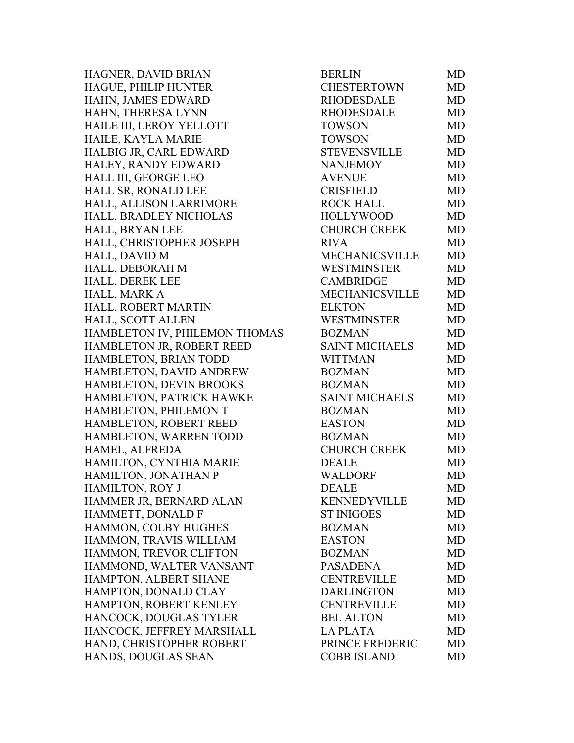HAGNER, DAVID BRIAN HAGUE, PHILIP HUNTER HAHN, JAMES EDWARD HAHN, THERESA LYNN HAILE III, LEROY YELLOTT HAILE, KAYLA MARIE HALBIG JR, CARL EDWARD HALEY, RANDY EDWARD HALL III, GEORGE LEO HALL SR, RONALD LEE HALL, ALLISON LARRIMORE HALL, BRADLEY NICHOLAS HALL, BRYAN LEE HALL, CHRISTOPHER JOSEPH HALL, DAVID M HALL, DEBORAH M HALL, DEREK LEE HALL, MARK A HALL, ROBERT MARTIN HALL, SCOTT ALLEN HAMBLETON IV, PHILEMON THOMAS HAMBLETON JR, ROBERT REED HAMBLETON, BRIAN TODD HAMBLETON, DAVID ANDREW HAMBLETON, DEVIN BROOKS HAMBLETON, PATRICK HAWKE HAMBLETON, PHILEMON T HAMBLETON, ROBERT REED HAMBLETON, WARREN TODD HAMEL, ALFREDA HAMILTON, CYNTHIA MARIE HAMILTON, JONATHAN P HAMILTON, ROY J HAMMER JR, BERNARD ALAN HAMMETT, DONALD F HAMMON, COLBY HUGHES HAMMON, TRAVIS WILLIAM HAMMON, TREVOR CLIFTON HAMMOND, WALTER VANSANT HAMPTON, ALBERT SHANE HAMPTON, DONALD CLAY HAMPTON, ROBERT KENLEY HANCOCK, DOUGLAS TYLER HANCOCK, JEFFREY MARSHALL HAND, CHRISTOPHER ROBERT HANDS, DOUGLAS SEAN

| BERLIN                | MD        |
|-----------------------|-----------|
| <b>CHESTERTOWN</b>    | <b>MD</b> |
| <b>RHODESDALE</b>     | <b>MD</b> |
| <b>RHODESDALE</b>     | <b>MD</b> |
| <b>TOWSON</b>         | <b>MD</b> |
| <b>TOWSON</b>         | <b>MD</b> |
| <b>STEVENSVILLE</b>   | <b>MD</b> |
| <b>NANJEMOY</b>       | <b>MD</b> |
| <b>AVENUE</b>         | <b>MD</b> |
| <b>CRISFIELD</b>      | <b>MD</b> |
| <b>ROCK HALL</b>      | <b>MD</b> |
| <b>HOLLYWOOD</b>      | <b>MD</b> |
| <b>CHURCH CREEK</b>   | MD        |
| <b>RIVA</b>           | <b>MD</b> |
| <b>MECHANICSVILLE</b> | <b>MD</b> |
| <b>WESTMINSTER</b>    | <b>MD</b> |
| <b>CAMBRIDGE</b>      | MD        |
| <b>MECHANICSVILLE</b> | <b>MD</b> |
| <b>ELKTON</b>         | <b>MD</b> |
| <b>WESTMINSTER</b>    | MD        |
| <b>BOZMAN</b>         | <b>MD</b> |
| <b>SAINT MICHAELS</b> | <b>MD</b> |
| <b>WITTMAN</b>        | <b>MD</b> |
| <b>BOZMAN</b>         | <b>MD</b> |
| <b>BOZMAN</b>         | <b>MD</b> |
| <b>SAINT MICHAELS</b> | <b>MD</b> |
| <b>BOZMAN</b>         | <b>MD</b> |
| <b>EASTON</b>         | <b>MD</b> |
| <b>BOZMAN</b>         | <b>MD</b> |
| <b>CHURCH CREEK</b>   | <b>MD</b> |
| <b>DEALE</b>          | <b>MD</b> |
| <b>WALDORF</b>        | <b>MD</b> |
| <b>DEALE</b>          | MD        |
| <b>KENNEDYVILLE</b>   | MD        |
| <b>ST INIGOES</b>     | <b>MD</b> |
| <b>BOZMAN</b>         | <b>MD</b> |
| <b>EASTON</b>         | <b>MD</b> |
| <b>BOZMAN</b>         | <b>MD</b> |
| <b>PASADENA</b>       | <b>MD</b> |
| <b>CENTREVILLE</b>    | <b>MD</b> |
| <b>DARLINGTON</b>     | <b>MD</b> |
| <b>CENTREVILLE</b>    | <b>MD</b> |
| <b>BEL ALTON</b>      | <b>MD</b> |
| <b>LA PLATA</b>       | <b>MD</b> |
| PRINCE FREDERIC       | <b>MD</b> |
| <b>COBB ISLAND</b>    | <b>MD</b> |
|                       |           |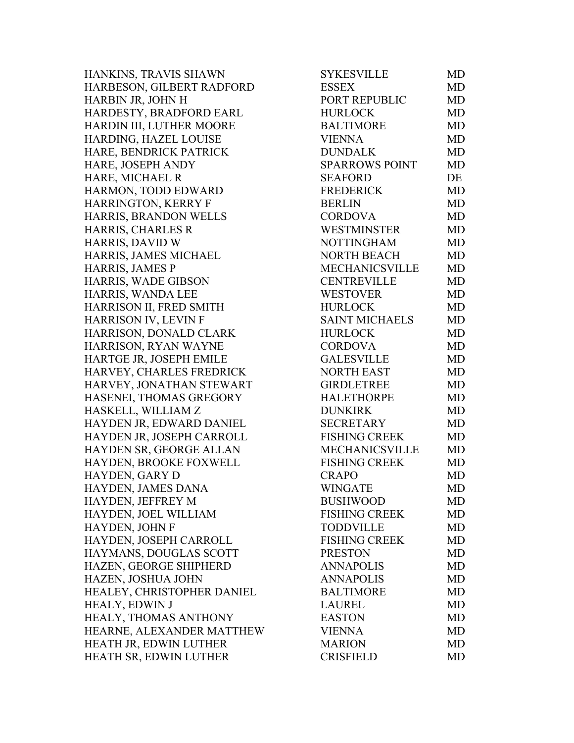HANKINS, TRAVIS SHAWN HARBESON, GILBERT RADFORD HARBIN JR, JOHN H HARDESTY, BRADFORD EARL HARDIN III, LUTHER MOORE HARDING, HAZEL LOUISE HARE, BENDRICK PATRICK HARE, JOSEPH ANDY HARE, MICHAEL R HARMON, TODD EDWARD HARRINGTON, KERRY F HARRIS, BRANDON WELLS HARRIS, CHARLES R HARRIS, DAVID W HARRIS, JAMES MICHAEL HARRIS, JAMES P HARRIS, WADE GIBSON HARRIS, WANDA LEE HARRISON II, FRED SMITH HARRISON IV, LEVIN F HARRISON, DONALD CLARK HARRISON, RYAN WAYNE HARTGE JR, JOSEPH EMILE HARVEY, CHARLES FREDRICK HARVEY, JONATHAN STEWART HASENEI, THOMAS GREGORY HASKELL, WILLIAM Z HAYDEN JR, EDWARD DANIEL HAYDEN JR, JOSEPH CARROLL HAYDEN SR, GEORGE ALLAN HAYDEN, BROOKE FOXWELL HAYDEN, GARY D HAYDEN, JAMES DANA HAYDEN, JEFFREY M HAYDEN, JOEL WILLIAM HAYDEN, JOHN F HAYDEN, JOSEPH CARROLL HAYMANS, DOUGLAS SCOTT HAZEN, GEORGE SHIPHERD HAZEN, JOSHUA JOHN HEALEY, CHRISTOPHER DANIEL HEALY, EDWIN J HEALY, THOMAS ANTHONY HEARNE, ALEXANDER MATTHEW HEATH JR, EDWIN LUTHER HEATH SR, EDWIN LUTHER

| SYKESVILLE            | MD        |
|-----------------------|-----------|
| <b>ESSEX</b>          | <b>MD</b> |
| PORT REPUBLIC         | <b>MD</b> |
| <b>HURLOCK</b>        | <b>MD</b> |
| <b>BALTIMORE</b>      | <b>MD</b> |
| <b>VIENNA</b>         | <b>MD</b> |
| <b>DUNDALK</b>        | <b>MD</b> |
| <b>SPARROWS POINT</b> | MD        |
| <b>SEAFORD</b>        | DE        |
| <b>FREDERICK</b>      | <b>MD</b> |
| <b>BERLIN</b>         | <b>MD</b> |
| <b>CORDOVA</b>        | <b>MD</b> |
| <b>WESTMINSTER</b>    | <b>MD</b> |
| <b>NOTTINGHAM</b>     | <b>MD</b> |
| <b>NORTH BEACH</b>    | <b>MD</b> |
| <b>MECHANICSVILLE</b> | <b>MD</b> |
| <b>CENTREVILLE</b>    | <b>MD</b> |
| <b>WESTOVER</b>       | <b>MD</b> |
| <b>HURLOCK</b>        | <b>MD</b> |
| <b>SAINT MICHAELS</b> | <b>MD</b> |
| <b>HURLOCK</b>        | <b>MD</b> |
| <b>CORDOVA</b>        | <b>MD</b> |
| <b>GALESVILLE</b>     | <b>MD</b> |
| <b>NORTH EAST</b>     | <b>MD</b> |
| <b>GIRDLETREE</b>     | <b>MD</b> |
| <b>HALETHORPE</b>     | <b>MD</b> |
| <b>DUNKIRK</b>        | <b>MD</b> |
| <b>SECRETARY</b>      | <b>MD</b> |
| <b>FISHING CREEK</b>  | <b>MD</b> |
| MECHANICSVILLE        | <b>MD</b> |
| <b>FISHING CREEK</b>  | MD        |
| <b>CRAPO</b>          | <b>MD</b> |
| <b>WINGATE</b>        | MD        |
| <b>BUSHWOOD</b>       | MD        |
| <b>FISHING CREEK</b>  | <b>MD</b> |
| <b>TODDVILLE</b>      | <b>MD</b> |
| <b>FISHING CREEK</b>  | <b>MD</b> |
| <b>PRESTON</b>        | <b>MD</b> |
| <b>ANNAPOLIS</b>      | <b>MD</b> |
| <b>ANNAPOLIS</b>      | <b>MD</b> |
| <b>BALTIMORE</b>      | <b>MD</b> |
| <b>LAUREL</b>         | <b>MD</b> |
| <b>EASTON</b>         | <b>MD</b> |
| <b>VIENNA</b>         | MD        |
| <b>MARION</b>         | <b>MD</b> |
| <b>CRISFIELD</b>      | <b>MD</b> |
|                       |           |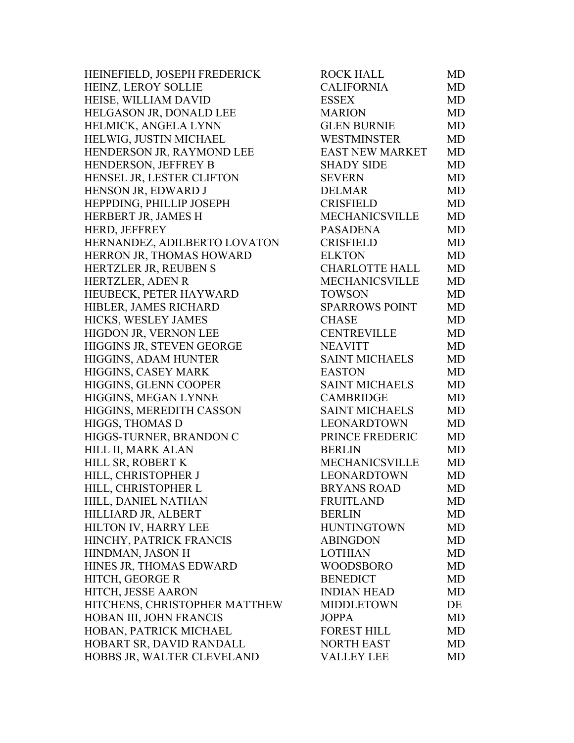HEINEFIELD, JOSEPH FREDERICK HEINZ, LEROY SOLLIE HEISE, WILLIAM DAVID HELGASON JR, DONALD LEE HELMICK, ANGELA LYNN HELWIG, JUSTIN MICHAEL HENDERSON JR, RAYMOND LEE HENDERSON, JEFFREY B HENSEL JR, LESTER CLIFTON HENSON JR, EDWARD J HEPPDING, PHILLIP JOSEPH HERBERT JR, JAMES H HERD, JEFFREY HERNANDEZ, ADILBERTO LOVATON HERRON JR, THOMAS HOWARD HERTZLER JR, REUBEN S HERTZLER, ADEN R HEUBECK, PETER HAYWARD HIBLER, JAMES RICHARD HICKS, WESLEY JAMES HIGDON JR, VERNON LEE HIGGINS JR, STEVEN GEORGE HIGGINS, ADAM HUNTER HIGGINS, CASEY MARK HIGGINS, GLENN COOPER HIGGINS, MEGAN LYNNE HIGGINS, MEREDITH CASSON HIGGS, THOMAS D HIGGS-TURNER, BRANDON C HILL II, MARK ALAN HILL SR, ROBERT K HILL, CHRISTOPHER J HILL, CHRISTOPHER L HILL, DANIEL NATHAN HILLIARD JR, ALBERT HILTON IV, HARRY LEE HINCHY, PATRICK FRANCIS HINDMAN, JASON H HINES JR, THOMAS EDWARD HITCH, GEORGE R HITCH, JESSE AARON HITCHENS, CHRISTOPHER MATTHEW HOBAN III, JOHN FRANCIS HOBAN, PATRICK MICHAEL HOBART SR, DAVID RANDALL HOBBS JR, WALTER CLEVELAND

| ROCK HALL              | MD        |
|------------------------|-----------|
| <b>CALIFORNIA</b>      | <b>MD</b> |
| <b>ESSEX</b>           | MD        |
| <b>MARION</b>          | <b>MD</b> |
| <b>GLEN BURNIE</b>     | <b>MD</b> |
| <b>WESTMINSTER</b>     | <b>MD</b> |
| <b>EAST NEW MARKET</b> | <b>MD</b> |
| <b>SHADY SIDE</b>      | MD        |
| <b>SEVERN</b>          | <b>MD</b> |
| <b>DELMAR</b>          | <b>MD</b> |
| <b>CRISFIELD</b>       | <b>MD</b> |
| <b>MECHANICSVILLE</b>  | <b>MD</b> |
| <b>PASADENA</b>        | MD        |
| <b>CRISFIELD</b>       | <b>MD</b> |
| <b>ELKTON</b>          | <b>MD</b> |
| <b>CHARLOTTE HALL</b>  | <b>MD</b> |
| <b>MECHANICSVILLE</b>  | MD        |
| <b>TOWSON</b>          | MD        |
| <b>SPARROWS POINT</b>  | <b>MD</b> |
| <b>CHASE</b>           | <b>MD</b> |
| <b>CENTREVILLE</b>     | <b>MD</b> |
| <b>NEAVITT</b>         | <b>MD</b> |
| <b>SAINT MICHAELS</b>  | MD        |
| <b>EASTON</b>          | <b>MD</b> |
| <b>SAINT MICHAELS</b>  | <b>MD</b> |
| <b>CAMBRIDGE</b>       | MD        |
| <b>SAINT MICHAELS</b>  | <b>MD</b> |
| <b>LEONARDTOWN</b>     | <b>MD</b> |
| PRINCE FREDERIC        | <b>MD</b> |
| <b>BERLIN</b>          | <b>MD</b> |
| <b>MECHANICSVILLE</b>  | MD        |
| <b>LEONARDTOWN</b>     | <b>MD</b> |
| <b>BRYANS ROAD</b>     | MD        |
| <b>FRUITLAND</b>       | MD        |
| <b>BERLIN</b>          | <b>MD</b> |
| <b>HUNTINGTOWN</b>     | MD        |
| <b>ABINGDON</b>        | <b>MD</b> |
| <b>LOTHIAN</b>         | <b>MD</b> |
| <b>WOODSBORO</b>       | <b>MD</b> |
| <b>BENEDICT</b>        | <b>MD</b> |
| <b>INDIAN HEAD</b>     | MD        |
| <b>MIDDLETOWN</b>      | DE        |
| <b>JOPPA</b>           | <b>MD</b> |
| <b>FOREST HILL</b>     | <b>MD</b> |
| <b>NORTH EAST</b>      | <b>MD</b> |
| <b>VALLEY LEE</b>      | MD        |
|                        |           |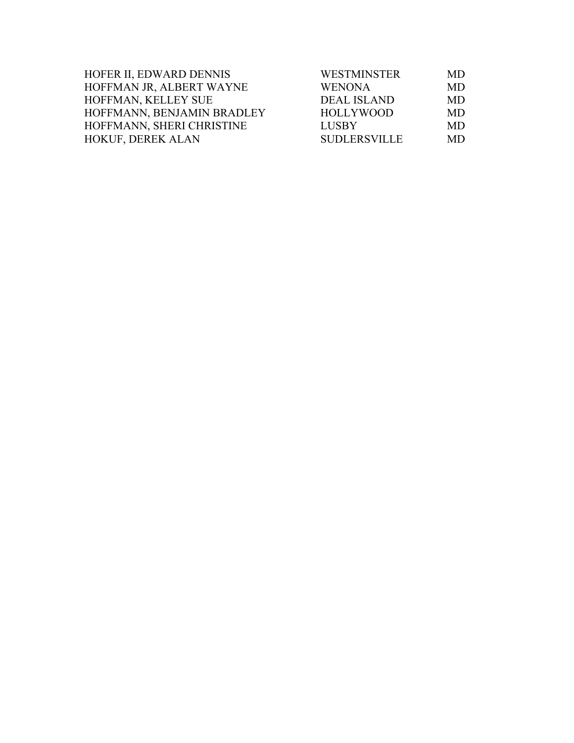| HOFER II, EDWARD DENNIS    | <b>WESTMINSTER</b>  | MD.       |
|----------------------------|---------------------|-----------|
| HOFFMAN JR, ALBERT WAYNE   | <b>WENONA</b>       | <b>MD</b> |
| HOFFMAN, KELLEY SUE        | <b>DEAL ISLAND</b>  | MD.       |
| HOFFMANN, BENJAMIN BRADLEY | HOLLYWOOD           | MD.       |
| HOFFMANN, SHERI CHRISTINE  | <b>LUSBY</b>        | MD.       |
| <b>HOKUF, DEREK ALAN</b>   | <b>SUDLERSVILLE</b> | MD.       |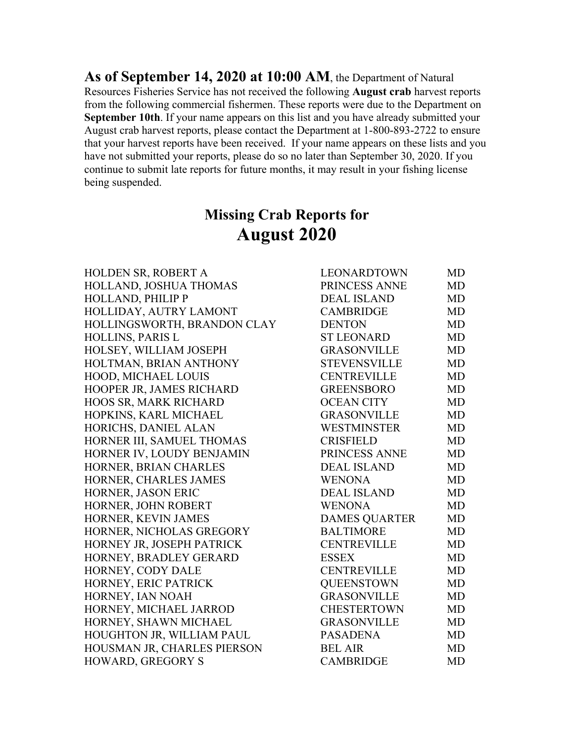**As of September 14, 2020 at 10:00 AM**, the Department of Natural Resources Fisheries Service has not received the following **August crab** harvest reports from the following commercial fishermen. These reports were due to the Department on **September 10th**. If your name appears on this list and you have already submitted your August crab harvest reports, please contact the Department at 1-800-893-2722 to ensure that your harvest reports have been received. If your name appears on these lists and you have not submitted your reports, please do so no later than September 30, 2020. If you continue to submit late reports for future months, it may result in your fishing license being suspended.

# **Missing Crab Reports for August 2020**

| HOLDEN SR, ROBERT A          | LEONARDTOWN          | <b>MD</b> |
|------------------------------|----------------------|-----------|
| HOLLAND, JOSHUA THOMAS       | PRINCESS ANNE        | <b>MD</b> |
| <b>HOLLAND, PHILIP P</b>     | <b>DEAL ISLAND</b>   | <b>MD</b> |
| HOLLIDAY, AUTRY LAMONT       | <b>CAMBRIDGE</b>     | <b>MD</b> |
| HOLLINGSWORTH, BRANDON CLAY  | <b>DENTON</b>        | <b>MD</b> |
| HOLLINS, PARIS L             | <b>ST LEONARD</b>    | <b>MD</b> |
| HOLSEY, WILLIAM JOSEPH       | <b>GRASONVILLE</b>   | <b>MD</b> |
| HOLTMAN, BRIAN ANTHONY       | <b>STEVENSVILLE</b>  | <b>MD</b> |
| HOOD, MICHAEL LOUIS          | <b>CENTREVILLE</b>   | <b>MD</b> |
| HOOPER JR, JAMES RICHARD     | <b>GREENSBORO</b>    | <b>MD</b> |
| <b>HOOS SR, MARK RICHARD</b> | <b>OCEAN CITY</b>    | <b>MD</b> |
| HOPKINS, KARL MICHAEL        | <b>GRASONVILLE</b>   | <b>MD</b> |
| HORICHS, DANIEL ALAN         | <b>WESTMINSTER</b>   | <b>MD</b> |
| HORNER III, SAMUEL THOMAS    | <b>CRISFIELD</b>     | <b>MD</b> |
| HORNER IV, LOUDY BENJAMIN    | PRINCESS ANNE        | <b>MD</b> |
| HORNER, BRIAN CHARLES        | <b>DEAL ISLAND</b>   | <b>MD</b> |
| HORNER, CHARLES JAMES        | <b>WENONA</b>        | <b>MD</b> |
| HORNER, JASON ERIC           | <b>DEAL ISLAND</b>   | <b>MD</b> |
| HORNER, JOHN ROBERT          | <b>WENONA</b>        | <b>MD</b> |
| HORNER, KEVIN JAMES          | <b>DAMES QUARTER</b> | <b>MD</b> |
| HORNER, NICHOLAS GREGORY     | <b>BALTIMORE</b>     | <b>MD</b> |
| HORNEY JR, JOSEPH PATRICK    | <b>CENTREVILLE</b>   | <b>MD</b> |
| HORNEY, BRADLEY GERARD       | <b>ESSEX</b>         | <b>MD</b> |
| HORNEY, CODY DALE            | <b>CENTREVILLE</b>   | <b>MD</b> |
| HORNEY, ERIC PATRICK         | <b>QUEENSTOWN</b>    | <b>MD</b> |
| HORNEY, IAN NOAH             | <b>GRASONVILLE</b>   | <b>MD</b> |
| HORNEY, MICHAEL JARROD       | <b>CHESTERTOWN</b>   | <b>MD</b> |
| HORNEY, SHAWN MICHAEL        | <b>GRASONVILLE</b>   | <b>MD</b> |
| HOUGHTON JR, WILLIAM PAUL    | <b>PASADENA</b>      | <b>MD</b> |
| HOUSMAN JR, CHARLES PIERSON  | <b>BEL AIR</b>       | <b>MD</b> |
| HOWARD, GREGORY S            | <b>CAMBRIDGE</b>     | <b>MD</b> |

| LEONARDTOWN          | <b>MD</b> |
|----------------------|-----------|
| PRINCESS ANNE        | <b>MD</b> |
| <b>DEAL ISLAND</b>   | <b>MD</b> |
| <b>CAMBRIDGE</b>     | <b>MD</b> |
| <b>DENTON</b>        | <b>MD</b> |
| <b>ST LEONARD</b>    | <b>MD</b> |
| <b>GRASONVILLE</b>   | <b>MD</b> |
| <b>STEVENSVILLE</b>  | <b>MD</b> |
| <b>CENTREVILLE</b>   | <b>MD</b> |
| <b>GREENSBORO</b>    | <b>MD</b> |
| <b>OCEAN CITY</b>    | <b>MD</b> |
| <b>GRASONVILLE</b>   | <b>MD</b> |
| <b>WESTMINSTER</b>   | <b>MD</b> |
| <b>CRISFIELD</b>     | <b>MD</b> |
| PRINCESS ANNE        | <b>MD</b> |
| <b>DEAL ISLAND</b>   | <b>MD</b> |
| <b>WENONA</b>        | <b>MD</b> |
| <b>DEAL ISLAND</b>   | <b>MD</b> |
| <b>WENONA</b>        | <b>MD</b> |
| <b>DAMES QUARTER</b> | <b>MD</b> |
| <b>BALTIMORE</b>     | <b>MD</b> |
| <b>CENTREVILLE</b>   | <b>MD</b> |
| <b>ESSEX</b>         | MD        |
| <b>CENTREVILLE</b>   | <b>MD</b> |
| <b>QUEENSTOWN</b>    | <b>MD</b> |
| <b>GRASONVILLE</b>   | <b>MD</b> |
| CHESTERTOWN          | MD        |
| <b>GRASONVILLE</b>   | <b>MD</b> |
| <b>PASADENA</b>      | MD        |
| <b>BEL AIR</b>       | <b>MD</b> |
| $C$ AMDDIDCE         | MD        |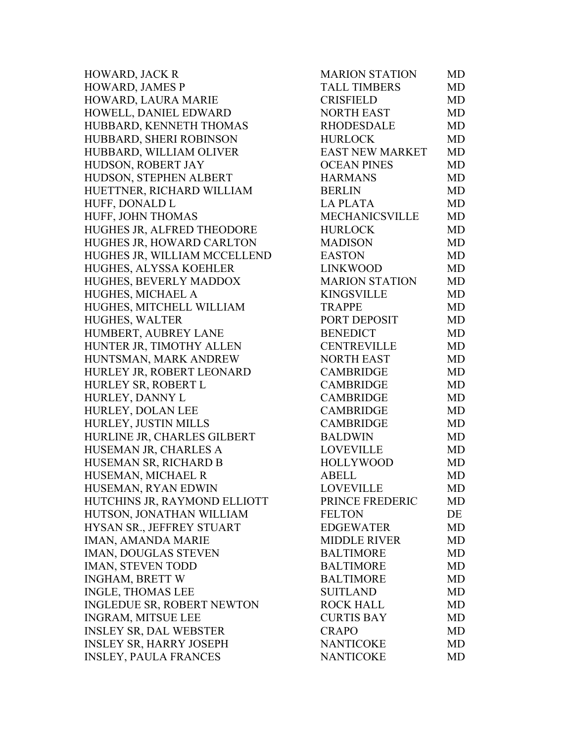HOWARD, JACK R HOWARD, JAMES P HOWARD, LAURA MARIE HOWELL, DANIEL EDWARD HUBBARD, KENNETH THOMAS HUBBARD, SHERI ROBINSON HUBBARD, WILLIAM OLIVER HUDSON, ROBERT JAY HUDSON, STEPHEN ALBERT HUETTNER, RICHARD WILLIAM BERLIN MD HUFF, DONALD L HUFF, JOHN THOMAS HUGHES JR, ALFRED THEODORE HUGHES JR, HOWARD CARLTON HUGHES JR, WILLIAM MCCELLEND HUGHES, ALYSSA KOEHLER HUGHES, BEVERLY MADDOX HUGHES, MICHAEL A HUGHES, MITCHELL WILLIAM HUGHES, WALTER HUMBERT, AUBREY LANE HUNTER JR, TIMOTHY ALLEN HUNTSMAN, MARK ANDREW HURLEY JR, ROBERT LEONARD HURLEY SR, ROBERT L HURLEY, DANNY L HURLEY, DOLAN LEE HURLEY, JUSTIN MILLS HURLINE JR, CHARLES GILBERT BALDWIN MD HUSEMAN JR, CHARLES A HUSEMAN SR, RICHARD B HUSEMAN, MICHAEL R HUSEMAN, RYAN EDWIN HUTCHINS JR, RAYMOND ELLIOTT HUTSON, JONATHAN WILLIAM HYSAN SR., JEFFREY STUART IMAN, AMANDA MARIE IMAN, DOUGLAS STEVEN IMAN, STEVEN TODD INGHAM, BRETT W INGLE, THOMAS LEE INGLEDUE SR, ROBERT NEWTON INGRAM, MITSUE LEE INSLEY SR, DAL WEBSTER INSLEY SR, HARRY JOSEPH INSLEY, PAULA FRANCES

| <b>MARION STATION</b>  | MD        |
|------------------------|-----------|
| <b>TALL TIMBERS</b>    | <b>MD</b> |
| <b>CRISFIELD</b>       | <b>MD</b> |
| <b>NORTH EAST</b>      | <b>MD</b> |
| <b>RHODESDALE</b>      | <b>MD</b> |
| <b>HURLOCK</b>         | <b>MD</b> |
| <b>EAST NEW MARKET</b> | <b>MD</b> |
| <b>OCEAN PINES</b>     | <b>MD</b> |
| <b>HARMANS</b>         | <b>MD</b> |
| <b>BERLIN</b>          | <b>MD</b> |
| <b>LA PLATA</b>        | <b>MD</b> |
| <b>MECHANICSVILLE</b>  | <b>MD</b> |
| <b>HURLOCK</b>         | <b>MD</b> |
| <b>MADISON</b>         | <b>MD</b> |
| <b>EASTON</b>          | <b>MD</b> |
| <b>LINKWOOD</b>        | <b>MD</b> |
| <b>MARION STATION</b>  | <b>MD</b> |
| <b>KINGSVILLE</b>      | <b>MD</b> |
| <b>TRAPPE</b>          | <b>MD</b> |
| PORT DEPOSIT           | <b>MD</b> |
| <b>BENEDICT</b>        | <b>MD</b> |
| <b>CENTREVILLE</b>     | MD        |
| <b>NORTH EAST</b>      | MD        |
| <b>CAMBRIDGE</b>       | <b>MD</b> |
| <b>CAMBRIDGE</b>       | <b>MD</b> |
| <b>CAMBRIDGE</b>       | <b>MD</b> |
| <b>CAMBRIDGE</b>       | <b>MD</b> |
| <b>CAMBRIDGE</b>       | <b>MD</b> |
| <b>BALDWIN</b>         | <b>MD</b> |
| <b>LOVEVILLE</b>       | <b>MD</b> |
| <b>HOLLYWOOD</b>       | MD        |
| <b>ABELL</b>           | <b>MD</b> |
| <b>LOVEVILLE</b>       | MD        |
| PRINCE FREDERIC        | MD        |
| <b>FELTON</b>          | DE        |
| <b>EDGEWATER</b>       | MD        |
| <b>MIDDLE RIVER</b>    | <b>MD</b> |
| <b>BALTIMORE</b>       | <b>MD</b> |
| <b>BALTIMORE</b>       | MD        |
| <b>BALTIMORE</b>       | <b>MD</b> |
| <b>SUITLAND</b>        | <b>MD</b> |
| <b>ROCK HALL</b>       | <b>MD</b> |
| <b>CURTIS BAY</b>      | <b>MD</b> |
| <b>CRAPO</b>           | <b>MD</b> |
| <b>NANTICOKE</b>       | <b>MD</b> |
| <b>NANTICOKE</b>       | MD        |
|                        |           |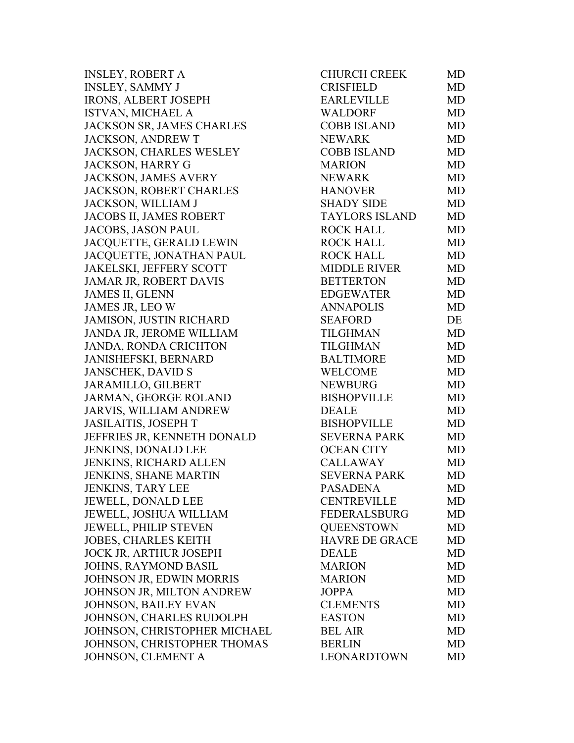| <b>INSLEY, ROBERT A</b>        | <b>CHURCH CREEK</b>   | MD        |
|--------------------------------|-----------------------|-----------|
| <b>INSLEY, SAMMY J</b>         | <b>CRISFIELD</b>      | <b>MD</b> |
| <b>IRONS, ALBERT JOSEPH</b>    | <b>EARLEVILLE</b>     | <b>MD</b> |
| ISTVAN, MICHAEL A              | <b>WALDORF</b>        | <b>MD</b> |
| JACKSON SR, JAMES CHARLES      | <b>COBB ISLAND</b>    | <b>MD</b> |
| <b>JACKSON, ANDREW T</b>       | <b>NEWARK</b>         | <b>MD</b> |
| <b>JACKSON, CHARLES WESLEY</b> | <b>COBB ISLAND</b>    | <b>MD</b> |
| JACKSON, HARRY G               | <b>MARION</b>         | <b>MD</b> |
| <b>JACKSON, JAMES AVERY</b>    | <b>NEWARK</b>         | <b>MD</b> |
| <b>JACKSON, ROBERT CHARLES</b> | <b>HANOVER</b>        | <b>MD</b> |
| JACKSON, WILLIAM J             | <b>SHADY SIDE</b>     | <b>MD</b> |
| <b>JACOBS II, JAMES ROBERT</b> | <b>TAYLORS ISLAND</b> | <b>MD</b> |
| <b>JACOBS, JASON PAUL</b>      | <b>ROCK HALL</b>      | <b>MD</b> |
| JACQUETTE, GERALD LEWIN        | <b>ROCK HALL</b>      | <b>MD</b> |
| JACQUETTE, JONATHAN PAUL       | <b>ROCK HALL</b>      | <b>MD</b> |
| <b>JAKELSKI, JEFFERY SCOTT</b> | <b>MIDDLE RIVER</b>   | <b>MD</b> |
| JAMAR JR, ROBERT DAVIS         | <b>BETTERTON</b>      | <b>MD</b> |
| <b>JAMES II, GLENN</b>         | <b>EDGEWATER</b>      | <b>MD</b> |
| JAMES JR, LEO W                | <b>ANNAPOLIS</b>      | <b>MD</b> |
| <b>JAMISON, JUSTIN RICHARD</b> | <b>SEAFORD</b>        | DE        |
| JANDA JR, JEROME WILLIAM       | TILGHMAN              | <b>MD</b> |
| <b>JANDA, RONDA CRICHTON</b>   | TILGHMAN              | <b>MD</b> |
| JANISHEFSKI, BERNARD           | BALTIMORE             | <b>MD</b> |
| <b>JANSCHEK, DAVID S</b>       | <b>WELCOME</b>        | <b>MD</b> |
| <b>JARAMILLO, GILBERT</b>      | <b>NEWBURG</b>        | <b>MD</b> |
| JARMAN, GEORGE ROLAND          | <b>BISHOPVILLE</b>    | <b>MD</b> |
| <b>JARVIS, WILLIAM ANDREW</b>  | <b>DEALE</b>          | <b>MD</b> |
| <b>JASILAITIS, JOSEPH T</b>    | <b>BISHOPVILLE</b>    | <b>MD</b> |
| JEFFRIES JR, KENNETH DONALD    | <b>SEVERNA PARK</b>   | <b>MD</b> |
| JENKINS, DONALD LEE            | <b>OCEAN CITY</b>     | <b>MD</b> |
| JENKINS, RICHARD ALLEN         | <b>CALLAWAY</b>       | <b>MD</b> |
| <b>JENKINS, SHANE MARTIN</b>   | <b>SEVERNA PARK</b>   | MD        |
| <b>JENKINS, TARY LEE</b>       | <b>PASADENA</b>       | <b>MD</b> |
| <b>JEWELL, DONALD LEE</b>      | <b>CENTREVILLE</b>    | MD        |
| <b>JEWELL, JOSHUA WILLIAM</b>  | <b>FEDERALSBURG</b>   | MD        |
| <b>JEWELL, PHILIP STEVEN</b>   | <b>QUEENSTOWN</b>     | MD        |
| <b>JOBES, CHARLES KEITH</b>    | <b>HAVRE DE GRACE</b> | MD        |
| <b>JOCK JR, ARTHUR JOSEPH</b>  | <b>DEALE</b>          | MD        |
| JOHNS, RAYMOND BASIL           | <b>MARION</b>         | MD        |
| JOHNSON JR, EDWIN MORRIS       | <b>MARION</b>         | MD        |
| JOHNSON JR, MILTON ANDREW      | <b>JOPPA</b>          | MD        |
| <b>JOHNSON, BAILEY EVAN</b>    | <b>CLEMENTS</b>       | MD        |
| JOHNSON, CHARLES RUDOLPH       | <b>EASTON</b>         | MD        |
| JOHNSON, CHRISTOPHER MICHAEL   | <b>BEL AIR</b>        | MD        |
| JOHNSON, CHRISTOPHER THOMAS    | <b>BERLIN</b>         | MD        |
| JOHNSON, CLEMENT A             | LEONARDTOWN           | <b>MD</b> |
|                                |                       |           |

| <b>CHURCH CREEK</b>   | MD        |
|-----------------------|-----------|
| <b>CRISFIELD</b>      | <b>MD</b> |
| <b>EARLEVILLE</b>     | MD        |
| <b>WALDORF</b>        | <b>MD</b> |
| <b>COBB ISLAND</b>    | <b>MD</b> |
| <b>NEWARK</b>         | <b>MD</b> |
| <b>COBB ISLAND</b>    | <b>MD</b> |
| <b>MARION</b>         | <b>MD</b> |
| <b>NEWARK</b>         | <b>MD</b> |
| <b>HANOVER</b>        | <b>MD</b> |
| <b>SHADY SIDE</b>     | MD        |
| <b>TAYLORS ISLAND</b> | <b>MD</b> |
| <b>ROCK HALL</b>      | <b>MD</b> |
| <b>ROCK HALL</b>      | <b>MD</b> |
| <b>ROCK HALL</b>      | <b>MD</b> |
| <b>MIDDLE RIVER</b>   | <b>MD</b> |
| <b>BETTERTON</b>      | <b>MD</b> |
| <b>EDGEWATER</b>      | <b>MD</b> |
| <b>ANNAPOLIS</b>      | <b>MD</b> |
| <b>SEAFORD</b>        | DE        |
| <b>TILGHMAN</b>       | MD        |
| <b>TILGHMAN</b>       | MD        |
| <b>BALTIMORE</b>      | <b>MD</b> |
| <b>WELCOME</b>        | <b>MD</b> |
| <b>NEWBURG</b>        | MD        |
| <b>BISHOPVILLE</b>    | <b>MD</b> |
| <b>DEALE</b>          | <b>MD</b> |
| <b>BISHOPVILLE</b>    | <b>MD</b> |
| <b>SEVERNA PARK</b>   | <b>MD</b> |
| <b>OCEAN CITY</b>     | <b>MD</b> |
| <b>CALLAWAY</b>       | <b>MD</b> |
| <b>SEVERNA PARK</b>   | MD        |
| <b>PASADENA</b>       | MD        |
| <b>CENTREVILLE</b>    | MD        |
| <b>FEDERALSBURG</b>   | <b>MD</b> |
| <b>QUEENSTOWN</b>     | <b>MD</b> |
| <b>HAVRE DE GRACE</b> | <b>MD</b> |
| <b>DEALE</b>          | <b>MD</b> |
| <b>MARION</b>         | <b>MD</b> |
| <b>MARION</b>         | <b>MD</b> |
| <b>JOPPA</b>          | MD        |
| <b>CLEMENTS</b>       | <b>MD</b> |
| <b>EASTON</b>         | <b>MD</b> |
| <b>BEL AIR</b>        | <b>MD</b> |
| <b>BERLIN</b>         | <b>MD</b> |
| LEONARDTOWN           | <b>MD</b> |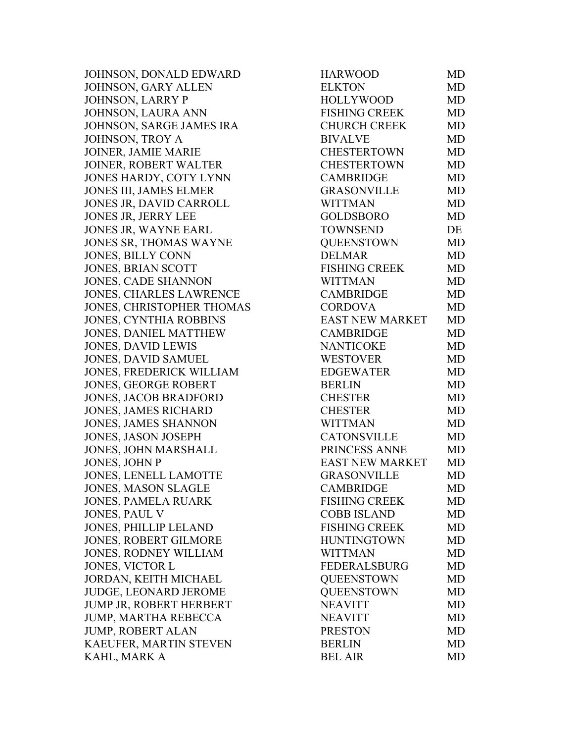JOHNSON, DONALD EDWARD JOHNSON, GARY ALLEN JOHNSON, LARRY P JOHNSON, LAURA ANN JOHNSON, SARGE JAMES IRA JOHNSON, TROY A JOINER, JAMIE MARIE JOINER, ROBERT WALTER JONES HARDY, COTY LYNN JONES III, JAMES ELMER JONES JR, DAVID CARROLL JONES JR, JERRY LEE JONES JR, WAYNE EARL JONES SR, THOMAS WAYNE JONES, BILLY CONN JONES, BRIAN SCOTT JONES, CADE SHANNON JONES, CHARLES LAWRENCE JONES, CHRISTOPHER THOMAS JONES, CYNTHIA ROBBINS JONES, DANIEL MATTHEW JONES, DAVID LEWIS JONES, DAVID SAMUEL JONES, FREDERICK WILLIAM JONES, GEORGE ROBERT JONES, JACOB BRADFORD JONES, JAMES RICHARD JONES, JAMES SHANNON JONES, JASON JOSEPH JONES, JOHN MARSHALL JONES, JOHN P JONES, LENELL LAMOTTE JONES, MASON SLAGLE JONES, PAMELA RUARK JONES, PAUL V JONES, PHILLIP LELAND JONES, ROBERT GILMORE JONES, RODNEY WILLIAM JONES, VICTOR L JORDAN, KEITH MICHAEL JUDGE, LEONARD JEROME JUMP JR, ROBERT HERBERT JUMP, MARTHA REBECCA JUMP, ROBERT ALAN KAEUFER, MARTIN STEVEN KAHL, MARK A

| HARWOOD                | MD        |
|------------------------|-----------|
| <b>ELKTON</b>          | <b>MD</b> |
| <b>HOLLYWOOD</b>       | <b>MD</b> |
| <b>FISHING CREEK</b>   | <b>MD</b> |
| <b>CHURCH CREEK</b>    | <b>MD</b> |
| <b>BIVALVE</b>         | <b>MD</b> |
| <b>CHESTERTOWN</b>     | <b>MD</b> |
| <b>CHESTERTOWN</b>     | <b>MD</b> |
| <b>CAMBRIDGE</b>       | <b>MD</b> |
| <b>GRASONVILLE</b>     | <b>MD</b> |
| <b>WITTMAN</b>         | MD        |
| <b>GOLDSBORO</b>       | MD        |
| <b>TOWNSEND</b>        | DE        |
| <b>QUEENSTOWN</b>      | <b>MD</b> |
| <b>DELMAR</b>          | <b>MD</b> |
| <b>FISHING CREEK</b>   | <b>MD</b> |
| <b>WITTMAN</b>         | <b>MD</b> |
| <b>CAMBRIDGE</b>       | <b>MD</b> |
| <b>CORDOVA</b>         | <b>MD</b> |
| <b>EAST NEW MARKET</b> | <b>MD</b> |
| <b>CAMBRIDGE</b>       | <b>MD</b> |
| <b>NANTICOKE</b>       | <b>MD</b> |
| <b>WESTOVER</b>        | <b>MD</b> |
| <b>EDGEWATER</b>       | <b>MD</b> |
| <b>BERLIN</b>          | <b>MD</b> |
| <b>CHESTER</b>         | <b>MD</b> |
| <b>CHESTER</b>         | <b>MD</b> |
| <b>WITTMAN</b>         | <b>MD</b> |
| <b>CATONSVILLE</b>     | <b>MD</b> |
| PRINCESS ANNE          | <b>MD</b> |
| <b>EAST NEW MARKET</b> | <b>MD</b> |
| <b>GRASONVILLE</b>     | MD        |
| <b>CAMBRIDGE</b>       | MD        |
| <b>FISHING CREEK</b>   | MD        |
| <b>COBB ISLAND</b>     | MD        |
| <b>FISHING CREEK</b>   | MD        |
| <b>HUNTINGTOWN</b>     | <b>MD</b> |
| <b>WITTMAN</b>         | MD        |
| <b>FEDERALSBURG</b>    | <b>MD</b> |
| <b>OUEENSTOWN</b>      | <b>MD</b> |
| <b>QUEENSTOWN</b>      | <b>MD</b> |
| <b>NEAVITT</b>         | <b>MD</b> |
| <b>NEAVITT</b>         | <b>MD</b> |
| <b>PRESTON</b>         | <b>MD</b> |
| <b>BERLIN</b>          | <b>MD</b> |
| <b>BEL AIR</b>         | <b>MD</b> |
|                        |           |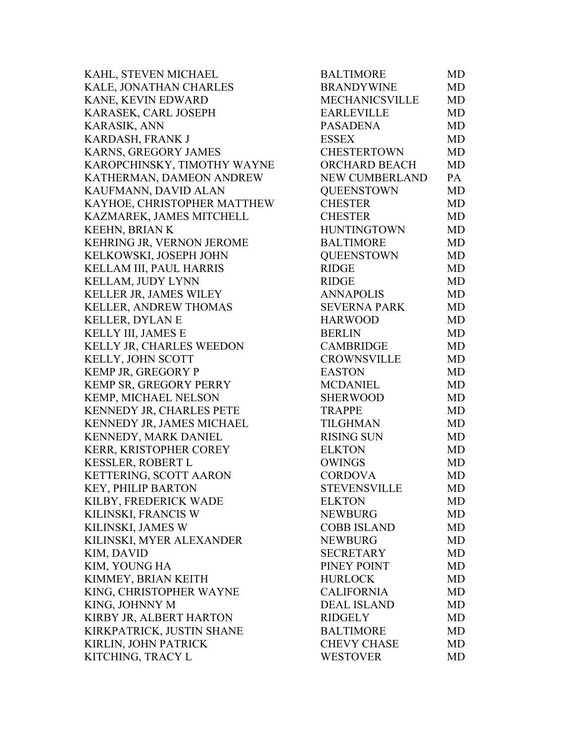KAHL, STEVEN MICHAEL KALE, JONATHAN CHARLES KANE, KEVIN EDWARD KARASEK, CARL JOSEPH KARASIK, ANN KARDASH, FRANK J KARNS, GREGORY JAMES KAROPCHINSKY, TIMOTHY WAYNE KATHERMAN, DAMEON ANDREW KAUFMANN, DAVID ALAN KAYHOE, CHRISTOPHER MATTHEW KAZMAREK, JAMES MITCHELL KEEHN, BRIAN K KEHRING JR, VERNON JEROME KELKOWSKI, JOSEPH JOHN KELLAM III, PAUL HARRIS KELLAM, JUDY LYNN KELLER JR, JAMES WILEY KELLER, ANDREW THOMAS KELLER, DYLAN E KELLY III, JAMES E KELLY JR, CHARLES WEEDON KELLY, JOHN SCOTT KEMP JR, GREGORY P KEMP SR, GREGORY PERRY KEMP, MICHAEL NELSON KENNEDY JR, CHARLES PETE KENNEDY JR, JAMES MICHAEL KENNEDY, MARK DANIEL KERR, KRISTOPHER COREY KESSLER, ROBERT L KETTERING, SCOTT AARON KEY, PHILIP BARTON KILBY, FREDERICK WADE KILINSKI, FRANCIS W KILINSKI, JAMES W KILINSKI, MYER ALEXANDER KIM, DAVID KIM, YOUNG HA KIMMEY, BRIAN KEITH KING, CHRISTOPHER WAYNE KING, JOHNNY M KIRBY JR, ALBERT HARTON KIRKPATRICK, JUSTIN SHANE KIRLIN, JOHN PATRICK KITCHING, TRACY L

| <b>BALTIMORE</b>      | MD        |
|-----------------------|-----------|
| <b>BRANDYWINE</b>     | <b>MD</b> |
| <b>MECHANICSVILLE</b> | MD        |
| <b>EARLEVILLE</b>     | <b>MD</b> |
| <b>PASADENA</b>       | <b>MD</b> |
| <b>ESSEX</b>          | <b>MD</b> |
| <b>CHESTERTOWN</b>    | <b>MD</b> |
| ORCHARD BEACH         | <b>MD</b> |
| <b>NEW CUMBERLAND</b> | PA        |
| <b>OUEENSTOWN</b>     | <b>MD</b> |
| <b>CHESTER</b>        | <b>MD</b> |
| <b>CHESTER</b>        | <b>MD</b> |
| <b>HUNTINGTOWN</b>    | MD        |
| <b>BALTIMORE</b>      | <b>MD</b> |
| <b>OUEENSTOWN</b>     | <b>MD</b> |
| <b>RIDGE</b>          | <b>MD</b> |
| <b>RIDGE</b>          | <b>MD</b> |
| <b>ANNAPOLIS</b>      | <b>MD</b> |
| <b>SEVERNA PARK</b>   | <b>MD</b> |
| <b>HARWOOD</b>        | <b>MD</b> |
| <b>BERLIN</b>         | <b>MD</b> |
| <b>CAMBRIDGE</b>      | <b>MD</b> |
| <b>CROWNSVILLE</b>    | MD        |
| <b>EASTON</b>         | <b>MD</b> |
| <b>MCDANIEL</b>       | <b>MD</b> |
| <b>SHERWOOD</b>       | MD        |
| <b>TRAPPE</b>         | <b>MD</b> |
| <b>TILGHMAN</b>       | <b>MD</b> |
| <b>RISING SUN</b>     | <b>MD</b> |
| <b>ELKTON</b>         | <b>MD</b> |
| <b>OWINGS</b>         | <b>MD</b> |
| <b>CORDOVA</b>        | <b>MD</b> |
| <b>STEVENSVILLE</b>   | MD        |
| <b>ELKTON</b>         | MD        |
| <b>NEWBURG</b>        | <b>MD</b> |
| <b>COBB ISLAND</b>    | MD        |
| <b>NEWBURG</b>        | <b>MD</b> |
| <b>SECRETARY</b>      | <b>MD</b> |
| PINEY POINT           | <b>MD</b> |
| <b>HURLOCK</b>        | <b>MD</b> |
| <b>CALIFORNIA</b>     | <b>MD</b> |
| <b>DEAL ISLAND</b>    | <b>MD</b> |
| <b>RIDGELY</b>        | <b>MD</b> |
| <b>BALTIMORE</b>      | MD        |
| <b>CHEVY CHASE</b>    | <b>MD</b> |
| <b>WESTOVER</b>       | <b>MD</b> |
|                       |           |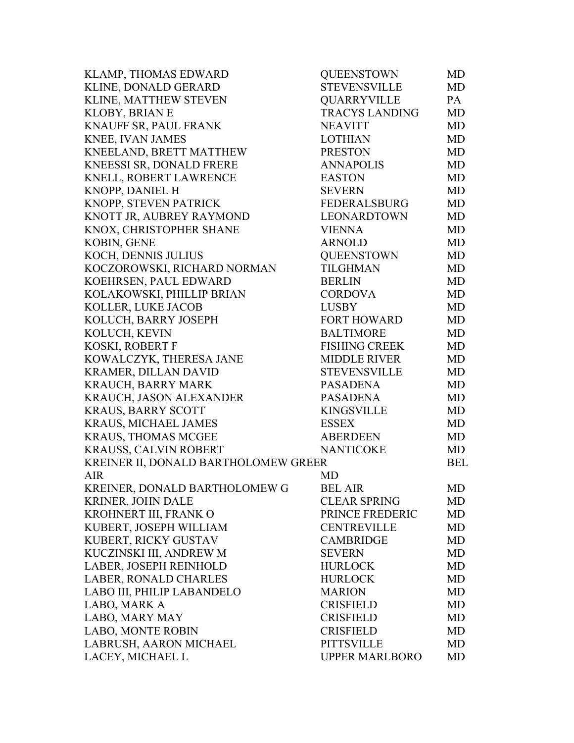| KLAMP, THOMAS EDWARD                 | <b>QUEENSTOWN</b>     | MD         |
|--------------------------------------|-----------------------|------------|
| KLINE, DONALD GERARD                 | <b>STEVENSVILLE</b>   | <b>MD</b>  |
| KLINE, MATTHEW STEVEN                | <b>QUARRYVILLE</b>    | PA         |
| KLOBY, BRIAN E                       | <b>TRACYS LANDING</b> | MD         |
| KNAUFF SR, PAUL FRANK                | <b>NEAVITT</b>        | MD         |
| KNEE, IVAN JAMES                     | <b>LOTHIAN</b>        | MD         |
| KNEELAND, BRETT MATTHEW              | <b>PRESTON</b>        | MD         |
| KNEESSI SR, DONALD FRERE             | <b>ANNAPOLIS</b>      | <b>MD</b>  |
| KNELL, ROBERT LAWRENCE               | <b>EASTON</b>         | MD         |
| KNOPP, DANIEL H                      | <b>SEVERN</b>         | MD         |
| KNOPP, STEVEN PATRICK                | <b>FEDERALSBURG</b>   | <b>MD</b>  |
| KNOTT JR, AUBREY RAYMOND             | LEONARDTOWN           | MD         |
| KNOX, CHRISTOPHER SHANE              | <b>VIENNA</b>         | MD         |
| <b>KOBIN, GENE</b>                   | <b>ARNOLD</b>         | MD         |
| KOCH, DENNIS JULIUS                  | <b>QUEENSTOWN</b>     | MD         |
| KOCZOROWSKI, RICHARD NORMAN          | <b>TILGHMAN</b>       | MD         |
| KOEHRSEN, PAUL EDWARD                | <b>BERLIN</b>         | MD         |
| KOLAKOWSKI, PHILLIP BRIAN            | <b>CORDOVA</b>        | <b>MD</b>  |
| KOLLER, LUKE JACOB                   | <b>LUSBY</b>          | MD         |
| KOLUCH, BARRY JOSEPH                 | <b>FORT HOWARD</b>    | MD         |
| KOLUCH, KEVIN                        | <b>BALTIMORE</b>      | <b>MD</b>  |
| KOSKI, ROBERT F                      | <b>FISHING CREEK</b>  | MD         |
| KOWALCZYK, THERESA JANE              | <b>MIDDLE RIVER</b>   | <b>MD</b>  |
| KRAMER, DILLAN DAVID                 | <b>STEVENSVILLE</b>   | MD         |
| <b>KRAUCH, BARRY MARK</b>            | <b>PASADENA</b>       | MD         |
| KRAUCH, JASON ALEXANDER              | <b>PASADENA</b>       | MD         |
| <b>KRAUS, BARRY SCOTT</b>            | <b>KINGSVILLE</b>     | MD         |
| KRAUS, MICHAEL JAMES                 | <b>ESSEX</b>          | <b>MD</b>  |
| <b>KRAUS, THOMAS MCGEE</b>           | <b>ABERDEEN</b>       | <b>MD</b>  |
| KRAUSS, CALVIN ROBERT                | <b>NANTICOKE</b>      | MD         |
| KREINER II, DONALD BARTHOLOMEW GREER |                       | <b>BEL</b> |
| <b>AIR</b>                           | <b>MD</b>             |            |
| KREINER, DONALD BARTHOLOMEW G        | <b>BEL AIR</b>        | MD         |
| KRINER, JOHN DALE                    | <b>CLEAR SPRING</b>   | MD         |
| KROHNERT III, FRANK O                | PRINCE FREDERIC       | MD         |
| KUBERT, JOSEPH WILLIAM               | <b>CENTREVILLE</b>    | MD         |
| KUBERT, RICKY GUSTAV                 | <b>CAMBRIDGE</b>      | MD         |
| KUCZINSKI III, ANDREW M              | <b>SEVERN</b>         | MD         |
| LABER, JOSEPH REINHOLD               | <b>HURLOCK</b>        | MD         |
| LABER, RONALD CHARLES                | <b>HURLOCK</b>        | MD         |
| LABO III, PHILIP LABANDELO           | <b>MARION</b>         | <b>MD</b>  |
| LABO, MARK A                         | <b>CRISFIELD</b>      | MD         |
| LABO, MARY MAY                       | <b>CRISFIELD</b>      | MD         |
| <b>LABO, MONTE ROBIN</b>             | <b>CRISFIELD</b>      | MD         |
| LABRUSH, AARON MICHAEL               | <b>PITTSVILLE</b>     | MD         |
| LACEY, MICHAEL L                     | <b>UPPER MARLBORO</b> | MD         |
|                                      |                       |            |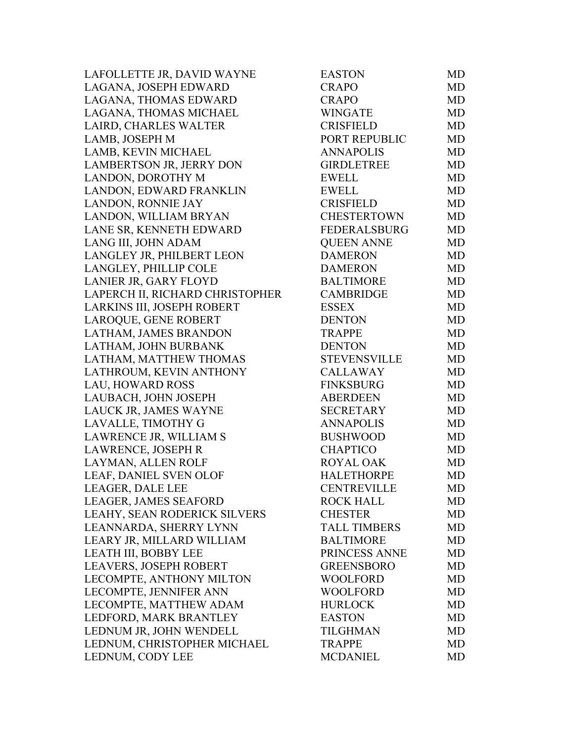| LAFOLLETTE JR, DAVID WAYNE      | <b>EASTON</b>       | MD        |
|---------------------------------|---------------------|-----------|
| LAGANA, JOSEPH EDWARD           | <b>CRAPO</b>        | <b>MD</b> |
| LAGANA, THOMAS EDWARD           | <b>CRAPO</b>        | <b>MD</b> |
| LAGANA, THOMAS MICHAEL          | <b>WINGATE</b>      | <b>MD</b> |
| LAIRD, CHARLES WALTER           | <b>CRISFIELD</b>    | MD        |
| LAMB, JOSEPH M                  | PORT REPUBLIC       | <b>MD</b> |
| LAMB, KEVIN MICHAEL             | <b>ANNAPOLIS</b>    | <b>MD</b> |
| LAMBERTSON JR, JERRY DON        | <b>GIRDLETREE</b>   | <b>MD</b> |
| LANDON, DOROTHY M               | <b>EWELL</b>        | <b>MD</b> |
| LANDON, EDWARD FRANKLIN         | <b>EWELL</b>        | <b>MD</b> |
| LANDON, RONNIE JAY              | <b>CRISFIELD</b>    | MD        |
| LANDON, WILLIAM BRYAN           | <b>CHESTERTOWN</b>  | MD        |
| LANE SR, KENNETH EDWARD         | <b>FEDERALSBURG</b> | <b>MD</b> |
| LANG III, JOHN ADAM             | <b>QUEEN ANNE</b>   | <b>MD</b> |
| LANGLEY JR, PHILBERT LEON       | <b>DAMERON</b>      | <b>MD</b> |
| LANGLEY, PHILLIP COLE           | <b>DAMERON</b>      | <b>MD</b> |
| LANIER JR, GARY FLOYD           | <b>BALTIMORE</b>    | <b>MD</b> |
| LAPERCH II, RICHARD CHRISTOPHER | <b>CAMBRIDGE</b>    | <b>MD</b> |
| LARKINS III, JOSEPH ROBERT      | <b>ESSEX</b>        | <b>MD</b> |
| LAROQUE, GENE ROBERT            | <b>DENTON</b>       | <b>MD</b> |
| LATHAM, JAMES BRANDON           | <b>TRAPPE</b>       | <b>MD</b> |
| LATHAM, JOHN BURBANK            | <b>DENTON</b>       | MD        |
| LATHAM, MATTHEW THOMAS          | <b>STEVENSVILLE</b> | <b>MD</b> |
| LATHROUM, KEVIN ANTHONY         | <b>CALLAWAY</b>     | <b>MD</b> |
| LAU, HOWARD ROSS                | <b>FINKSBURG</b>    | <b>MD</b> |
| LAUBACH, JOHN JOSEPH            | <b>ABERDEEN</b>     | <b>MD</b> |
| LAUCK JR, JAMES WAYNE           | SECRETARY           | <b>MD</b> |
| LAVALLE, TIMOTHY G              | <b>ANNAPOLIS</b>    | <b>MD</b> |
| LAWRENCE JR, WILLIAM S          | <b>BUSHWOOD</b>     | <b>MD</b> |
| LAWRENCE, JOSEPH R              | <b>CHAPTICO</b>     | <b>MD</b> |
| LAYMAN, ALLEN ROLF              | ROYAL OAK           | <b>MD</b> |
| LEAF, DANIEL SVEN OLOF          | <b>HALETHORPE</b>   | MD        |
| LEAGER, DALE LEE                | <b>CENTREVILLE</b>  | MD        |
| LEAGER, JAMES SEAFORD           | <b>ROCK HALL</b>    | MD        |
| LEAHY, SEAN RODERICK SILVERS    | <b>CHESTER</b>      | <b>MD</b> |
| LEANNARDA, SHERRY LYNN          | <b>TALL TIMBERS</b> | MD        |
| LEARY JR, MILLARD WILLIAM       | <b>BALTIMORE</b>    | MD        |
| LEATH III, BOBBY LEE            | PRINCESS ANNE       | MD        |
| <b>LEAVERS, JOSEPH ROBERT</b>   | <b>GREENSBORO</b>   | MD        |
| LECOMPTE, ANTHONY MILTON        | <b>WOOLFORD</b>     | <b>MD</b> |
| LECOMPTE, JENNIFER ANN          | <b>WOOLFORD</b>     | MD        |
| LECOMPTE, MATTHEW ADAM          | <b>HURLOCK</b>      | MD        |
| LEDFORD, MARK BRANTLEY          | <b>EASTON</b>       | <b>MD</b> |
| LEDNUM JR, JOHN WENDELL         | <b>TILGHMAN</b>     | MD        |
| LEDNUM, CHRISTOPHER MICHAEL     | <b>TRAPPE</b>       | MD        |
| LEDNUM, CODY LEE                | <b>MCDANIEL</b>     | <b>MD</b> |
|                                 |                     |           |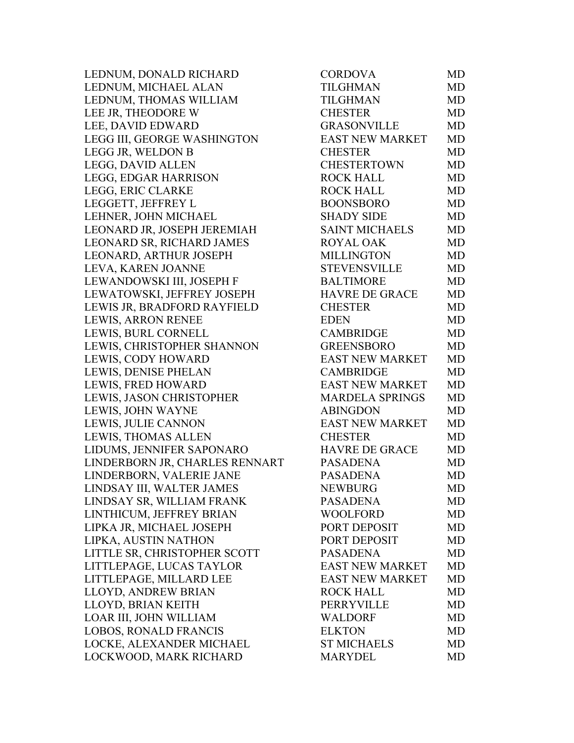LEDNUM, DONALD RICHARD LEDNUM, MICHAEL ALAN LEDNUM, THOMAS WILLIAM LEE JR, THEODORE W LEE, DAVID EDWARD LEGG III, GEORGE WASHINGTON LEGG JR, WELDON B LEGG, DAVID ALLEN LEGG, EDGAR HARRISON LEGG, ERIC CLARKE LEGGETT, JEFFREY L LEHNER, JOHN MICHAEL LEONARD JR, JOSEPH JEREMIAH LEONARD SR, RICHARD JAMES LEONARD, ARTHUR JOSEPH LEVA, KAREN JOANNE LEWANDOWSKI III, JOSEPH F LEWATOWSKI, JEFFREY JOSEPH LEWIS JR, BRADFORD RAYFIELD LEWIS, ARRON RENEE LEWIS, BURL CORNELL LEWIS, CHRISTOPHER SHANNON LEWIS, CODY HOWARD LEWIS, DENISE PHELAN LEWIS, FRED HOWARD LEWIS, JASON CHRISTOPHER LEWIS, JOHN WAYNE LEWIS, JULIE CANNON LEWIS, THOMAS ALLEN LIDUMS, JENNIFER SAPONARO LINDERBORN JR, CHARLES RENNART LINDERBORN, VALERIE JANE LINDSAY III, WALTER JAMES LINDSAY SR, WILLIAM FRANK LINTHICUM, JEFFREY BRIAN LIPKA JR, MICHAEL JOSEPH LIPKA, AUSTIN NATHON LITTLE SR, CHRISTOPHER SCOTT LITTLEPAGE, LUCAS TAYLOR LITTLEPAGE, MILLARD LEE LLOYD, ANDREW BRIAN LLOYD, BRIAN KEITH LOAR III, JOHN WILLIAM LOBOS, RONALD FRANCIS LOCKE, ALEXANDER MICHAEL LOCKWOOD, MARK RICHARD

| <b>CORDOVA</b>         | MD        |
|------------------------|-----------|
| TILGHMAN               | <b>MD</b> |
| <b>TILGHMAN</b>        | <b>MD</b> |
| <b>CHESTER</b>         | MD        |
| <b>GRASONVILLE</b>     | <b>MD</b> |
| EAST NEW MARKET        | <b>MD</b> |
| <b>CHESTER</b>         | <b>MD</b> |
| <b>CHESTERTOWN</b>     | <b>MD</b> |
| <b>ROCK HALL</b>       | <b>MD</b> |
| <b>ROCK HALL</b>       | <b>MD</b> |
| <b>BOONSBORO</b>       | <b>MD</b> |
| <b>SHADY SIDE</b>      | <b>MD</b> |
| <b>SAINT MICHAELS</b>  | <b>MD</b> |
| <b>ROYAL OAK</b>       | <b>MD</b> |
| <b>MILLINGTON</b>      | <b>MD</b> |
| <b>STEVENSVILLE</b>    | <b>MD</b> |
| <b>BALTIMORE</b>       | <b>MD</b> |
| <b>HAVRE DE GRACE</b>  | <b>MD</b> |
| <b>CHESTER</b>         | <b>MD</b> |
| <b>EDEN</b>            | <b>MD</b> |
| <b>CAMBRIDGE</b>       | <b>MD</b> |
| <b>GREENSBORO</b>      | <b>MD</b> |
| <b>EAST NEW MARKET</b> | <b>MD</b> |
| <b>CAMBRIDGE</b>       | <b>MD</b> |
| <b>EAST NEW MARKET</b> | <b>MD</b> |
| <b>MARDELA SPRINGS</b> | <b>MD</b> |
| <b>ABINGDON</b>        | <b>MD</b> |
| <b>EAST NEW MARKET</b> | <b>MD</b> |
| <b>CHESTER</b>         | <b>MD</b> |
| <b>HAVRE DE GRACE</b>  | <b>MD</b> |
| <b>PASADENA</b>        | <b>MD</b> |
| <b>PASADENA</b>        | <b>MD</b> |
| <b>NEWBURG</b>         | MD        |
| <b>PASADENA</b>        | <b>MD</b> |
| <b>WOOLFORD</b>        | <b>MD</b> |
| PORT DEPOSIT           | <b>MD</b> |
| PORT DEPOSIT           | <b>MD</b> |
| <b>PASADENA</b>        | <b>MD</b> |
| <b>EAST NEW MARKET</b> | <b>MD</b> |
| <b>EAST NEW MARKET</b> | <b>MD</b> |
| <b>ROCK HALL</b>       | <b>MD</b> |
| <b>PERRYVILLE</b>      | <b>MD</b> |
| <b>WALDORF</b>         | <b>MD</b> |
| <b>ELKTON</b>          | <b>MD</b> |
| <b>ST MICHAELS</b>     | <b>MD</b> |
| <b>MARYDEL</b>         | MD        |
|                        |           |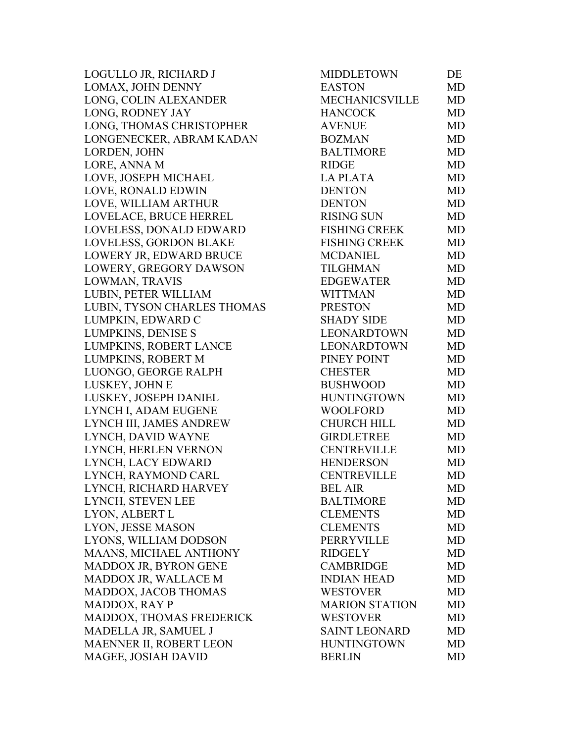| LOGULLO JR, RICHARD J       | <b>MIDDLETOWN</b>     | DE        |
|-----------------------------|-----------------------|-----------|
| LOMAX, JOHN DENNY           | <b>EASTON</b>         | MD        |
| LONG, COLIN ALEXANDER       | <b>MECHANICSVILLE</b> | <b>MD</b> |
| LONG, RODNEY JAY            | <b>HANCOCK</b>        | <b>MD</b> |
| LONG, THOMAS CHRISTOPHER    | <b>AVENUE</b>         | <b>MD</b> |
| LONGENECKER, ABRAM KADAN    | <b>BOZMAN</b>         | <b>MD</b> |
| LORDEN, JOHN                | <b>BALTIMORE</b>      | <b>MD</b> |
| LORE, ANNA M                | <b>RIDGE</b>          | <b>MD</b> |
| LOVE, JOSEPH MICHAEL        | <b>LAPLATA</b>        | <b>MD</b> |
| LOVE, RONALD EDWIN          | <b>DENTON</b>         | <b>MD</b> |
| LOVE, WILLIAM ARTHUR        | <b>DENTON</b>         | <b>MD</b> |
| LOVELACE, BRUCE HERREL      | <b>RISING SUN</b>     | MD        |
| LOVELESS, DONALD EDWARD     | <b>FISHING CREEK</b>  | <b>MD</b> |
| LOVELESS, GORDON BLAKE      | <b>FISHING CREEK</b>  | <b>MD</b> |
| LOWERY JR, EDWARD BRUCE     | <b>MCDANIEL</b>       | <b>MD</b> |
| LOWERY, GREGORY DAWSON      | <b>TILGHMAN</b>       | <b>MD</b> |
| LOWMAN, TRAVIS              | <b>EDGEWATER</b>      | <b>MD</b> |
| LUBIN, PETER WILLIAM        | <b>WITTMAN</b>        | <b>MD</b> |
| LUBIN, TYSON CHARLES THOMAS | <b>PRESTON</b>        | MD        |
| LUMPKIN, EDWARD C           | <b>SHADY SIDE</b>     | <b>MD</b> |
| <b>LUMPKINS, DENISE S</b>   | <b>LEONARDTOWN</b>    | <b>MD</b> |
| LUMPKINS, ROBERT LANCE      | LEONARDTOWN           | MD        |
| LUMPKINS, ROBERT M          | PINEY POINT           | <b>MD</b> |
| LUONGO, GEORGE RALPH        | <b>CHESTER</b>        | <b>MD</b> |
| LUSKEY, JOHN E              | <b>BUSHWOOD</b>       | <b>MD</b> |
| LUSKEY, JOSEPH DANIEL       | <b>HUNTINGTOWN</b>    | <b>MD</b> |
| LYNCH I, ADAM EUGENE        | <b>WOOLFORD</b>       | <b>MD</b> |
| LYNCH III, JAMES ANDREW     | <b>CHURCH HILL</b>    | <b>MD</b> |
| LYNCH, DAVID WAYNE          | <b>GIRDLETREE</b>     | <b>MD</b> |
| LYNCH, HERLEN VERNON        | <b>CENTREVILLE</b>    | <b>MD</b> |
| LYNCH, LACY EDWARD          | <b>HENDERSON</b>      | <b>MD</b> |
| LYNCH, RAYMOND CARL         | <b>CENTREVILLE</b>    | MD        |
| LYNCH, RICHARD HARVEY       | <b>BEL AIR</b>        | MD        |
| LYNCH, STEVEN LEE           | <b>BALTIMORE</b>      | MD        |
| LYON, ALBERT L              | <b>CLEMENTS</b>       | MD        |
| LYON, JESSE MASON           | <b>CLEMENTS</b>       | MD        |
| LYONS, WILLIAM DODSON       | PERRYVILLE            | MD        |
| MAANS, MICHAEL ANTHONY      | <b>RIDGELY</b>        | <b>MD</b> |
| MADDOX JR, BYRON GENE       | <b>CAMBRIDGE</b>      | MD        |
| MADDOX JR, WALLACE M        | <b>INDIAN HEAD</b>    | <b>MD</b> |
| MADDOX, JACOB THOMAS        | <b>WESTOVER</b>       | MD        |
| <b>MADDOX, RAY P</b>        | <b>MARION STATION</b> | MD        |
| MADDOX, THOMAS FREDERICK    | <b>WESTOVER</b>       | MD        |
| MADELLA JR, SAMUEL J        | <b>SAINT LEONARD</b>  | MD        |
| MAENNER II, ROBERT LEON     | <b>HUNTINGTOWN</b>    | MD        |
| MAGEE, JOSIAH DAVID         | <b>BERLIN</b>         | MD        |
|                             |                       |           |

| <b>MIDDLETOWN</b>     | DЕ        |
|-----------------------|-----------|
| <b>EASTON</b>         | MD        |
| <b>MECHANICSVILLE</b> | <b>MD</b> |
| <b>HANCOCK</b>        | <b>MD</b> |
| <b>AVENUE</b>         | <b>MD</b> |
| <b>BOZMAN</b>         | <b>MD</b> |
| <b>BALTIMORE</b>      | MD        |
| <b>RIDGE</b>          | <b>MD</b> |
| <b>LA PLATA</b>       | <b>MD</b> |
| <b>DENTON</b>         | <b>MD</b> |
| <b>DENTON</b>         | <b>MD</b> |
| <b>RISING SUN</b>     | MD        |
| <b>FISHING CREEK</b>  | MD        |
| <b>FISHING CREEK</b>  | MD        |
| <b>MCDANIEL</b>       | <b>MD</b> |
| <b>TILGHMAN</b>       | <b>MD</b> |
| <b>EDGEWATER</b>      | MD        |
| <b>WITTMAN</b>        | <b>MD</b> |
| <b>PRESTON</b>        | <b>MD</b> |
| <b>SHADY SIDE</b>     | <b>MD</b> |
| LEONARDTOWN           | <b>MD</b> |
| <b>LEONARDTOWN</b>    | MD        |
| PINEY POINT           | <b>MD</b> |
| <b>CHESTER</b>        | MD        |
| <b>BUSHWOOD</b>       | <b>MD</b> |
| <b>HUNTINGTOWN</b>    | MD        |
| <b>WOOLFORD</b>       | MD        |
| <b>CHURCH HILL</b>    | <b>MD</b> |
| <b>GIRDLETREE</b>     | <b>MD</b> |
| <b>CENTREVILLE</b>    | MD        |
| <b>HENDERSON</b>      | <b>MD</b> |
| <b>CENTREVILLE</b>    | MD        |
| <b>BEL AIR</b>        | MD        |
| <b>BALTIMORE</b>      | MD        |
| <b>CLEMENTS</b>       | <b>MD</b> |
| <b>CLEMENTS</b>       | <b>MD</b> |
| <b>PERRYVILLE</b>     | MD        |
| <b>RIDGELY</b>        | MD        |
| <b>CAMBRIDGE</b>      | <b>MD</b> |
| <b>INDIAN HEAD</b>    | <b>MD</b> |
| <b>WESTOVER</b>       | <b>MD</b> |
| <b>MARION STATION</b> | <b>MD</b> |
| <b>WESTOVER</b>       | <b>MD</b> |
| <b>SAINT LEONARD</b>  | <b>MD</b> |
| <b>HUNTINGTOWN</b>    | <b>MD</b> |
| <b>BERLIN</b>         | MD        |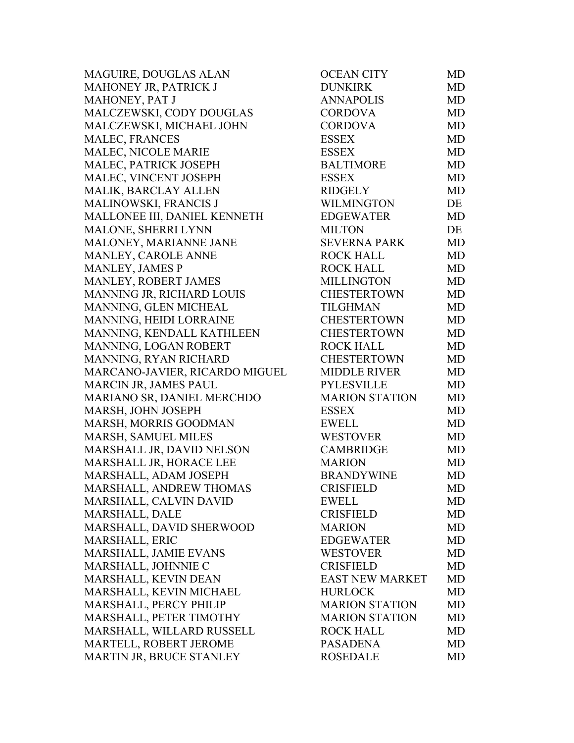MAGUIRE, DOUGLAS ALAN MAHONEY JR, PATRICK J MAHONEY, PAT J MALCZEWSKI, CODY DOUGLAS MALCZEWSKI, MICHAEL JOHN MALEC, FRANCES MALEC, NICOLE MARIE MALEC, PATRICK JOSEPH MALEC, VINCENT JOSEPH MALIK, BARCLAY ALLEN MALINOWSKI, FRANCIS J MALLONEE III, DANIEL KENNETH MALONE, SHERRI LYNN MALONEY, MARIANNE JANE MANLEY, CAROLE ANNE MANLEY, JAMES P MANLEY, ROBERT JAMES MANNING JR, RICHARD LOUIS MANNING, GLEN MICHEAL MANNING, HEIDI LORRAINE MANNING, KENDALL KATHLEEN MANNING, LOGAN ROBERT MANNING, RYAN RICHARD MARCANO-JAVIER, RICARDO MIGUEL MARCIN JR, JAMES PAUL MARIANO SR, DANIEL MERCHDO MARSH, JOHN JOSEPH MARSH, MORRIS GOODMAN MARSH, SAMUEL MILES MARSHALL JR, DAVID NELSON MARSHALL JR, HORACE LEE MARSHALL, ADAM JOSEPH MARSHALL, ANDREW THOMAS MARSHALL, CALVIN DAVID MARSHALL, DALE MARSHALL, DAVID SHERWOOD MARSHALL, ERIC MARSHALL, JAMIE EVANS MARSHALL, JOHNNIE C MARSHALL, KEVIN DEAN MARSHALL, KEVIN MICHAEL MARSHALL, PERCY PHILIP MARSHALL, PETER TIMOTHY MARSHALL, WILLARD RUSSELL MARTELL, ROBERT JEROME MARTIN JR, BRUCE STANLEY

| OCEAN CITY             | MD        |
|------------------------|-----------|
| <b>DUNKIRK</b>         | <b>MD</b> |
| <b>ANNAPOLIS</b>       | MD        |
| <b>CORDOVA</b>         | <b>MD</b> |
| <b>CORDOVA</b>         | <b>MD</b> |
| <b>ESSEX</b>           | <b>MD</b> |
| <b>ESSEX</b>           | <b>MD</b> |
| <b>BALTIMORE</b>       | <b>MD</b> |
| <b>ESSEX</b>           | <b>MD</b> |
| <b>RIDGELY</b>         | <b>MD</b> |
| <b>WILMINGTON</b>      | DE        |
| <b>EDGEWATER</b>       | <b>MD</b> |
| <b>MILTON</b>          | DE        |
| <b>SEVERNA PARK</b>    | <b>MD</b> |
| <b>ROCK HALL</b>       | <b>MD</b> |
| <b>ROCK HALL</b>       | <b>MD</b> |
| <b>MILLINGTON</b>      | MD        |
| <b>CHESTERTOWN</b>     | <b>MD</b> |
| <b>TILGHMAN</b>        | <b>MD</b> |
| <b>CHESTERTOWN</b>     | <b>MD</b> |
| <b>CHESTERTOWN</b>     | <b>MD</b> |
| <b>ROCK HALL</b>       | <b>MD</b> |
| <b>CHESTERTOWN</b>     | MD        |
| <b>MIDDLE RIVER</b>    | <b>MD</b> |
| <b>PYLESVILLE</b>      | <b>MD</b> |
| <b>MARION STATION</b>  | MD        |
| <b>ESSEX</b>           | <b>MD</b> |
| <b>EWELL</b>           | <b>MD</b> |
| <b>WESTOVER</b>        | <b>MD</b> |
| <b>CAMBRIDGE</b>       | <b>MD</b> |
| <b>MARION</b>          | <b>MD</b> |
| <b>BRANDYWINE</b>      | MD        |
| <b>CRISFIELD</b>       | MD        |
| <b>EWELL</b>           | MD        |
| <b>CRISFIELD</b>       | MD        |
| <b>MARION</b>          | <b>MD</b> |
| <b>EDGEWATER</b>       | <b>MD</b> |
| <b>WESTOVER</b>        | MD        |
| <b>CRISFIELD</b>       | <b>MD</b> |
| <b>EAST NEW MARKET</b> | <b>MD</b> |
| <b>HURLOCK</b>         | <b>MD</b> |
| <b>MARION STATION</b>  | <b>MD</b> |
| <b>MARION STATION</b>  | <b>MD</b> |
| <b>ROCK HALL</b>       | <b>MD</b> |
| <b>PASADENA</b>        | <b>MD</b> |
| <b>ROSEDALE</b>        | <b>MD</b> |
|                        |           |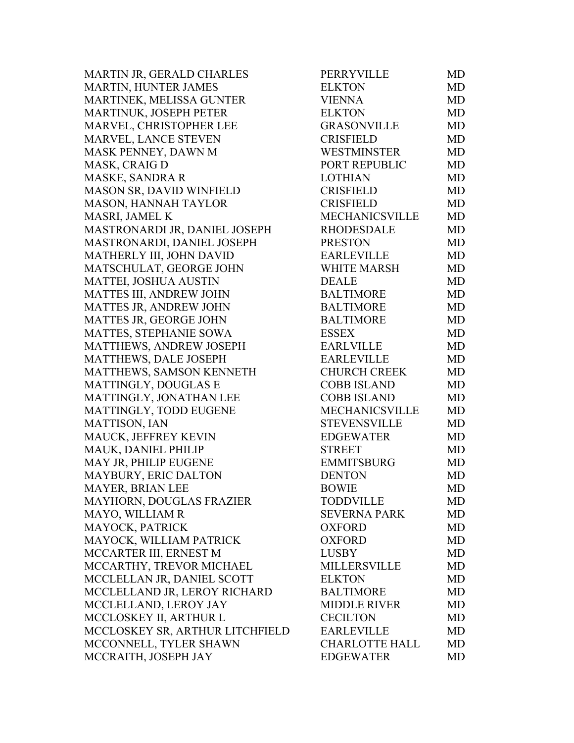MARTIN JR, GERALD CHARLES MARTIN, HUNTER JAMES MARTINEK, MELISSA GUNTER MARTINUK, JOSEPH PETER MARVEL, CHRISTOPHER LEE MARVEL, LANCE STEVEN MASK PENNEY, DAWN M MASK, CRAIG D MASKE, SANDRA R MASON SR, DAVID WINFIELD MASON, HANNAH TAYLOR MASRI, JAMEL K MASTRONARDI JR, DANIEL JOSEPH MASTRONARDI, DANIEL JOSEPH MATHERLY III, JOHN DAVID MATSCHULAT, GEORGE JOHN MATTEI, JOSHUA AUSTIN MATTES III, ANDREW JOHN MATTES JR, ANDREW JOHN MATTES JR, GEORGE JOHN MATTES, STEPHANIE SOWA MATTHEWS, ANDREW JOSEPH MATTHEWS, DALE JOSEPH MATTHEWS, SAMSON KENNETH MATTINGLY, DOUGLAS E MATTINGLY, JONATHAN LEE MATTINGLY, TODD EUGENE MATTISON, IAN MAUCK, JEFFREY KEVIN MAUK, DANIEL PHILIP MAY JR, PHILIP EUGENE MAYBURY, ERIC DALTON MAYER, BRIAN LEE MAYHORN, DOUGLAS FRAZIER MAYO, WILLIAM R MAYOCK, PATRICK MAYOCK, WILLIAM PATRICK MCCARTER III, ERNEST M MCCARTHY, TREVOR MICHAEL MCCLELLAN JR, DANIEL SCOTT MCCLELLAND JR, LEROY RICHARD MCCLELLAND, LEROY JAY MCCLOSKEY II, ARTHUR L MCCLOSKEY SR, ARTHUR LITCHFIELD MCCONNELL, TYLER SHAWN MCCRAITH, JOSEPH JAY

| PERRYVILLE            | MD        |
|-----------------------|-----------|
| <b>ELKTON</b>         | <b>MD</b> |
| <b>VIENNA</b>         | <b>MD</b> |
| <b>ELKTON</b>         | <b>MD</b> |
| <b>GRASONVILLE</b>    | <b>MD</b> |
| <b>CRISFIELD</b>      | <b>MD</b> |
| WESTMINSTER           | <b>MD</b> |
| PORT REPUBLIC         | <b>MD</b> |
| <b>LOTHIAN</b>        | <b>MD</b> |
| <b>CRISFIELD</b>      | <b>MD</b> |
| <b>CRISFIELD</b>      | <b>MD</b> |
| <b>MECHANICSVILLE</b> | <b>MD</b> |
| <b>RHODESDALE</b>     | MD        |
| <b>PRESTON</b>        | <b>MD</b> |
| <b>EARLEVILLE</b>     | <b>MD</b> |
| <b>WHITE MARSH</b>    | <b>MD</b> |
| <b>DEALE</b>          | <b>MD</b> |
| <b>BALTIMORE</b>      | <b>MD</b> |
| <b>BALTIMORE</b>      | <b>MD</b> |
| <b>BALTIMORE</b>      | <b>MD</b> |
| <b>ESSEX</b>          | <b>MD</b> |
| <b>EARLVILLE</b>      | <b>MD</b> |
| <b>EARLEVILLE</b>     | <b>MD</b> |
| CHURCH CREEK          | <b>MD</b> |
| <b>COBB ISLAND</b>    | <b>MD</b> |
| <b>COBB ISLAND</b>    | MD        |
| MECHANICSVILLE        | <b>MD</b> |
| STEVENSVILLE          | <b>MD</b> |
| <b>EDGEWATER</b>      | <b>MD</b> |
| <b>STREET</b>         | <b>MD</b> |
| <b>EMMITSBURG</b>     | <b>MD</b> |
| <b>DENTON</b>         | <b>MD</b> |
| <b>BOWIE</b>          | MD        |
| <b>TODDVILLE</b>      | MD        |
| <b>SEVERNA PARK</b>   | <b>MD</b> |
| <b>OXFORD</b>         | <b>MD</b> |
| <b>OXFORD</b>         | <b>MD</b> |
| <b>LUSBY</b>          | <b>MD</b> |
| <b>MILLERSVILLE</b>   | <b>MD</b> |
| <b>ELKTON</b>         | <b>MD</b> |
| <b>BALTIMORE</b>      | <b>MD</b> |
| <b>MIDDLE RIVER</b>   | MD        |
| <b>CECILTON</b>       | <b>MD</b> |
| <b>EARLEVILLE</b>     | <b>MD</b> |
| <b>CHARLOTTE HALL</b> | <b>MD</b> |
| <b>EDGEWATER</b>      | MD        |
|                       |           |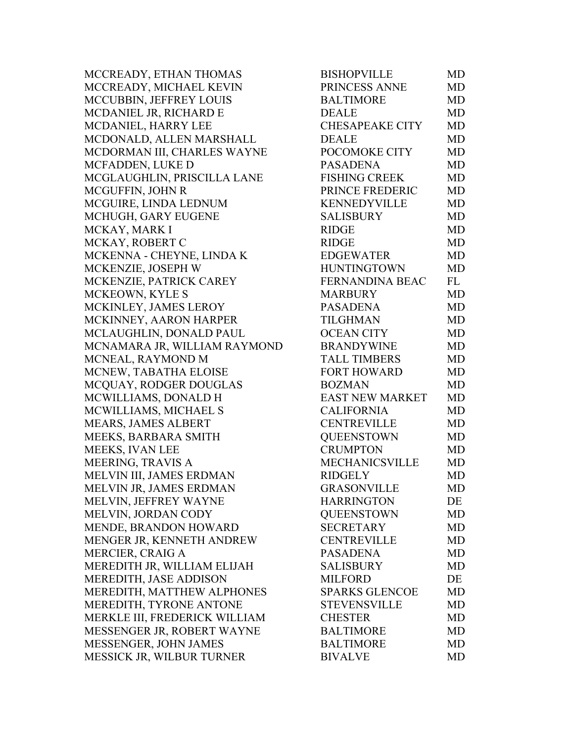MCCREADY, ETHAN THOMAS MCCREADY, MICHAEL KEVIN MCCUBBIN, JEFFREY LOUIS MCDANIEL JR, RICHARD E MCDANIEL, HARRY LEE MCDONALD, ALLEN MARSHALL MCDORMAN III, CHARLES WAYNE MCFADDEN, LUKE D MCGLAUGHLIN, PRISCILLA LANE MCGUFFIN, JOHN R MCGUIRE, LINDA LEDNUM MCHUGH, GARY EUGENE MCKAY, MARK I MCKAY, ROBERT C MCKENNA - CHEYNE, LINDA K MCKENZIE, JOSEPH W MCKENZIE, PATRICK CAREY MCKEOWN, KYLE S MCKINLEY, JAMES LEROY MCKINNEY, AARON HARPER MCLAUGHLIN, DONALD PAUL MCNAMARA JR, WILLIAM RAYMOND MCNEAL, RAYMOND M MCNEW, TABATHA ELOISE MCQUAY, RODGER DOUGLAS MCWILLIAMS, DONALD H MCWILLIAMS, MICHAEL S MEARS, JAMES ALBERT MEEKS, BARBARA SMITH MEEKS, IVAN LEE MEERING, TRAVIS A MELVIN III, JAMES ERDMAN MELVIN JR, JAMES ERDMAN MELVIN, JEFFREY WAYNE MELVIN, JORDAN CODY MENDE, BRANDON HOWARD MENGER JR, KENNETH ANDREW MERCIER, CRAIG A MEREDITH JR, WILLIAM ELIJAH MEREDITH, JASE ADDISON MEREDITH, MATTHEW ALPHONES MEREDITH, TYRONE ANTONE MERKLE III, FREDERICK WILLIAM MESSENGER JR. ROBERT WAYNE MESSENGER, JOHN JAMES MESSICK JR, WILBUR TURNER

| <b>BISHOPVILLE</b>     | MD        |
|------------------------|-----------|
| PRINCESS ANNE          | <b>MD</b> |
| <b>BALTIMORE</b>       | <b>MD</b> |
| <b>DEALE</b>           | <b>MD</b> |
| <b>CHESAPEAKE CITY</b> | <b>MD</b> |
| <b>DEALE</b>           | <b>MD</b> |
| POCOMOKE CITY          | <b>MD</b> |
| <b>PASADENA</b>        | <b>MD</b> |
| <b>FISHING CREEK</b>   | <b>MD</b> |
| PRINCE FREDERIC        | <b>MD</b> |
| <b>KENNEDYVILLE</b>    | <b>MD</b> |
| <b>SALISBURY</b>       | <b>MD</b> |
| <b>RIDGE</b>           | MD        |
| <b>RIDGE</b>           | <b>MD</b> |
| <b>EDGEWATER</b>       | <b>MD</b> |
| <b>HUNTINGTOWN</b>     | <b>MD</b> |
| FERNANDINA BEAC        | FL        |
| <b>MARBURY</b>         | <b>MD</b> |
| <b>PASADENA</b>        | <b>MD</b> |
| <b>TILGHMAN</b>        | MD        |
| <b>OCEAN CITY</b>      | <b>MD</b> |
| <b>BRANDYWINE</b>      | <b>MD</b> |
| <b>TALL TIMBERS</b>    | MD        |
| <b>FORT HOWARD</b>     | <b>MD</b> |
| <b>BOZMAN</b>          | <b>MD</b> |
| <b>EAST NEW MARKET</b> | MD        |
| <b>CALIFORNIA</b>      | <b>MD</b> |
| <b>CENTREVILLE</b>     | <b>MD</b> |
| <b>OUEENSTOWN</b>      | <b>MD</b> |
| <b>CRUMPTON</b>        | <b>MD</b> |
| <b>MECHANICSVILLE</b>  | <b>MD</b> |
| <b>RIDGELY</b>         | <b>MD</b> |
| <b>GRASONVILLE</b>     | MD        |
| <b>HARRINGTON</b>      | DE        |
| <b>QUEENSTOWN</b>      | <b>MD</b> |
| <b>SECRETARY</b>       | MD        |
| <b>CENTREVILLE</b>     | <b>MD</b> |
| <b>PASADENA</b>        | <b>MD</b> |
| SALISBURY              | <b>MD</b> |
| <b>MILFORD</b>         | DE        |
| <b>SPARKS GLENCOE</b>  | <b>MD</b> |
| <b>STEVENSVILLE</b>    | <b>MD</b> |
| <b>CHESTER</b>         | <b>MD</b> |
| <b>BALTIMORE</b>       | <b>MD</b> |
| <b>BALTIMORE</b>       | <b>MD</b> |
| <b>BIVALVE</b>         | MD        |
|                        |           |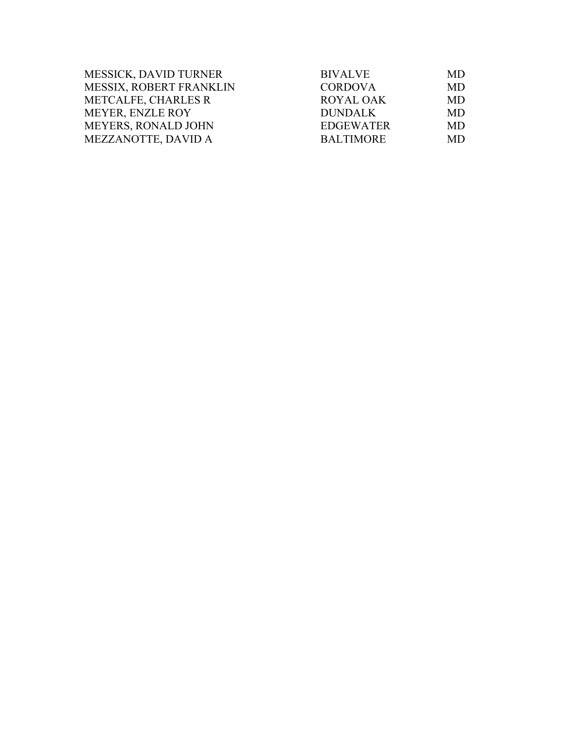| MESSICK, DAVID TURNER          | <b>BIVALVE</b>   | MD        |
|--------------------------------|------------------|-----------|
| <b>MESSIX, ROBERT FRANKLIN</b> | <b>CORDOVA</b>   | <b>MD</b> |
| METCALFE, CHARLES R            | <b>ROYAL OAK</b> | <b>MD</b> |
| <b>MEYER, ENZLE ROY</b>        | <b>DUNDALK</b>   | MD.       |
| <b>MEYERS, RONALD JOHN</b>     | <b>EDGEWATER</b> | <b>MD</b> |
| MEZZANOTTE, DAVID A            | <b>BALTIMORE</b> | MD.       |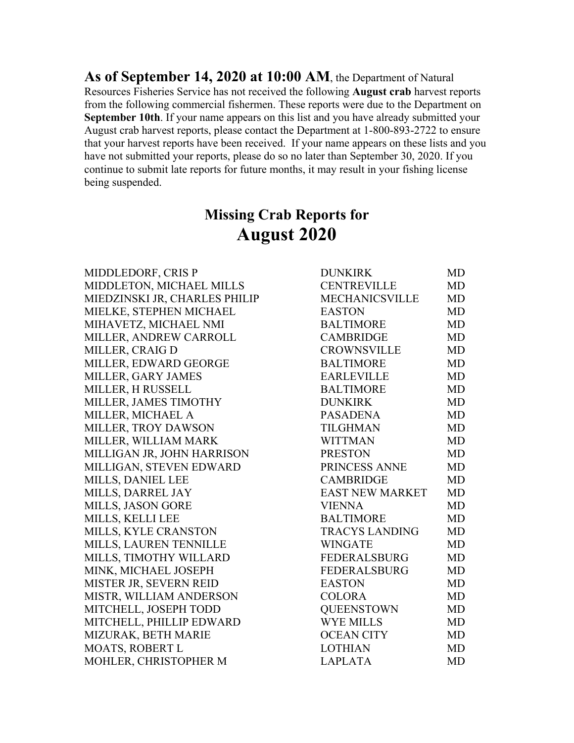**As of September 14, 2020 at 10:00 AM**, the Department of Natural Resources Fisheries Service has not received the following **August crab** harvest reports from the following commercial fishermen. These reports were due to the Department on **September 10th**. If your name appears on this list and you have already submitted your August crab harvest reports, please contact the Department at 1-800-893-2722 to ensure that your harvest reports have been received. If your name appears on these lists and you have not submitted your reports, please do so no later than September 30, 2020. If you continue to submit late reports for future months, it may result in your fishing license being suspended.

# **Missing Crab Reports for August 2020**

MIDDLEDORF, CRIS P MIDDLETON, MICHAEL MILLS MIEDZINSKI JR, CHARLES PHILIP MIELKE, STEPHEN MICHAEL MIHAVETZ, MICHAEL NMI MILLER, ANDREW CARROLL MILLER, CRAIG D MILLER, EDWARD GEORGE MILLER, GARY JAMES MILLER, H RUSSELL MILLER, JAMES TIMOTHY MILLER, MICHAEL A MILLER, TROY DAWSON MILLER, WILLIAM MARK MILLIGAN JR, JOHN HARRISON MILLIGAN, STEVEN EDWARD MILLS, DANIEL LEE MILLS, DARREL JAY MILLS, JASON GORE MILLS, KELLI LEE MILLS, KYLE CRANSTON MILLS, LAUREN TENNILLE MILLS, TIMOTHY WILLARD MINK, MICHAEL JOSEPH MISTER JR, SEVERN REID MISTR, WILLIAM ANDERSON MITCHELL, JOSEPH TODD MITCHELL, PHILLIP EDWARD MIZURAK, BETH MARIE MOATS, ROBERT L MOHLER, CHRISTOPHER M LAPLATA MD

| <b>DUNKIRK</b>        | <b>MD</b> |
|-----------------------|-----------|
| <b>CENTREVILLE</b>    | <b>MD</b> |
| MECHANICSVILLE        | <b>MD</b> |
| <b>EASTON</b>         | <b>MD</b> |
| <b>BALTIMORE</b>      | <b>MD</b> |
| <b>CAMBRIDGE</b>      | <b>MD</b> |
| CROWNSVILLE           | <b>MD</b> |
| <b>BALTIMORE</b>      | <b>MD</b> |
| <b>EARLEVILLE</b>     | <b>MD</b> |
| <b>BALTIMORE</b>      | <b>MD</b> |
| <b>DUNKIRK</b>        | <b>MD</b> |
| <b>PASADENA</b>       | <b>MD</b> |
| <b>TILGHMAN</b>       | <b>MD</b> |
| <b>WITTMAN</b>        | <b>MD</b> |
| <b>PRESTON</b>        | <b>MD</b> |
| PRINCESS ANNE         | <b>MD</b> |
| <b>CAMBRIDGE</b>      | <b>MD</b> |
| EAST NEW MARKET       | <b>MD</b> |
| <b>VIENNA</b>         | <b>MD</b> |
| <b>BALTIMORE</b>      | <b>MD</b> |
| <b>TRACYS LANDING</b> | <b>MD</b> |
| <b>WINGATE</b>        | <b>MD</b> |
| <b>FEDERALSBURG</b>   | MD        |
| <b>FEDERALSBURG</b>   | <b>MD</b> |
| <b>EASTON</b>         | <b>MD</b> |
| <b>COLORA</b>         | <b>MD</b> |
| <b>OUEENSTOWN</b>     | <b>MD</b> |
| <b>WYE MILLS</b>      | <b>MD</b> |
| <b>OCEAN CITY</b>     | <b>MD</b> |
| <b>LOTHIAN</b>        | <b>MD</b> |
| I API ATA             | MD        |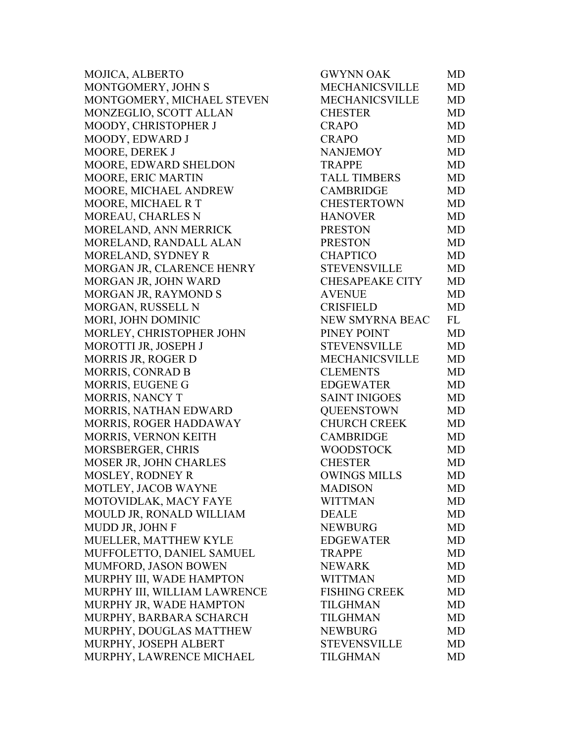| MOJICA, ALBERTO              | <b>GWYNN OAK</b>       | MD        |
|------------------------------|------------------------|-----------|
| MONTGOMERY, JOHN S           | <b>MECHANICSVILLE</b>  | <b>MD</b> |
| MONTGOMERY, MICHAEL STEVEN   | <b>MECHANICSVILLE</b>  | <b>MD</b> |
| MONZEGLIO, SCOTT ALLAN       | <b>CHESTER</b>         | <b>MD</b> |
| MOODY, CHRISTOPHER J         | <b>CRAPO</b>           | <b>MD</b> |
| MOODY, EDWARD J              | <b>CRAPO</b>           | <b>MD</b> |
| MOORE, DEREK J               | <b>NANJEMOY</b>        | <b>MD</b> |
| MOORE, EDWARD SHELDON        | <b>TRAPPE</b>          | <b>MD</b> |
| MOORE, ERIC MARTIN           | <b>TALL TIMBERS</b>    | <b>MD</b> |
| MOORE, MICHAEL ANDREW        | <b>CAMBRIDGE</b>       | <b>MD</b> |
| MOORE, MICHAEL R T           | <b>CHESTERTOWN</b>     | <b>MD</b> |
| MOREAU, CHARLES N            | <b>HANOVER</b>         | <b>MD</b> |
| MORELAND, ANN MERRICK        | <b>PRESTON</b>         | <b>MD</b> |
| MORELAND, RANDALL ALAN       | <b>PRESTON</b>         | <b>MD</b> |
| MORELAND, SYDNEY R           | <b>CHAPTICO</b>        | <b>MD</b> |
| MORGAN JR, CLARENCE HENRY    | <b>STEVENSVILLE</b>    | <b>MD</b> |
| MORGAN JR, JOHN WARD         | <b>CHESAPEAKE CITY</b> | <b>MD</b> |
| MORGAN JR, RAYMOND S         | <b>AVENUE</b>          | <b>MD</b> |
| MORGAN, RUSSELL N            | <b>CRISFIELD</b>       | <b>MD</b> |
| MORI, JOHN DOMINIC           | <b>NEW SMYRNA BEAC</b> | FL        |
| MORLEY, CHRISTOPHER JOHN     | PINEY POINT            | <b>MD</b> |
| MOROTTI JR, JOSEPH J         | <b>STEVENSVILLE</b>    | <b>MD</b> |
| MORRIS JR, ROGER D           | <b>MECHANICSVILLE</b>  | <b>MD</b> |
| MORRIS, CONRAD B             | <b>CLEMENTS</b>        | <b>MD</b> |
| MORRIS, EUGENE G             | <b>EDGEWATER</b>       | <b>MD</b> |
| <b>MORRIS, NANCY T</b>       | <b>SAINT INIGOES</b>   | <b>MD</b> |
| MORRIS, NATHAN EDWARD        | <b>QUEENSTOWN</b>      | <b>MD</b> |
| MORRIS, ROGER HADDAWAY       | <b>CHURCH CREEK</b>    | <b>MD</b> |
| MORRIS, VERNON KEITH         | <b>CAMBRIDGE</b>       | <b>MD</b> |
| MORSBERGER, CHRIS            | <b>WOODSTOCK</b>       | <b>MD</b> |
| MOSER JR, JOHN CHARLES       | <b>CHESTER</b>         | <b>MD</b> |
| <b>MOSLEY, RODNEY R</b>      | <b>OWINGS MILLS</b>    | <b>MD</b> |
| MOTLEY, JACOB WAYNE          | <b>MADISON</b>         | MD        |
| MOTOVIDLAK, MACY FAYE        | <b>WITTMAN</b>         | MD        |
| MOULD JR, RONALD WILLIAM     | <b>DEALE</b>           | <b>MD</b> |
| MUDD JR, JOHN F              | <b>NEWBURG</b>         | <b>MD</b> |
| MUELLER, MATTHEW KYLE        | <b>EDGEWATER</b>       | <b>MD</b> |
| MUFFOLETTO, DANIEL SAMUEL    | <b>TRAPPE</b>          | MD        |
| MUMFORD, JASON BOWEN         | <b>NEWARK</b>          | <b>MD</b> |
| MURPHY III, WADE HAMPTON     | <b>WITTMAN</b>         | <b>MD</b> |
| MURPHY III, WILLIAM LAWRENCE | <b>FISHING CREEK</b>   | MD        |
| MURPHY JR, WADE HAMPTON      | <b>TILGHMAN</b>        | <b>MD</b> |
| MURPHY, BARBARA SCHARCH      | <b>TILGHMAN</b>        | <b>MD</b> |
| MURPHY, DOUGLAS MATTHEW      | <b>NEWBURG</b>         | <b>MD</b> |
| MURPHY, JOSEPH ALBERT        | <b>STEVENSVILLE</b>    | <b>MD</b> |
| MURPHY, LAWRENCE MICHAEL     | <b>TILGHMAN</b>        | <b>MD</b> |
|                              |                        |           |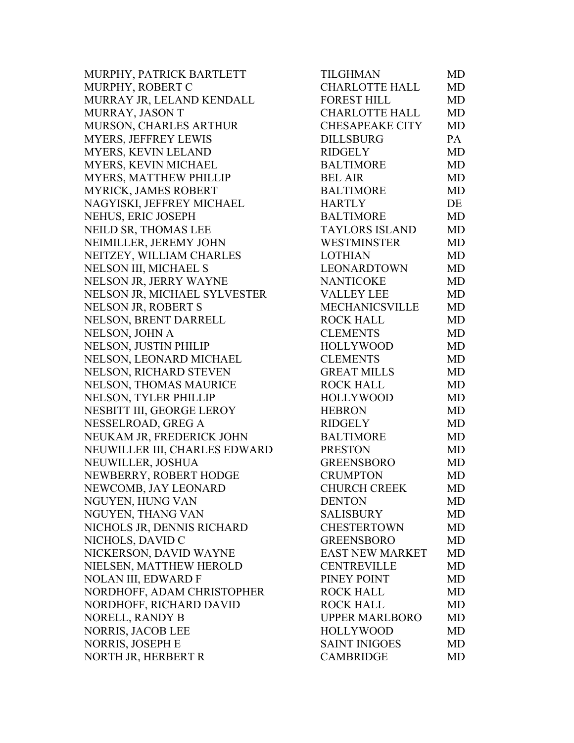MURPHY, PATRICK BARTLETT MURPHY, ROBERT C MURRAY JR, LELAND KENDALL MURRAY, JASON T MURSON, CHARLES ARTHUR MYERS, JEFFREY LEWIS MYERS, KEVIN LELAND MYERS, KEVIN MICHAEL MYERS, MATTHEW PHILLIP MYRICK, JAMES ROBERT NAGYISKI, JEFFREY MICHAEL NEHUS, ERIC JOSEPH NEILD SR, THOMAS LEE NEIMILLER, JEREMY JOHN NEITZEY, WILLIAM CHARLES NELSON III, MICHAEL S NELSON JR, JERRY WAYNE NELSON JR, MICHAEL SYLVESTER NELSON JR, ROBERT S NELSON, BRENT DARRELL NELSON, JOHN A NELSON, JUSTIN PHILIP NELSON, LEONARD MICHAEL NELSON, RICHARD STEVEN NELSON, THOMAS MAURICE NELSON, TYLER PHILLIP NESBITT III, GEORGE LEROY NESSELROAD, GREG A NEUKAM JR, FREDERICK JOHN NEUWILLER III, CHARLES EDWARD NEUWILLER, JOSHUA NEWBERRY, ROBERT HODGE NEWCOMB, JAY LEONARD NGUYEN, HUNG VAN NGUYEN, THANG VAN NICHOLS JR, DENNIS RICHARD NICHOLS, DAVID C NICKERSON, DAVID WAYNE NIELSEN, MATTHEW HEROLD NOLAN III, EDWARD F NORDHOFF, ADAM CHRISTOPHER NORDHOFF, RICHARD DAVID NORELL, RANDY B NORRIS, JACOB LEE NORRIS, JOSEPH E NORTH JR, HERBERT R

| TILGHMAN               | MD        |
|------------------------|-----------|
| <b>CHARLOTTE HALL</b>  | <b>MD</b> |
| <b>FOREST HILL</b>     | MD        |
| <b>CHARLOTTE HALL</b>  | <b>MD</b> |
| <b>CHESAPEAKE CITY</b> | <b>MD</b> |
| <b>DILLSBURG</b>       | PA        |
| <b>RIDGELY</b>         | MD        |
| <b>BALTIMORE</b>       | <b>MD</b> |
| <b>BEL AIR</b>         | <b>MD</b> |
| <b>BALTIMORE</b>       | <b>MD</b> |
| <b>HARTLY</b>          | DE        |
| <b>BALTIMORE</b>       | <b>MD</b> |
| <b>TAYLORS ISLAND</b>  | <b>MD</b> |
| <b>WESTMINSTER</b>     | <b>MD</b> |
| <b>LOTHIAN</b>         | <b>MD</b> |
| <b>LEONARDTOWN</b>     | <b>MD</b> |
| <b>NANTICOKE</b>       | MD        |
| <b>VALLEY LEE</b>      | <b>MD</b> |
| <b>MECHANICSVILLE</b>  | <b>MD</b> |
| <b>ROCK HALL</b>       | <b>MD</b> |
| <b>CLEMENTS</b>        | <b>MD</b> |
| <b>HOLLYWOOD</b>       | <b>MD</b> |
| <b>CLEMENTS</b>        | <b>MD</b> |
| <b>GREAT MILLS</b>     | MD        |
| <b>ROCK HALL</b>       | <b>MD</b> |
| <b>HOLLYWOOD</b>       | <b>MD</b> |
| <b>HEBRON</b>          | <b>MD</b> |
| <b>RIDGELY</b>         | <b>MD</b> |
| <b>BALTIMORE</b>       | <b>MD</b> |
| <b>PRESTON</b>         | <b>MD</b> |
| <b>GREENSBORO</b>      | MD        |
| <b>CRUMPTON</b>        | MD        |
| <b>CHURCH CREEK</b>    | MD        |
| <b>DENTON</b>          | MD        |
| <b>SALISBURY</b>       | <b>MD</b> |
| <b>CHESTERTOWN</b>     | <b>MD</b> |
| <b>GREENSBORO</b>      | <b>MD</b> |
| <b>EAST NEW MARKET</b> | <b>MD</b> |
| <b>CENTREVILLE</b>     | MD        |
| PINEY POINT            | <b>MD</b> |
| <b>ROCK HALL</b>       | <b>MD</b> |
| <b>ROCK HALL</b>       | <b>MD</b> |
| <b>UPPER MARLBORO</b>  | <b>MD</b> |
| <b>HOLLYWOOD</b>       | MD        |
| <b>SAINT INIGOES</b>   | <b>MD</b> |
| <b>CAMBRIDGE</b>       | <b>MD</b> |
|                        |           |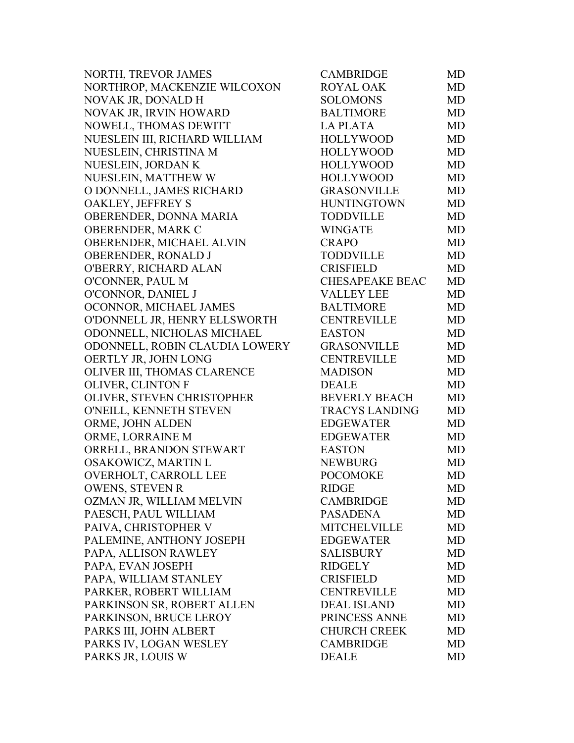| NORTH, TREVOR JAMES            | <b>CAMBRIDGE</b>       | MD        |
|--------------------------------|------------------------|-----------|
| NORTHROP, MACKENZIE WILCOXON   | <b>ROYAL OAK</b>       | MD        |
| NOVAK JR, DONALD H             | <b>SOLOMONS</b>        | MD        |
| NOVAK JR, IRVIN HOWARD         | <b>BALTIMORE</b>       | MD        |
| NOWELL, THOMAS DEWITT          | <b>LAPLATA</b>         | MD        |
| NUESLEIN III, RICHARD WILLIAM  | <b>HOLLYWOOD</b>       | MD        |
| NUESLEIN, CHRISTINA M          | <b>HOLLYWOOD</b>       | MD        |
| NUESLEIN, JORDAN K             | <b>HOLLYWOOD</b>       | MD        |
| NUESLEIN, MATTHEW W            | <b>HOLLYWOOD</b>       | MD        |
| O DONNELL, JAMES RICHARD       | <b>GRASONVILLE</b>     | MD        |
| OAKLEY, JEFFREY S              | <b>HUNTINGTOWN</b>     | MD        |
| OBERENDER, DONNA MARIA         | <b>TODDVILLE</b>       | MD        |
| OBERENDER, MARK C              | <b>WINGATE</b>         | <b>MD</b> |
| OBERENDER, MICHAEL ALVIN       | <b>CRAPO</b>           | MD        |
| OBERENDER, RONALD J            | <b>TODDVILLE</b>       | MD        |
| O'BERRY, RICHARD ALAN          | <b>CRISFIELD</b>       | MD        |
| O'CONNER, PAUL M               | <b>CHESAPEAKE BEAC</b> | MD        |
| O'CONNOR, DANIEL J             | <b>VALLEY LEE</b>      | MD        |
| OCONNOR, MICHAEL JAMES         | <b>BALTIMORE</b>       | MD        |
| O'DONNELL JR, HENRY ELLSWORTH  | <b>CENTREVILLE</b>     | MD        |
| ODONNELL, NICHOLAS MICHAEL     | <b>EASTON</b>          | MD        |
| ODONNELL, ROBIN CLAUDIA LOWERY | <b>GRASONVILLE</b>     | MD        |
| OERTLY JR, JOHN LONG           | <b>CENTREVILLE</b>     | MD        |
| OLIVER III, THOMAS CLARENCE    | <b>MADISON</b>         | MD        |
| OLIVER, CLINTON F              | <b>DEALE</b>           | MD        |
| OLIVER, STEVEN CHRISTOPHER     | <b>BEVERLY BEACH</b>   | MD        |
| O'NEILL, KENNETH STEVEN        | <b>TRACYS LANDING</b>  | MD        |
| ORME, JOHN ALDEN               | <b>EDGEWATER</b>       | MD        |
| ORME, LORRAINE M               | <b>EDGEWATER</b>       | MD        |
| ORRELL, BRANDON STEWART        | <b>EASTON</b>          | MD        |
| OSAKOWICZ, MARTIN L            | <b>NEWBURG</b>         | MD        |
| OVERHOLT, CARROLL LEE          | <b>POCOMOKE</b>        | <b>MD</b> |
| <b>OWENS, STEVEN R</b>         | <b>RIDGE</b>           | MD        |
| OZMAN JR, WILLIAM MELVIN       | <b>CAMBRIDGE</b>       | MD        |
| PAESCH, PAUL WILLIAM           | <b>PASADENA</b>        | MD        |
| PAIVA, CHRISTOPHER V           | <b>MITCHELVILLE</b>    | MD        |
| PALEMINE, ANTHONY JOSEPH       | <b>EDGEWATER</b>       | MD        |
| PAPA, ALLISON RAWLEY           | <b>SALISBURY</b>       | MD        |
| PAPA, EVAN JOSEPH              | <b>RIDGELY</b>         | MD        |
| PAPA, WILLIAM STANLEY          | <b>CRISFIELD</b>       | MD        |
| PARKER, ROBERT WILLIAM         | <b>CENTREVILLE</b>     | MD        |
| PARKINSON SR, ROBERT ALLEN     | <b>DEAL ISLAND</b>     | MD        |
| PARKINSON, BRUCE LEROY         | PRINCESS ANNE          | MD        |
| PARKS III, JOHN ALBERT         | <b>CHURCH CREEK</b>    | MD        |
| PARKS IV, LOGAN WESLEY         | <b>CAMBRIDGE</b>       | MD        |
| PARKS JR, LOUIS W              | <b>DEALE</b>           | MD        |
|                                |                        |           |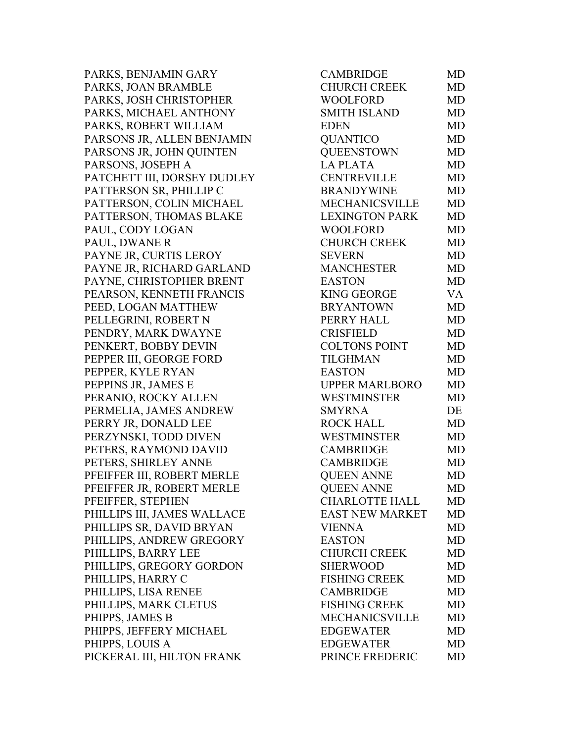PARKS, BENJAMIN GARY PARKS, JOAN BRAMBLE PARKS, JOSH CHRISTOPHER PARKS, MICHAEL ANTHONY PARKS, ROBERT WILLIAM PARSONS JR, ALLEN BENJAMIN PARSONS JR, JOHN QUINTEN PARSONS, JOSEPH A PATCHETT III, DORSEY DUDLEY PATTERSON SR, PHILLIP C PATTERSON, COLIN MICHAEL PATTERSON, THOMAS BLAKE PAUL, CODY LOGAN PAUL, DWANE R PAYNE JR, CURTIS LEROY PAYNE JR, RICHARD GARLAND PAYNE, CHRISTOPHER BRENT PEARSON, KENNETH FRANCIS PEED, LOGAN MATTHEW PELLEGRINI, ROBERT N PENDRY, MARK DWAYNE PENKERT, BOBBY DEVIN PEPPER III, GEORGE FORD PEPPER, KYLE RYAN PEPPINS JR, JAMES E PERANIO, ROCKY ALLEN PERMELIA, JAMES ANDREW PERRY JR, DONALD LEE PERZYNSKI, TODD DIVEN PETERS, RAYMOND DAVID PETERS, SHIRLEY ANNE PFEIFFER III, ROBERT MERLE PFEIFFER JR, ROBERT MERLE PFEIFFER, STEPHEN PHILLIPS III, JAMES WALLACE PHILLIPS SR, DAVID BRYAN PHILLIPS, ANDREW GREGORY PHILLIPS, BARRY LEE PHILLIPS, GREGORY GORDON PHILLIPS, HARRY C PHILLIPS, LISA RENEE PHILLIPS, MARK CLETUS PHIPPS, JAMES B PHIPPS, JEFFERY MICHAEL PHIPPS, LOUIS A PICKERAL III, HILTON FRANK

| CAMBRIDGE              | MD        |
|------------------------|-----------|
| <b>CHURCH CREEK</b>    | <b>MD</b> |
| <b>WOOLFORD</b>        | MD        |
| <b>SMITH ISLAND</b>    | <b>MD</b> |
| <b>EDEN</b>            | <b>MD</b> |
| <b>QUANTICO</b>        | <b>MD</b> |
| <b>QUEENSTOWN</b>      | MD        |
| <b>LA PLATA</b>        | MD        |
| <b>CENTREVILLE</b>     | <b>MD</b> |
| <b>BRANDYWINE</b>      | MD        |
| MECHANICSVILLE         | MD        |
| <b>LEXINGTON PARK</b>  | <b>MD</b> |
| <b>WOOLFORD</b>        | <b>MD</b> |
| <b>CHURCH CREEK</b>    | <b>MD</b> |
| <b>SEVERN</b>          | MD        |
| <b>MANCHESTER</b>      | <b>MD</b> |
| <b>EASTON</b>          | <b>MD</b> |
| <b>KING GEORGE</b>     | VA        |
| <b>BRYANTOWN</b>       | <b>MD</b> |
| PERRY HALL             | MD        |
| <b>CRISFIELD</b>       | <b>MD</b> |
| <b>COLTONS POINT</b>   | <b>MD</b> |
| <b>TILGHMAN</b>        | <b>MD</b> |
| <b>EASTON</b>          | <b>MD</b> |
| <b>UPPER MARLBORO</b>  | <b>MD</b> |
| <b>WESTMINSTER</b>     | <b>MD</b> |
| <b>SMYRNA</b>          | DE        |
| <b>ROCK HALL</b>       | <b>MD</b> |
| <b>WESTMINSTER</b>     | <b>MD</b> |
| <b>CAMBRIDGE</b>       | <b>MD</b> |
| <b>CAMBRIDGE</b>       | <b>MD</b> |
| <b>QUEEN ANNE</b>      | MD        |
| <b>QUEEN ANNE</b>      | MD        |
| <b>CHARLOTTE HALL</b>  | MD        |
| <b>EAST NEW MARKET</b> | <b>MD</b> |
| <b>VIENNA</b>          | MD        |
| <b>EASTON</b>          | <b>MD</b> |
| <b>CHURCH CREEK</b>    | <b>MD</b> |
| <b>SHERWOOD</b>        | <b>MD</b> |
| <b>FISHING CREEK</b>   | <b>MD</b> |
| <b>CAMBRIDGE</b>       | <b>MD</b> |
| <b>FISHING CREEK</b>   | <b>MD</b> |
| <b>MECHANICSVILLE</b>  | MD        |
| <b>EDGEWATER</b>       | <b>MD</b> |
| <b>EDGEWATER</b>       | <b>MD</b> |
| PRINCE FREDERIC        | <b>MD</b> |
|                        |           |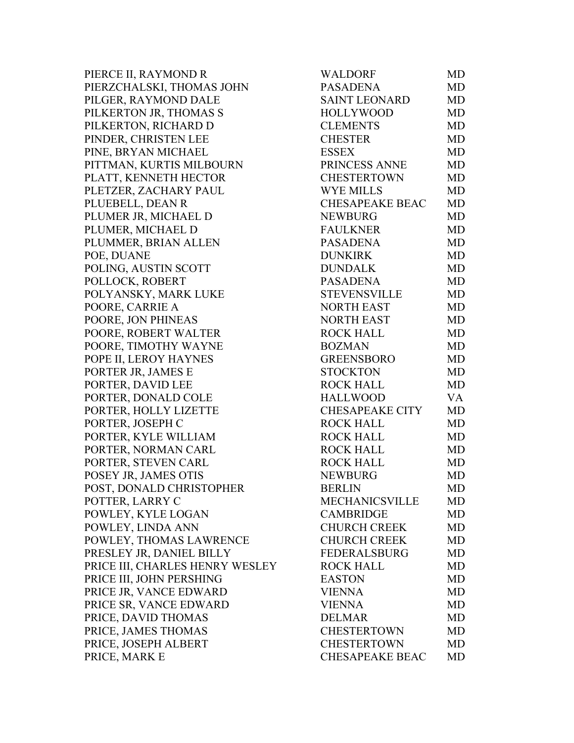PIERCE II, RAYMOND R PIERZCHALSKI, THOMAS JOHN PILGER, RAYMOND DALE PILKERTON JR, THOMAS S PILKERTON, RICHARD D PINDER, CHRISTEN LEE PINE, BRYAN MICHAEL PITTMAN, KURTIS MILBOURN PLATT, KENNETH HECTOR PLETZER, ZACHARY PAUL PLUEBELL, DEAN R PLUMER JR, MICHAEL D PLUMER, MICHAEL D PLUMMER, BRIAN ALLEN POE, DUANE POLING, AUSTIN SCOTT POLLOCK, ROBERT POLYANSKY, MARK LUKE POORE, CARRIE A POORE, JON PHINEAS POORE, ROBERT WALTER POORE, TIMOTHY WAYNE POPE II, LEROY HAYNES PORTER JR, JAMES E PORTER, DAVID LEE PORTER, DONALD COLE PORTER, HOLLY LIZETTE PORTER, JOSEPH C PORTER, KYLE WILLIAM PORTER, NORMAN CARL PORTER, STEVEN CARL POSEY JR, JAMES OTIS POST, DONALD CHRISTOPHER POTTER, LARRY C POWLEY, KYLE LOGAN POWLEY, LINDA ANN POWLEY, THOMAS LAWRENCE PRESLEY JR, DANIEL BILLY PRICE III, CHARLES HENRY WESLEY PRICE III, JOHN PERSHING PRICE JR, VANCE EDWARD PRICE SR, VANCE EDWARD PRICE, DAVID THOMAS PRICE, JAMES THOMAS PRICE, JOSEPH ALBERT PRICE, MARK E

| WALDORF                | MD        |
|------------------------|-----------|
| <b>PASADENA</b>        | MD        |
| <b>SAINT LEONARD</b>   | MD        |
| <b>HOLLYWOOD</b>       | <b>MD</b> |
| <b>CLEMENTS</b>        | <b>MD</b> |
| <b>CHESTER</b>         | <b>MD</b> |
| <b>ESSEX</b>           | MD        |
| PRINCESS ANNE          | <b>MD</b> |
| <b>CHESTERTOWN</b>     | MD        |
| <b>WYE MILLS</b>       | <b>MD</b> |
| <b>CHESAPEAKE BEAC</b> | <b>MD</b> |
| <b>NEWBURG</b>         | MD        |
| <b>FAULKNER</b>        | MD        |
| <b>PASADENA</b>        | MD        |
| <b>DUNKIRK</b>         | <b>MD</b> |
| <b>DUNDALK</b>         | <b>MD</b> |
| <b>PASADENA</b>        | MD        |
| <b>STEVENSVILLE</b>    | MD        |
| <b>NORTH EAST</b>      | MD        |
| <b>NORTH EAST</b>      | <b>MD</b> |
| <b>ROCK HALL</b>       | <b>MD</b> |
| <b>BOZMAN</b>          | MD        |
| <b>GREENSBORO</b>      | MD        |
| <b>STOCKTON</b>        | <b>MD</b> |
| <b>ROCK HALL</b>       | <b>MD</b> |
| <b>HALLWOOD</b>        | <b>VA</b> |
| <b>CHESAPEAKE CITY</b> | <b>MD</b> |
| <b>ROCK HALL</b>       | <b>MD</b> |
| <b>ROCK HALL</b>       | MD        |
| <b>ROCK HALL</b>       | <b>MD</b> |
| <b>ROCK HALL</b>       | MD        |
| <b>NEWBURG</b>         | MD        |
| <b>BERLIN</b>          | MD        |
| <b>MECHANICSVILLE</b>  | MD        |
| <b>CAMBRIDGE</b>       | <b>MD</b> |
| <b>CHURCH CREEK</b>    | <b>MD</b> |
| <b>CHURCH CREEK</b>    | <b>MD</b> |
| <b>FEDERALSBURG</b>    | <b>MD</b> |
| <b>ROCK HALL</b>       | <b>MD</b> |
| <b>EASTON</b>          | <b>MD</b> |
| <b>VIENNA</b>          | <b>MD</b> |
| <b>VIENNA</b>          | <b>MD</b> |
| <b>DELMAR</b>          | <b>MD</b> |
| <b>CHESTERTOWN</b>     | <b>MD</b> |
| <b>CHESTERTOWN</b>     | <b>MD</b> |
| <b>CHESAPEAKE BEAC</b> | MD        |
|                        |           |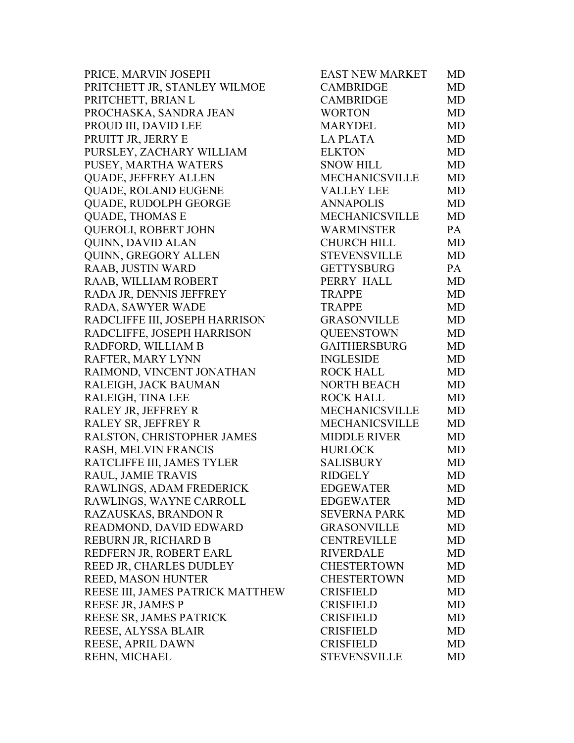PRICE, MARVIN JOSEPH PRITCHETT JR, STANLEY WILMOE PRITCHETT, BRIAN L PROCHASKA, SANDRA JEAN PROUD III, DAVID LEE PRUITT JR, JERRY E PURSLEY, ZACHARY WILLIAM PUSEY, MARTHA WATERS QUADE, JEFFREY ALLEN QUADE, ROLAND EUGENE QUADE, RUDOLPH GEORGE QUADE, THOMAS E **OUEROLI, ROBERT JOHN** QUINN, DAVID ALAN QUINN, GREGORY ALLEN RAAB, JUSTIN WARD RAAB, WILLIAM ROBERT RADA JR, DENNIS JEFFREY RADA, SAWYER WADE RADCLIFFE III, JOSEPH HARRISON RADCLIFFE, JOSEPH HARRISON RADFORD, WILLIAM B RAFTER, MARY LYNN RAIMOND, VINCENT JONATHAN RALEIGH, JACK BAUMAN RALEIGH, TINA LEE RALEY JR, JEFFREY R RALEY SR, JEFFREY R RALSTON, CHRISTOPHER JAMES RASH, MELVIN FRANCIS RATCLIFFE III, JAMES TYLER RAUL, JAMIE TRAVIS RAWLINGS, ADAM FREDERICK RAWLINGS, WAYNE CARROLL RAZAUSKAS, BRANDON R READMOND, DAVID EDWARD REBURN JR, RICHARD B REDFERN JR, ROBERT EARL REED JR, CHARLES DUDLEY REED, MASON HUNTER REESE III, JAMES PATRICK MATTHEW REESE JR, JAMES P REESE SR, JAMES PATRICK REESE, ALYSSA BLAIR REESE, APRIL DAWN REHN, MICHAEL

| EAST NEW MARKET       | MD        |
|-----------------------|-----------|
| <b>CAMBRIDGE</b>      | <b>MD</b> |
| <b>CAMBRIDGE</b>      | MD        |
| <b>WORTON</b>         | MD        |
| <b>MARYDEL</b>        | <b>MD</b> |
| <b>LA PLATA</b>       | <b>MD</b> |
| <b>ELKTON</b>         | <b>MD</b> |
| <b>SNOW HILL</b>      | MD        |
| <b>MECHANICSVILLE</b> | <b>MD</b> |
| <b>VALLEY LEE</b>     | <b>MD</b> |
| <b>ANNAPOLIS</b>      | <b>MD</b> |
| <b>MECHANICSVILLE</b> | MD        |
| <b>WARMINSTER</b>     | PA        |
| <b>CHURCH HILL</b>    | <b>MD</b> |
| STEVENSVILLE          | <b>MD</b> |
| <b>GETTYSBURG</b>     | PA        |
| PERRY HALL            | MD        |
| <b>TRAPPE</b>         | MD        |
| <b>TRAPPE</b>         | <b>MD</b> |
| <b>GRASONVILLE</b>    | <b>MD</b> |
| <b>QUEENSTOWN</b>     | <b>MD</b> |
| GAITHERSBURG          | MD        |
| <b>INGLESIDE</b>      | MD        |
| <b>ROCK HALL</b>      | MD        |
| <b>NORTH BEACH</b>    | <b>MD</b> |
| <b>ROCK HALL</b>      | MD        |
| MECHANICSVILLE        | <b>MD</b> |
| MECHANICSVILLE        | <b>MD</b> |
| <b>MIDDLE RIVER</b>   | <b>MD</b> |
| <b>HURLOCK</b>        | <b>MD</b> |
| <b>SALISBURY</b>      | MD        |
| <b>RIDGELY</b>        | <b>MD</b> |
| <b>EDGEWATER</b>      | MD        |
| <b>EDGEWATER</b>      | <b>MD</b> |
| <b>SEVERNA PARK</b>   | <b>MD</b> |
| <b>GRASONVILLE</b>    | <b>MD</b> |
| <b>CENTREVILLE</b>    | <b>MD</b> |
| <b>RIVERDALE</b>      | <b>MD</b> |
| <b>CHESTERTOWN</b>    | MD        |
| <b>CHESTERTOWN</b>    | <b>MD</b> |
| <b>CRISFIELD</b>      | MD        |
| <b>CRISFIELD</b>      | <b>MD</b> |
| <b>CRISFIELD</b>      | <b>MD</b> |
| <b>CRISFIELD</b>      | <b>MD</b> |
| <b>CRISFIELD</b>      | <b>MD</b> |
| <b>STEVENSVILLE</b>   | <b>MD</b> |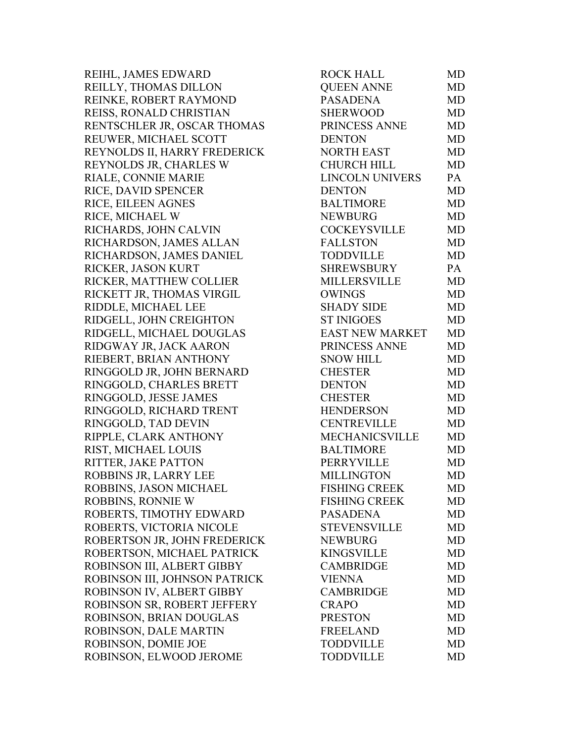REIHL, JAMES EDWARD REILLY, THOMAS DILLON REINKE, ROBERT RAYMOND REISS, RONALD CHRISTIAN RENTSCHLER JR, OSCAR THOMAS REUWER, MICHAEL SCOTT REYNOLDS II, HARRY FREDERICK REYNOLDS JR, CHARLES W RIALE, CONNIE MARIE RICE, DAVID SPENCER RICE, EILEEN AGNES RICE, MICHAEL W RICHARDS, JOHN CALVIN RICHARDSON, JAMES ALLAN RICHARDSON, JAMES DANIEL RICKER, JASON KURT RICKER, MATTHEW COLLIER RICKETT JR, THOMAS VIRGIL RIDDLE, MICHAEL LEE RIDGELL, JOHN CREIGHTON RIDGELL, MICHAEL DOUGLAS RIDGWAY JR, JACK AARON RIEBERT, BRIAN ANTHONY RINGGOLD JR, JOHN BERNARD RINGGOLD, CHARLES BRETT RINGGOLD, JESSE JAMES RINGGOLD, RICHARD TRENT RINGGOLD, TAD DEVIN RIPPLE, CLARK ANTHONY RIST, MICHAEL LOUIS RITTER, JAKE PATTON ROBBINS JR, LARRY LEE ROBBINS, JASON MICHAEL ROBBINS, RONNIE W ROBERTS, TIMOTHY EDWARD ROBERTS, VICTORIA NICOLE ROBERTSON JR, JOHN FREDERICK ROBERTSON, MICHAEL PATRICK ROBINSON III, ALBERT GIBBY ROBINSON III, JOHNSON PATRICK ROBINSON IV, ALBERT GIBBY ROBINSON SR, ROBERT JEFFERY ROBINSON, BRIAN DOUGLAS ROBINSON, DALE MARTIN ROBINSON, DOMIE JOE ROBINSON, ELWOOD JEROME

| <b>ROCK HALL</b>       | MD        |
|------------------------|-----------|
| <b>QUEEN ANNE</b>      | <b>MD</b> |
| <b>PASADENA</b>        | <b>MD</b> |
| <b>SHERWOOD</b>        | <b>MD</b> |
| PRINCESS ANNE          | <b>MD</b> |
| <b>DENTON</b>          | <b>MD</b> |
| <b>NORTH EAST</b>      | <b>MD</b> |
| <b>CHURCH HILL</b>     | <b>MD</b> |
| <b>LINCOLN UNIVERS</b> | PA        |
| <b>DENTON</b>          | <b>MD</b> |
| <b>BALTIMORE</b>       | <b>MD</b> |
| <b>NEWBURG</b>         | <b>MD</b> |
| <b>COCKEYSVILLE</b>    | MD        |
| <b>FALLSTON</b>        | <b>MD</b> |
| <b>TODDVILLE</b>       | <b>MD</b> |
| <b>SHREWSBURY</b>      | PA        |
| MILLERSVILLE           | <b>MD</b> |
| <b>OWINGS</b>          | <b>MD</b> |
| <b>SHADY SIDE</b>      | MD        |
| <b>ST INIGOES</b>      | <b>MD</b> |
| EAST NEW MARKET        | <b>MD</b> |
| PRINCESS ANNE          | <b>MD</b> |
| <b>SNOW HILL</b>       | MD        |
| <b>CHESTER</b>         | <b>MD</b> |
| <b>DENTON</b>          | <b>MD</b> |
| <b>CHESTER</b>         | MD        |
| <b>HENDERSON</b>       | <b>MD</b> |
| <b>CENTREVILLE</b>     | <b>MD</b> |
| MECHANICSVILLE         | <b>MD</b> |
| <b>BALTIMORE</b>       | <b>MD</b> |
| <b>PERRYVILLE</b>      | <b>MD</b> |
| <b>MILLINGTON</b>      | <b>MD</b> |
| <b>FISHING CREEK</b>   | MD        |
| <b>FISHING CREEK</b>   | <b>MD</b> |
| <b>PASADENA</b>        | <b>MD</b> |
| <b>STEVENSVILLE</b>    | MD        |
| <b>NEWBURG</b>         | <b>MD</b> |
| <b>KINGSVILLE</b>      | <b>MD</b> |
| <b>CAMBRIDGE</b>       | <b>MD</b> |
| <b>VIENNA</b>          | <b>MD</b> |
| <b>CAMBRIDGE</b>       | <b>MD</b> |
| <b>CRAPO</b>           | <b>MD</b> |
| <b>PRESTON</b>         | <b>MD</b> |
| <b>FREELAND</b>        | <b>MD</b> |
| <b>TODDVILLE</b>       | <b>MD</b> |
| <b>TODDVILLE</b>       | MD        |
|                        |           |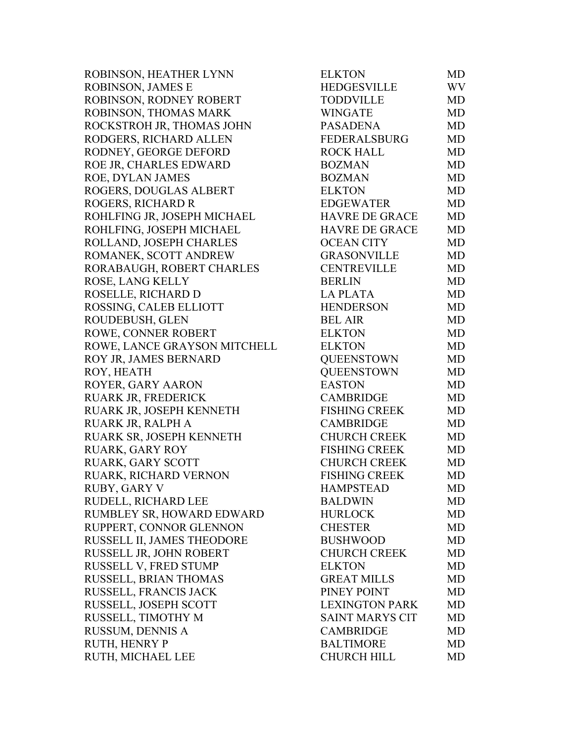ROBINSON, HEATHER LYNN ROBINSON, JAMES E ROBINSON, RODNEY ROBERT ROBINSON, THOMAS MARK ROCKSTROH JR, THOMAS JOHN RODGERS, RICHARD ALLEN RODNEY, GEORGE DEFORD ROE JR, CHARLES EDWARD ROE, DYLAN JAMES ROGERS, DOUGLAS ALBERT ROGERS, RICHARD R ROHLFING JR, JOSEPH MICHAEL ROHLFING, JOSEPH MICHAEL ROLLAND, JOSEPH CHARLES ROMANEK, SCOTT ANDREW RORABAUGH, ROBERT CHARLES ROSE, LANG KELLY ROSELLE, RICHARD D ROSSING, CALEB ELLIOTT ROUDEBUSH, GLEN ROWE, CONNER ROBERT ROWE, LANCE GRAYSON MITCHELL ROY JR, JAMES BERNARD ROY, HEATH ROYER, GARY AARON RUARK JR, FREDERICK RUARK JR, JOSEPH KENNETH RUARK JR, RALPH A RUARK SR, JOSEPH KENNETH RUARK, GARY ROY RUARK, GARY SCOTT RUARK, RICHARD VERNON RUBY, GARY V RUDELL, RICHARD LEE RUMBLEY SR, HOWARD EDWARD RUPPERT, CONNOR GLENNON RUSSELL II, JAMES THEODORE RUSSELL JR, JOHN ROBERT RUSSELL V, FRED STUMP RUSSELL, BRIAN THOMAS RUSSELL, FRANCIS JACK RUSSELL, JOSEPH SCOTT RUSSELL, TIMOTHY M RUSSUM, DENNIS A RUTH, HENRY P RUTH, MICHAEL LEE

| <b>ELKTON</b>          | MD        |
|------------------------|-----------|
| <b>HEDGESVILLE</b>     | WV        |
| <b>TODDVILLE</b>       | MD        |
| <b>WINGATE</b>         | <b>MD</b> |
| <b>PASADENA</b>        | <b>MD</b> |
| <b>FEDERALSBURG</b>    | <b>MD</b> |
| <b>ROCK HALL</b>       | MD        |
| <b>BOZMAN</b>          | <b>MD</b> |
| <b>BOZMAN</b>          | MD        |
| <b>ELKTON</b>          | MD        |
| <b>EDGEWATER</b>       | <b>MD</b> |
| <b>HAVRE DE GRACE</b>  | MD        |
| <b>HAVRE DE GRACE</b>  | <b>MD</b> |
| <b>OCEAN CITY</b>      | <b>MD</b> |
| <b>GRASONVILLE</b>     | <b>MD</b> |
| <b>CENTREVILLE</b>     | <b>MD</b> |
| <b>BERLIN</b>          | MD        |
| <b>LA PLATA</b>        | <b>MD</b> |
| <b>HENDERSON</b>       | MD        |
| <b>BEL AIR</b>         | <b>MD</b> |
| <b>ELKTON</b>          | <b>MD</b> |
| <b>ELKTON</b>          | MD        |
| <b>QUEENSTOWN</b>      | MD        |
| <b>QUEENSTOWN</b>      | <b>MD</b> |
| <b>EASTON</b>          | <b>MD</b> |
| <b>CAMBRIDGE</b>       | <b>MD</b> |
| <b>FISHING CREEK</b>   | <b>MD</b> |
| <b>CAMBRIDGE</b>       | <b>MD</b> |
| <b>CHURCH CREEK</b>    | MD        |
| <b>FISHING CREEK</b>   | <b>MD</b> |
| <b>CHURCH CREEK</b>    | <b>MD</b> |
| <b>FISHING CREEK</b>   | <b>MD</b> |
| <b>HAMPSTEAD</b>       | MD        |
| <b>BALDWIN</b>         | MD        |
| <b>HURLOCK</b>         | MD        |
| <b>CHESTER</b>         | <b>MD</b> |
| <b>BUSHWOOD</b>        | <b>MD</b> |
| <b>CHURCH CREEK</b>    | MD        |
| <b>ELKTON</b>          | <b>MD</b> |
| <b>GREAT MILLS</b>     | <b>MD</b> |
| PINEY POINT            | MD        |
| <b>LEXINGTON PARK</b>  | <b>MD</b> |
| <b>SAINT MARYS CIT</b> | <b>MD</b> |
| <b>CAMBRIDGE</b>       | MD        |
| <b>BALTIMORE</b>       | MD        |
| <b>CHURCH HILL</b>     | MD        |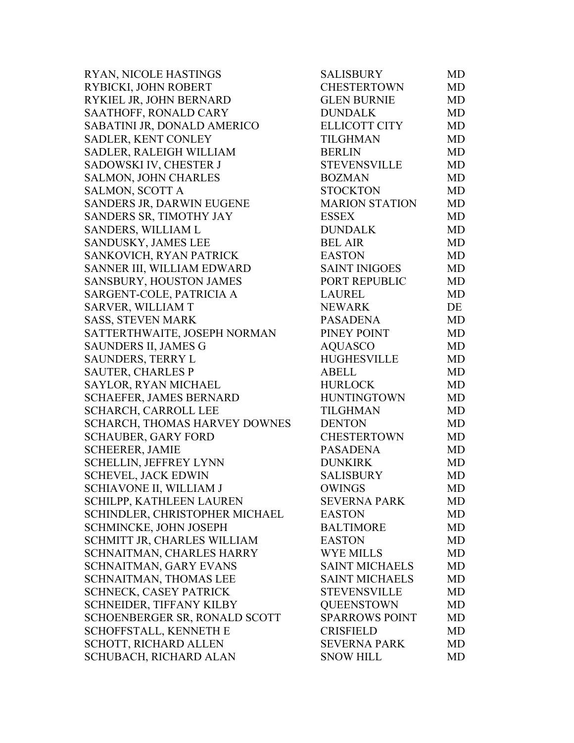RYAN, NICOLE HASTINGS RYBICKI, JOHN ROBERT RYKIEL JR, JOHN BERNARD SAATHOFF, RONALD CARY SABATINI JR, DONALD AMERICO SADLER, KENT CONLEY SADLER, RALEIGH WILLIAM SADOWSKI IV, CHESTER J SALMON, JOHN CHARLES SALMON, SCOTT A SANDERS JR, DARWIN EUGENE SANDERS SR, TIMOTHY JAY SANDERS, WILLIAM L SANDUSKY, JAMES LEE SANKOVICH, RYAN PATRICK SANNER III, WILLIAM EDWARD SANSBURY, HOUSTON JAMES SARGENT-COLE, PATRICIA A SARVER, WILLIAM T SASS, STEVEN MARK SATTERTHWAITE, JOSEPH NORMAN SAUNDERS II, JAMES G SAUNDERS, TERRY L SAUTER, CHARLES P SAYLOR, RYAN MICHAEL SCHAEFER, JAMES BERNARD SCHARCH, CARROLL LEE SCHARCH, THOMAS HARVEY DOWNES SCHAUBER, GARY FORD SCHEERER, JAMIE SCHELLIN, JEFFREY LYNN SCHEVEL, JACK EDWIN SCHIAVONE II, WILLIAM J SCHILPP, KATHLEEN LAUREN SCHINDLER, CHRISTOPHER MICHAEL SCHMINCKE, JOHN JOSEPH SCHMITT JR, CHARLES WILLIAM SCHNAITMAN, CHARLES HARRY SCHNAITMAN, GARY EVANS SCHNAITMAN, THOMAS LEE SCHNECK, CASEY PATRICK SCHNEIDER, TIFFANY KILBY SCHOENBERGER SR, RONALD SCOTT SCHOFFSTALL, KENNETH E SCHOTT, RICHARD ALLEN SCHUBACH, RICHARD ALAN

| SALISBURY             | MD        |
|-----------------------|-----------|
| <b>CHESTERTOWN</b>    | <b>MD</b> |
| <b>GLEN BURNIE</b>    | <b>MD</b> |
| <b>DUNDALK</b>        | <b>MD</b> |
| <b>ELLICOTT CITY</b>  | MD        |
| <b>TILGHMAN</b>       | <b>MD</b> |
| <b>BERLIN</b>         | MD        |
| <b>STEVENSVILLE</b>   | <b>MD</b> |
| <b>BOZMAN</b>         | <b>MD</b> |
| <b>STOCKTON</b>       | MD        |
| <b>MARION STATION</b> | <b>MD</b> |
| <b>ESSEX</b>          | MD        |
| <b>DUNDALK</b>        | MD        |
| <b>BEL AIR</b>        | <b>MD</b> |
| <b>EASTON</b>         | <b>MD</b> |
| <b>SAINT INIGOES</b>  | <b>MD</b> |
| PORT REPUBLIC         | MD        |
| <b>LAUREL</b>         | MD        |
| <b>NEWARK</b>         | DE        |
| <b>PASADENA</b>       | MD        |
| PINEY POINT           | <b>MD</b> |
| <b>AQUASCO</b>        | <b>MD</b> |
| <b>HUGHESVILLE</b>    | MD        |
| <b>ABELL</b>          | MD        |
| <b>HURLOCK</b>        | <b>MD</b> |
| <b>HUNTINGTOWN</b>    | MD        |
| <b>TILGHMAN</b>       | <b>MD</b> |
| <b>DENTON</b>         | <b>MD</b> |
| <b>CHESTERTOWN</b>    | <b>MD</b> |
| <b>PASADENA</b>       | <b>MD</b> |
| <b>DUNKIRK</b>        | <b>MD</b> |
| <b>SALISBURY</b>      | <b>MD</b> |
| <b>OWINGS</b>         | MD        |
| <b>SEVERNA PARK</b>   | MD        |
| <b>EASTON</b>         | <b>MD</b> |
| <b>BALTIMORE</b>      | MD        |
| <b>EASTON</b>         | <b>MD</b> |
| <b>WYE MILLS</b>      | <b>MD</b> |
| <b>SAINT MICHAELS</b> | <b>MD</b> |
| <b>SAINT MICHAELS</b> | <b>MD</b> |
| <b>STEVENSVILLE</b>   | <b>MD</b> |
| <b>QUEENSTOWN</b>     | <b>MD</b> |
| <b>SPARROWS POINT</b> | MD        |
| <b>CRISFIELD</b>      | MD        |
| <b>SEVERNA PARK</b>   | <b>MD</b> |
| <b>SNOW HILL</b>      | MD        |
|                       |           |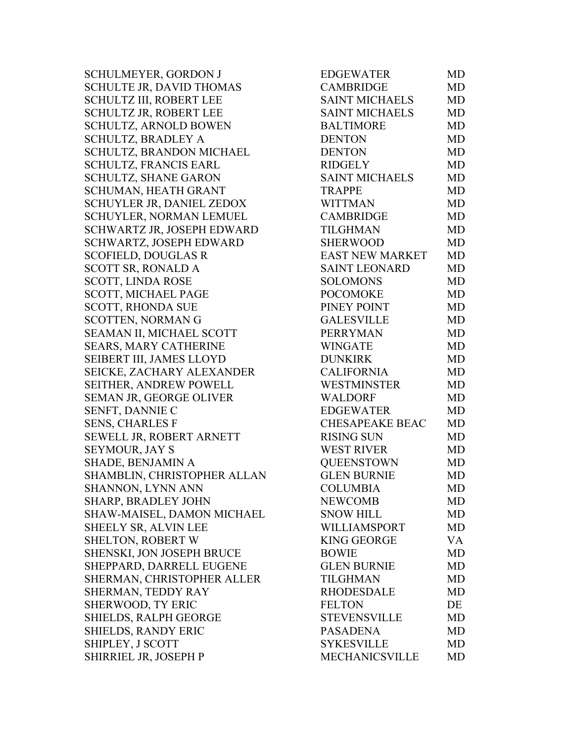SCHULMEYER, GORDON J SCHULTE JR, DAVID THOMAS SCHULTZ III, ROBERT LEE SCHULTZ JR, ROBERT LEE SCHULTZ, ARNOLD BOWEN SCHULTZ, BRADLEY A SCHULTZ, BRANDON MICHAEL SCHULTZ, FRANCIS EARL SCHULTZ, SHANE GARON SCHUMAN, HEATH GRANT SCHUYLER JR, DANIEL ZEDOX SCHUYLER, NORMAN LEMUEL SCHWARTZ JR, JOSEPH EDWARD SCHWARTZ, JOSEPH EDWARD SCOFIELD, DOUGLAS R SCOTT SR, RONALD A SCOTT, LINDA ROSE SCOTT, MICHAEL PAGE SCOTT, RHONDA SUE SCOTTEN, NORMAN G SEAMAN II, MICHAEL SCOTT SEARS, MARY CATHERINE SEIBERT III, JAMES LLOYD SEICKE, ZACHARY ALEXANDER SEITHER, ANDREW POWELL SEMAN JR, GEORGE OLIVER SENFT, DANNIE C SENS, CHARLES F SEWELL JR, ROBERT ARNETT **SEYMOUR, JAY S** SHADE, BENJAMIN A SHAMBLIN, CHRISTOPHER ALLAN SHANNON, LYNN ANN SHARP, BRADLEY JOHN SHAW-MAISEL, DAMON MICHAEL SHEELY SR, ALVIN LEE SHELTON, ROBERT W SHENSKI, JON JOSEPH BRUCE SHEPPARD, DARRELL EUGENE SHERMAN, CHRISTOPHER ALLER SHERMAN, TEDDY RAY SHERWOOD, TY ERIC SHIELDS, RALPH GEORGE SHIELDS, RANDY ERIC SHIPLEY, J SCOTT SHIRRIEL JR, JOSEPH P

| <b>EDGEWATER</b>       | MD        |
|------------------------|-----------|
| <b>CAMBRIDGE</b>       | MD        |
| <b>SAINT MICHAELS</b>  | <b>MD</b> |
| <b>SAINT MICHAELS</b>  | <b>MD</b> |
| <b>BALTIMORE</b>       | <b>MD</b> |
| <b>DENTON</b>          | <b>MD</b> |
| <b>DENTON</b>          | MD        |
| <b>RIDGELY</b>         | <b>MD</b> |
| <b>SAINT MICHAELS</b>  | <b>MD</b> |
| <b>TRAPPE</b>          | <b>MD</b> |
| <b>WITTMAN</b>         | <b>MD</b> |
| <b>CAMBRIDGE</b>       | <b>MD</b> |
| <b>TILGHMAN</b>        | <b>MD</b> |
| <b>SHERWOOD</b>        | <b>MD</b> |
| <b>EAST NEW MARKET</b> | <b>MD</b> |
| <b>SAINT LEONARD</b>   | <b>MD</b> |
| <b>SOLOMONS</b>        | <b>MD</b> |
| <b>POCOMOKE</b>        | <b>MD</b> |
| PINEY POINT            | <b>MD</b> |
| <b>GALESVILLE</b>      | <b>MD</b> |
| <b>PERRYMAN</b>        | <b>MD</b> |
| <b>WINGATE</b>         | MD        |
| <b>DUNKIRK</b>         | MD        |
| <b>CALIFORNIA</b>      | MD        |
| <b>WESTMINSTER</b>     | <b>MD</b> |
| <b>WALDORF</b>         | <b>MD</b> |
| <b>EDGEWATER</b>       | <b>MD</b> |
| <b>CHESAPEAKE BEAC</b> | <b>MD</b> |
| <b>RISING SUN</b>      | <b>MD</b> |
| <b>WEST RIVER</b>      | MD        |
| <b>QUEENSTOWN</b>      | MD        |
| <b>GLEN BURNIE</b>     | <b>MD</b> |
| <b>COLUMBIA</b>        | MD        |
| <b>NEWCOMB</b>         | MD        |
| <b>SNOW HILL</b>       | <b>MD</b> |
| WILLIAMSPORT           | MD        |
| <b>KING GEORGE</b>     | VA        |
| <b>BOWIE</b>           | <b>MD</b> |
| <b>GLEN BURNIE</b>     | <b>MD</b> |
| <b>TILGHMAN</b>        | <b>MD</b> |
| <b>RHODESDALE</b>      | <b>MD</b> |
| <b>FELTON</b>          | DE        |
| <b>STEVENSVILLE</b>    | <b>MD</b> |
| <b>PASADENA</b>        | <b>MD</b> |
| <b>SYKESVILLE</b>      | MD        |
| <b>MECHANICSVILLE</b>  | MD        |
|                        |           |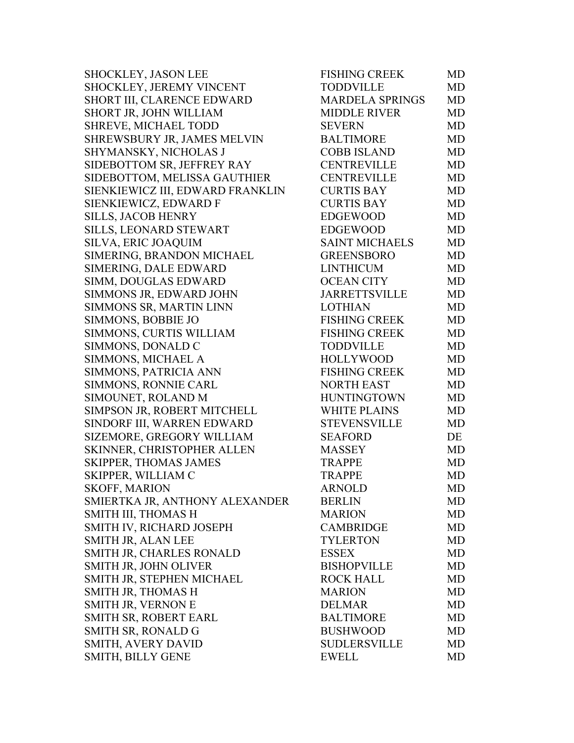| SHOCKLEY, JASON LEE              | <b>FISHING CREEK</b>   | MD        |
|----------------------------------|------------------------|-----------|
| SHOCKLEY, JEREMY VINCENT         | <b>TODDVILLE</b>       | <b>MD</b> |
| SHORT III, CLARENCE EDWARD       | <b>MARDELA SPRINGS</b> | <b>MD</b> |
| SHORT JR, JOHN WILLIAM           | <b>MIDDLE RIVER</b>    | <b>MD</b> |
| <b>SHREVE, MICHAEL TODD</b>      | <b>SEVERN</b>          | <b>MD</b> |
| SHREWSBURY JR, JAMES MELVIN      | <b>BALTIMORE</b>       | <b>MD</b> |
| SHYMANSKY, NICHOLAS J            | <b>COBB ISLAND</b>     | <b>MD</b> |
| SIDEBOTTOM SR, JEFFREY RAY       | <b>CENTREVILLE</b>     | <b>MD</b> |
| SIDEBOTTOM, MELISSA GAUTHIER     | <b>CENTREVILLE</b>     | <b>MD</b> |
| SIENKIEWICZ III, EDWARD FRANKLIN | <b>CURTIS BAY</b>      | <b>MD</b> |
| SIENKIEWICZ, EDWARD F            | <b>CURTIS BAY</b>      | MD        |
| <b>SILLS, JACOB HENRY</b>        | <b>EDGEWOOD</b>        | <b>MD</b> |
| SILLS, LEONARD STEWART           | <b>EDGEWOOD</b>        | <b>MD</b> |
| <b>SILVA, ERIC JOAQUIM</b>       | <b>SAINT MICHAELS</b>  | <b>MD</b> |
| SIMERING, BRANDON MICHAEL        | <b>GREENSBORO</b>      | <b>MD</b> |
| SIMERING, DALE EDWARD            | <b>LINTHICUM</b>       | <b>MD</b> |
| SIMM, DOUGLAS EDWARD             | <b>OCEAN CITY</b>      | <b>MD</b> |
| SIMMONS JR, EDWARD JOHN          | <b>JARRETTSVILLE</b>   | <b>MD</b> |
| SIMMONS SR, MARTIN LINN          | <b>LOTHIAN</b>         | <b>MD</b> |
| SIMMONS, BOBBIE JO               | <b>FISHING CREEK</b>   | <b>MD</b> |
| SIMMONS, CURTIS WILLIAM          | <b>FISHING CREEK</b>   | <b>MD</b> |
| SIMMONS, DONALD C                | <b>TODDVILLE</b>       | <b>MD</b> |
| SIMMONS, MICHAEL A               | <b>HOLLYWOOD</b>       | <b>MD</b> |
| SIMMONS, PATRICIA ANN            | <b>FISHING CREEK</b>   | <b>MD</b> |
| SIMMONS, RONNIE CARL             | <b>NORTH EAST</b>      | <b>MD</b> |
| SIMOUNET, ROLAND M               | <b>HUNTINGTOWN</b>     | <b>MD</b> |
| SIMPSON JR, ROBERT MITCHELL      | <b>WHITE PLAINS</b>    | <b>MD</b> |
| SINDORF III, WARREN EDWARD       | <b>STEVENSVILLE</b>    | <b>MD</b> |
| SIZEMORE, GREGORY WILLIAM        | <b>SEAFORD</b>         | DE        |
| SKINNER, CHRISTOPHER ALLEN       | <b>MASSEY</b>          | MD        |
| <b>SKIPPER, THOMAS JAMES</b>     | <b>TRAPPE</b>          | MD        |
| SKIPPER, WILLIAM C               | <b>TRAPPE</b>          | MD        |
| SKOFF, MARION                    | <b>ARNOLD</b>          | <b>MD</b> |
| SMIERTKA JR, ANTHONY ALEXANDER   | <b>BERLIN</b>          | MD        |
| SMITH III, THOMAS H              | <b>MARION</b>          | MD        |
| SMITH IV, RICHARD JOSEPH         | <b>CAMBRIDGE</b>       | <b>MD</b> |
| SMITH JR, ALAN LEE               | <b>TYLERTON</b>        | MD        |
| SMITH JR, CHARLES RONALD         | <b>ESSEX</b>           | <b>MD</b> |
| SMITH JR, JOHN OLIVER            | <b>BISHOPVILLE</b>     | <b>MD</b> |
| SMITH JR, STEPHEN MICHAEL        | <b>ROCK HALL</b>       | MD        |
| SMITH JR, THOMAS H               | <b>MARION</b>          | MD        |
| SMITH JR, VERNON E               | <b>DELMAR</b>          | MD        |
| SMITH SR, ROBERT EARL            | <b>BALTIMORE</b>       | <b>MD</b> |
| SMITH SR, RONALD G               | <b>BUSHWOOD</b>        | <b>MD</b> |
| <b>SMITH, AVERY DAVID</b>        | <b>SUDLERSVILLE</b>    | <b>MD</b> |
| SMITH, BILLY GENE                | <b>EWELL</b>           | <b>MD</b> |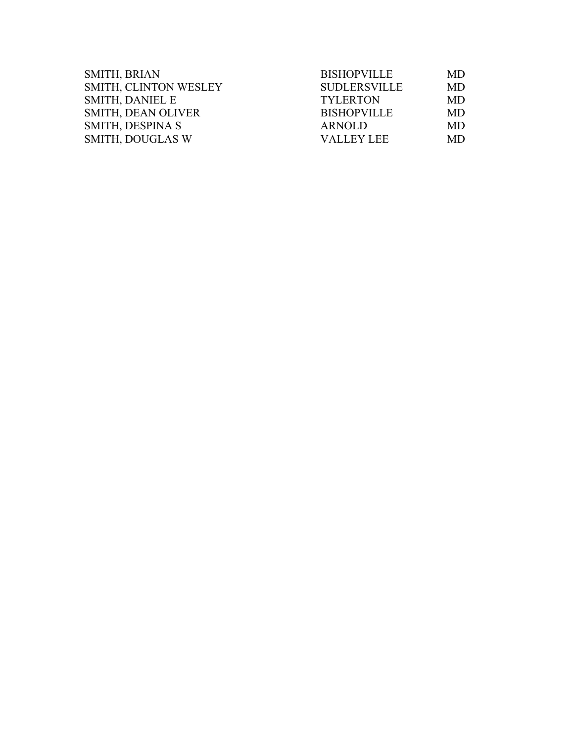| <b>SMITH, BRIAN</b>       | <b>BISHOPVILLE</b>  | MD        |
|---------------------------|---------------------|-----------|
| SMITH, CLINTON WESLEY     | <b>SUDLERSVILLE</b> | <b>MD</b> |
| <b>SMITH, DANIEL E</b>    | <b>TYLERTON</b>     | MD        |
| <b>SMITH, DEAN OLIVER</b> | <b>BISHOPVILLE</b>  | MD        |
| SMITH, DESPINA S          | ARNOLD              | MD        |
| <b>SMITH, DOUGLAS W</b>   | <b>VALLEY LEE</b>   | <b>MD</b> |
|                           |                     |           |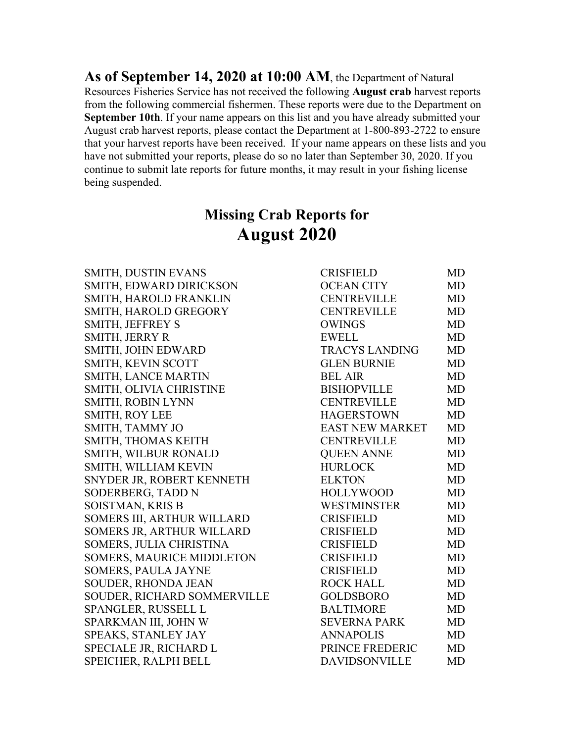**As of September 14, 2020 at 10:00 AM**, the Department of Natural Resources Fisheries Service has not received the following **August crab** harvest reports from the following commercial fishermen. These reports were due to the Department on **September 10th**. If your name appears on this list and you have already submitted your August crab harvest reports, please contact the Department at 1-800-893-2722 to ensure that your harvest reports have been received. If your name appears on these lists and you have not submitted your reports, please do so no later than September 30, 2020. If you continue to submit late reports for future months, it may result in your fishing license being suspended.

# **Missing Crab Reports for August 2020**

SMITH, DUSTIN EVANS SMITH, EDWARD DIRICKSON SMITH, HAROLD FRANKLIN SMITH, HAROLD GREGORY SMITH, JEFFREY S SMITH, JERRY R SMITH, JOHN EDWARD SMITH, KEVIN SCOTT SMITH, LANCE MARTIN SMITH, OLIVIA CHRISTINE SMITH, ROBIN LYNN SMITH, ROY LEE SMITH, TAMMY JO SMITH, THOMAS KEITH SMITH, WILBUR RONALD SMITH, WILLIAM KEVIN SNYDER JR, ROBERT KENNETH SODERBERG, TADD N SOISTMAN, KRIS B SOMERS III, ARTHUR WILLARD SOMERS JR, ARTHUR WILLARD SOMERS, JULIA CHRISTINA SOMERS, MAURICE MIDDLETON SOMERS, PAULA JAYNE SOUDER, RHONDA JEAN SOUDER, RICHARD SOMMERVILLE SPANGLER, RUSSELL L SPARKMAN III, JOHN W SPEAKS, STANLEY JAY SPECIALE JR, RICHARD L SPEICHER, RALPH BELL

| <b>CRISFIELD</b>       | MD        |
|------------------------|-----------|
| <b>OCEAN CITY</b>      | <b>MD</b> |
| <b>CENTREVILLE</b>     | MD        |
| <b>CENTREVILLE</b>     | MD        |
| <b>OWINGS</b>          | <b>MD</b> |
| <b>EWELL</b>           | <b>MD</b> |
| <b>TRACYS LANDING</b>  | <b>MD</b> |
| <b>GLEN BURNIE</b>     | <b>MD</b> |
| <b>BEL AIR</b>         | <b>MD</b> |
| <b>BISHOPVILLE</b>     | <b>MD</b> |
| <b>CENTREVILLE</b>     | <b>MD</b> |
| <b>HAGERSTOWN</b>      | <b>MD</b> |
| <b>EAST NEW MARKET</b> | <b>MD</b> |
| <b>CENTREVILLE</b>     | <b>MD</b> |
| <b>QUEEN ANNE</b>      | MD        |
| <b>HURLOCK</b>         | MD        |
| <b>ELKTON</b>          | <b>MD</b> |
| <b>HOLLYWOOD</b>       | <b>MD</b> |
| <b>WESTMINSTER</b>     | <b>MD</b> |
| <b>CRISFIELD</b>       | MD        |
| <b>CRISFIELD</b>       | <b>MD</b> |
| <b>CRISFIELD</b>       | <b>MD</b> |
| <b>CRISFIELD</b>       | MD        |
| <b>CRISFIELD</b>       | <b>MD</b> |
| <b>ROCK HALL</b>       | <b>MD</b> |
| <b>GOLDSBORO</b>       | <b>MD</b> |
| <b>BALTIMORE</b>       | <b>MD</b> |
| <b>SEVERNA PARK</b>    | MD        |
| <b>ANNAPOLIS</b>       | <b>MD</b> |
| PRINCE FREDERIC        | <b>MD</b> |
| <b>DAVIDSONVILLE</b>   | <b>MD</b> |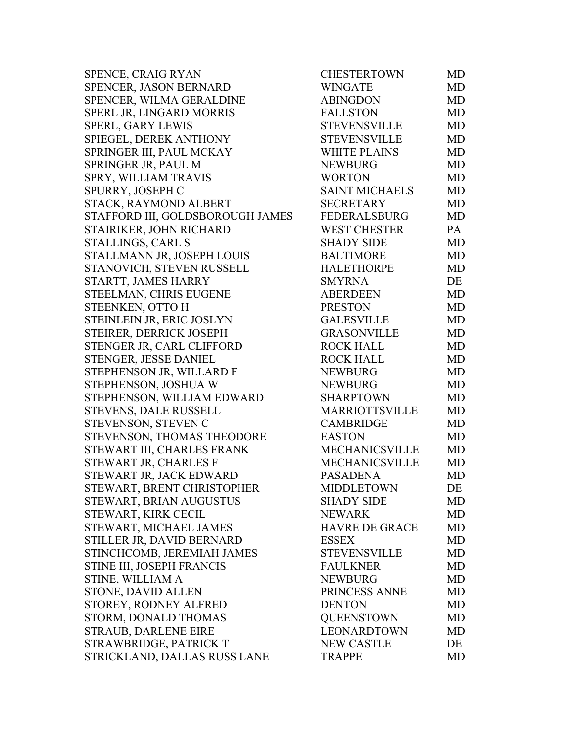| <b>CHESTERTOWN</b>    | MD        |
|-----------------------|-----------|
| <b>WINGATE</b>        | <b>MD</b> |
| <b>ABINGDON</b>       | <b>MD</b> |
| <b>FALLSTON</b>       | <b>MD</b> |
| <b>STEVENSVILLE</b>   | <b>MD</b> |
| <b>STEVENSVILLE</b>   | <b>MD</b> |
| <b>WHITE PLAINS</b>   | MD        |
| <b>NEWBURG</b>        | <b>MD</b> |
| <b>WORTON</b>         | <b>MD</b> |
| <b>SAINT MICHAELS</b> | <b>MD</b> |
| <b>SECRETARY</b>      | MD        |
| <b>FEDERALSBURG</b>   | <b>MD</b> |
| <b>WEST CHESTER</b>   | PA        |
| <b>SHADY SIDE</b>     | <b>MD</b> |
| <b>BALTIMORE</b>      | <b>MD</b> |
| <b>HALETHORPE</b>     | <b>MD</b> |
| <b>SMYRNA</b>         | DE        |
| <b>ABERDEEN</b>       | MD        |
| <b>PRESTON</b>        | <b>MD</b> |
| <b>GALESVILLE</b>     | <b>MD</b> |
| <b>GRASONVILLE</b>    | <b>MD</b> |
| <b>ROCK HALL</b>      | MD        |
| <b>ROCK HALL</b>      | <b>MD</b> |
| <b>NEWBURG</b>        | <b>MD</b> |
| <b>NEWBURG</b>        | <b>MD</b> |
| <b>SHARPTOWN</b>      | <b>MD</b> |
| <b>MARRIOTTSVILLE</b> | MD        |
| <b>CAMBRIDGE</b>      | MD        |
| <b>EASTON</b>         | MD        |
| <b>MECHANICSVILLE</b> | <b>MD</b> |
| <b>MECHANICSVILLE</b> | <b>MD</b> |
| <b>PASADENA</b>       | MD        |
| <b>MIDDLETOWN</b>     | DE        |
| <b>SHADY SIDE</b>     | MD        |
| <b>NEWARK</b>         | MD        |
| <b>HAVRE DE GRACE</b> | MD        |
| <b>ESSEX</b>          | MD        |
| <b>STEVENSVILLE</b>   | MD        |
| <b>FAULKNER</b>       | MD        |
| <b>NEWBURG</b>        | <b>MD</b> |
| PRINCESS ANNE         | MD        |
| <b>DENTON</b>         | MD        |
| <b>QUEENSTOWN</b>     | MD        |
| <b>LEONARDTOWN</b>    | MD        |
| <b>NEW CASTLE</b>     | DE        |
| <b>TRAPPE</b>         | <b>MD</b> |
|                       |           |

| <b>WINGATE</b><br><b>MD</b><br><b>ABINGDON</b><br><b>MD</b><br><b>FALLSTON</b><br><b>MD</b><br><b>STEVENSVILLE</b><br><b>MD</b><br><b>STEVENSVILLE</b><br><b>MD</b><br><b>MD</b><br><b>WHITE PLAINS</b><br><b>NEWBURG</b><br><b>MD</b><br><b>WORTON</b><br><b>MD</b><br><b>SAINT MICHAELS</b><br><b>MD</b><br><b>SECRETARY</b><br><b>MD</b><br><b>FEDERALSBURG</b><br>MD<br><b>WEST CHESTER</b><br>PA<br><b>MD</b><br><b>SHADY SIDE</b><br><b>BALTIMORE</b><br><b>MD</b><br><b>HALETHORPE</b><br><b>MD</b><br><b>SMYRNA</b><br>DE<br><b>ABERDEEN</b><br><b>MD</b><br><b>PRESTON</b><br><b>MD</b><br><b>GALESVILLE</b><br><b>MD</b><br>GRASONVILLE<br><b>MD</b><br><b>ROCK HALL</b><br><b>MD</b><br><b>ROCK HALL</b><br><b>MD</b><br><b>NEWBURG</b><br><b>MD</b><br><b>MD</b><br><b>NEWBURG</b><br><b>SHARPTOWN</b><br>MD<br>MARRIOTTSVILLE<br>MD<br><b>CAMBRIDGE</b><br><b>MD</b><br><b>EASTON</b><br><b>MD</b><br>MECHANICSVILLE<br><b>MD</b><br>MECHANICSVILLE<br><b>MD</b><br><b>PASADENA</b><br><b>MD</b><br><b>MIDDLETOWN</b><br>DE<br><b>SHADY SIDE</b><br>MD<br><b>NEWARK</b><br>MD<br><b>HAVRE DE GRACE</b><br><b>MD</b><br><b>ESSEX</b><br>MD<br><b>STEVENSVILLE</b><br><b>MD</b><br><b>FAULKNER</b><br>MD<br><b>NEWBURG</b><br><b>MD</b><br>PRINCESS ANNE<br>MD<br><b>DENTON</b><br>MD<br><b>QUEENSTOWN</b><br>MD<br><b>LEONARDTOWN</b><br><b>MD</b><br><b>NEW CASTLE</b><br>DE<br><b>TRAPPE</b><br>MD |                    |           |
|------------------------------------------------------------------------------------------------------------------------------------------------------------------------------------------------------------------------------------------------------------------------------------------------------------------------------------------------------------------------------------------------------------------------------------------------------------------------------------------------------------------------------------------------------------------------------------------------------------------------------------------------------------------------------------------------------------------------------------------------------------------------------------------------------------------------------------------------------------------------------------------------------------------------------------------------------------------------------------------------------------------------------------------------------------------------------------------------------------------------------------------------------------------------------------------------------------------------------------------------------------------------------------------------------------------------------------------------------------------------------------------------------------------|--------------------|-----------|
|                                                                                                                                                                                                                                                                                                                                                                                                                                                                                                                                                                                                                                                                                                                                                                                                                                                                                                                                                                                                                                                                                                                                                                                                                                                                                                                                                                                                                  | <b>CHESTERTOWN</b> | <b>MD</b> |
|                                                                                                                                                                                                                                                                                                                                                                                                                                                                                                                                                                                                                                                                                                                                                                                                                                                                                                                                                                                                                                                                                                                                                                                                                                                                                                                                                                                                                  |                    |           |
|                                                                                                                                                                                                                                                                                                                                                                                                                                                                                                                                                                                                                                                                                                                                                                                                                                                                                                                                                                                                                                                                                                                                                                                                                                                                                                                                                                                                                  |                    |           |
|                                                                                                                                                                                                                                                                                                                                                                                                                                                                                                                                                                                                                                                                                                                                                                                                                                                                                                                                                                                                                                                                                                                                                                                                                                                                                                                                                                                                                  |                    |           |
|                                                                                                                                                                                                                                                                                                                                                                                                                                                                                                                                                                                                                                                                                                                                                                                                                                                                                                                                                                                                                                                                                                                                                                                                                                                                                                                                                                                                                  |                    |           |
|                                                                                                                                                                                                                                                                                                                                                                                                                                                                                                                                                                                                                                                                                                                                                                                                                                                                                                                                                                                                                                                                                                                                                                                                                                                                                                                                                                                                                  |                    |           |
|                                                                                                                                                                                                                                                                                                                                                                                                                                                                                                                                                                                                                                                                                                                                                                                                                                                                                                                                                                                                                                                                                                                                                                                                                                                                                                                                                                                                                  |                    |           |
|                                                                                                                                                                                                                                                                                                                                                                                                                                                                                                                                                                                                                                                                                                                                                                                                                                                                                                                                                                                                                                                                                                                                                                                                                                                                                                                                                                                                                  |                    |           |
|                                                                                                                                                                                                                                                                                                                                                                                                                                                                                                                                                                                                                                                                                                                                                                                                                                                                                                                                                                                                                                                                                                                                                                                                                                                                                                                                                                                                                  |                    |           |
|                                                                                                                                                                                                                                                                                                                                                                                                                                                                                                                                                                                                                                                                                                                                                                                                                                                                                                                                                                                                                                                                                                                                                                                                                                                                                                                                                                                                                  |                    |           |
|                                                                                                                                                                                                                                                                                                                                                                                                                                                                                                                                                                                                                                                                                                                                                                                                                                                                                                                                                                                                                                                                                                                                                                                                                                                                                                                                                                                                                  |                    |           |
|                                                                                                                                                                                                                                                                                                                                                                                                                                                                                                                                                                                                                                                                                                                                                                                                                                                                                                                                                                                                                                                                                                                                                                                                                                                                                                                                                                                                                  |                    |           |
|                                                                                                                                                                                                                                                                                                                                                                                                                                                                                                                                                                                                                                                                                                                                                                                                                                                                                                                                                                                                                                                                                                                                                                                                                                                                                                                                                                                                                  |                    |           |
|                                                                                                                                                                                                                                                                                                                                                                                                                                                                                                                                                                                                                                                                                                                                                                                                                                                                                                                                                                                                                                                                                                                                                                                                                                                                                                                                                                                                                  |                    |           |
|                                                                                                                                                                                                                                                                                                                                                                                                                                                                                                                                                                                                                                                                                                                                                                                                                                                                                                                                                                                                                                                                                                                                                                                                                                                                                                                                                                                                                  |                    |           |
|                                                                                                                                                                                                                                                                                                                                                                                                                                                                                                                                                                                                                                                                                                                                                                                                                                                                                                                                                                                                                                                                                                                                                                                                                                                                                                                                                                                                                  |                    |           |
|                                                                                                                                                                                                                                                                                                                                                                                                                                                                                                                                                                                                                                                                                                                                                                                                                                                                                                                                                                                                                                                                                                                                                                                                                                                                                                                                                                                                                  |                    |           |
|                                                                                                                                                                                                                                                                                                                                                                                                                                                                                                                                                                                                                                                                                                                                                                                                                                                                                                                                                                                                                                                                                                                                                                                                                                                                                                                                                                                                                  |                    |           |
|                                                                                                                                                                                                                                                                                                                                                                                                                                                                                                                                                                                                                                                                                                                                                                                                                                                                                                                                                                                                                                                                                                                                                                                                                                                                                                                                                                                                                  |                    |           |
|                                                                                                                                                                                                                                                                                                                                                                                                                                                                                                                                                                                                                                                                                                                                                                                                                                                                                                                                                                                                                                                                                                                                                                                                                                                                                                                                                                                                                  |                    |           |
|                                                                                                                                                                                                                                                                                                                                                                                                                                                                                                                                                                                                                                                                                                                                                                                                                                                                                                                                                                                                                                                                                                                                                                                                                                                                                                                                                                                                                  |                    |           |
|                                                                                                                                                                                                                                                                                                                                                                                                                                                                                                                                                                                                                                                                                                                                                                                                                                                                                                                                                                                                                                                                                                                                                                                                                                                                                                                                                                                                                  |                    |           |
|                                                                                                                                                                                                                                                                                                                                                                                                                                                                                                                                                                                                                                                                                                                                                                                                                                                                                                                                                                                                                                                                                                                                                                                                                                                                                                                                                                                                                  |                    |           |
|                                                                                                                                                                                                                                                                                                                                                                                                                                                                                                                                                                                                                                                                                                                                                                                                                                                                                                                                                                                                                                                                                                                                                                                                                                                                                                                                                                                                                  |                    |           |
|                                                                                                                                                                                                                                                                                                                                                                                                                                                                                                                                                                                                                                                                                                                                                                                                                                                                                                                                                                                                                                                                                                                                                                                                                                                                                                                                                                                                                  |                    |           |
|                                                                                                                                                                                                                                                                                                                                                                                                                                                                                                                                                                                                                                                                                                                                                                                                                                                                                                                                                                                                                                                                                                                                                                                                                                                                                                                                                                                                                  |                    |           |
|                                                                                                                                                                                                                                                                                                                                                                                                                                                                                                                                                                                                                                                                                                                                                                                                                                                                                                                                                                                                                                                                                                                                                                                                                                                                                                                                                                                                                  |                    |           |
|                                                                                                                                                                                                                                                                                                                                                                                                                                                                                                                                                                                                                                                                                                                                                                                                                                                                                                                                                                                                                                                                                                                                                                                                                                                                                                                                                                                                                  |                    |           |
|                                                                                                                                                                                                                                                                                                                                                                                                                                                                                                                                                                                                                                                                                                                                                                                                                                                                                                                                                                                                                                                                                                                                                                                                                                                                                                                                                                                                                  |                    |           |
|                                                                                                                                                                                                                                                                                                                                                                                                                                                                                                                                                                                                                                                                                                                                                                                                                                                                                                                                                                                                                                                                                                                                                                                                                                                                                                                                                                                                                  |                    |           |
|                                                                                                                                                                                                                                                                                                                                                                                                                                                                                                                                                                                                                                                                                                                                                                                                                                                                                                                                                                                                                                                                                                                                                                                                                                                                                                                                                                                                                  |                    |           |
|                                                                                                                                                                                                                                                                                                                                                                                                                                                                                                                                                                                                                                                                                                                                                                                                                                                                                                                                                                                                                                                                                                                                                                                                                                                                                                                                                                                                                  |                    |           |
|                                                                                                                                                                                                                                                                                                                                                                                                                                                                                                                                                                                                                                                                                                                                                                                                                                                                                                                                                                                                                                                                                                                                                                                                                                                                                                                                                                                                                  |                    |           |
|                                                                                                                                                                                                                                                                                                                                                                                                                                                                                                                                                                                                                                                                                                                                                                                                                                                                                                                                                                                                                                                                                                                                                                                                                                                                                                                                                                                                                  |                    |           |
|                                                                                                                                                                                                                                                                                                                                                                                                                                                                                                                                                                                                                                                                                                                                                                                                                                                                                                                                                                                                                                                                                                                                                                                                                                                                                                                                                                                                                  |                    |           |
|                                                                                                                                                                                                                                                                                                                                                                                                                                                                                                                                                                                                                                                                                                                                                                                                                                                                                                                                                                                                                                                                                                                                                                                                                                                                                                                                                                                                                  |                    |           |
|                                                                                                                                                                                                                                                                                                                                                                                                                                                                                                                                                                                                                                                                                                                                                                                                                                                                                                                                                                                                                                                                                                                                                                                                                                                                                                                                                                                                                  |                    |           |
|                                                                                                                                                                                                                                                                                                                                                                                                                                                                                                                                                                                                                                                                                                                                                                                                                                                                                                                                                                                                                                                                                                                                                                                                                                                                                                                                                                                                                  |                    |           |
|                                                                                                                                                                                                                                                                                                                                                                                                                                                                                                                                                                                                                                                                                                                                                                                                                                                                                                                                                                                                                                                                                                                                                                                                                                                                                                                                                                                                                  |                    |           |
|                                                                                                                                                                                                                                                                                                                                                                                                                                                                                                                                                                                                                                                                                                                                                                                                                                                                                                                                                                                                                                                                                                                                                                                                                                                                                                                                                                                                                  |                    |           |
|                                                                                                                                                                                                                                                                                                                                                                                                                                                                                                                                                                                                                                                                                                                                                                                                                                                                                                                                                                                                                                                                                                                                                                                                                                                                                                                                                                                                                  |                    |           |
|                                                                                                                                                                                                                                                                                                                                                                                                                                                                                                                                                                                                                                                                                                                                                                                                                                                                                                                                                                                                                                                                                                                                                                                                                                                                                                                                                                                                                  |                    |           |
|                                                                                                                                                                                                                                                                                                                                                                                                                                                                                                                                                                                                                                                                                                                                                                                                                                                                                                                                                                                                                                                                                                                                                                                                                                                                                                                                                                                                                  |                    |           |
|                                                                                                                                                                                                                                                                                                                                                                                                                                                                                                                                                                                                                                                                                                                                                                                                                                                                                                                                                                                                                                                                                                                                                                                                                                                                                                                                                                                                                  |                    |           |
|                                                                                                                                                                                                                                                                                                                                                                                                                                                                                                                                                                                                                                                                                                                                                                                                                                                                                                                                                                                                                                                                                                                                                                                                                                                                                                                                                                                                                  |                    |           |
|                                                                                                                                                                                                                                                                                                                                                                                                                                                                                                                                                                                                                                                                                                                                                                                                                                                                                                                                                                                                                                                                                                                                                                                                                                                                                                                                                                                                                  |                    |           |
|                                                                                                                                                                                                                                                                                                                                                                                                                                                                                                                                                                                                                                                                                                                                                                                                                                                                                                                                                                                                                                                                                                                                                                                                                                                                                                                                                                                                                  |                    |           |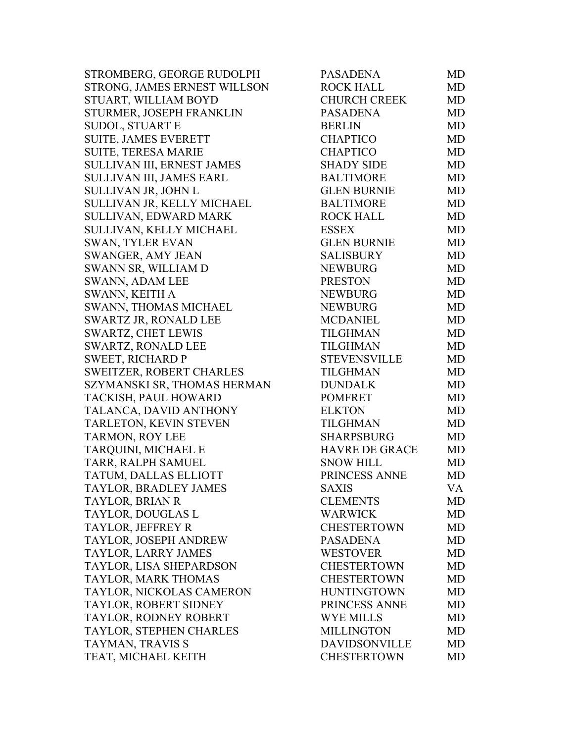| STROMBERG, GEORGE RUDOLPH       | <b>PASADENA</b>       | MD        |
|---------------------------------|-----------------------|-----------|
| STRONG, JAMES ERNEST WILLSON    | <b>ROCK HALL</b>      | <b>MD</b> |
| STUART, WILLIAM BOYD            | <b>CHURCH CREEK</b>   | <b>MD</b> |
| STURMER, JOSEPH FRANKLIN        | <b>PASADENA</b>       | <b>MD</b> |
| <b>SUDOL, STUART E</b>          | <b>BERLIN</b>         | MD        |
| <b>SUITE, JAMES EVERETT</b>     | <b>CHAPTICO</b>       | <b>MD</b> |
| <b>SUITE, TERESA MARIE</b>      | <b>CHAPTICO</b>       | <b>MD</b> |
| SULLIVAN III, ERNEST JAMES      | <b>SHADY SIDE</b>     | <b>MD</b> |
| SULLIVAN III, JAMES EARL        | <b>BALTIMORE</b>      | <b>MD</b> |
| SULLIVAN JR, JOHN L             | <b>GLEN BURNIE</b>    | <b>MD</b> |
| SULLIVAN JR, KELLY MICHAEL      | <b>BALTIMORE</b>      | <b>MD</b> |
| SULLIVAN, EDWARD MARK           | <b>ROCK HALL</b>      | MD        |
| SULLIVAN, KELLY MICHAEL         | <b>ESSEX</b>          | <b>MD</b> |
| <b>SWAN, TYLER EVAN</b>         | <b>GLEN BURNIE</b>    | <b>MD</b> |
| <b>SWANGER, AMY JEAN</b>        | <b>SALISBURY</b>      | <b>MD</b> |
| SWANN SR, WILLIAM D             | <b>NEWBURG</b>        | <b>MD</b> |
| <b>SWANN, ADAM LEE</b>          | <b>PRESTON</b>        | <b>MD</b> |
| SWANN, KEITH A                  | <b>NEWBURG</b>        | <b>MD</b> |
| <b>SWANN, THOMAS MICHAEL</b>    | <b>NEWBURG</b>        | <b>MD</b> |
| <b>SWARTZ JR, RONALD LEE</b>    | <b>MCDANIEL</b>       | <b>MD</b> |
| <b>SWARTZ, CHET LEWIS</b>       | <b>TILGHMAN</b>       | <b>MD</b> |
| <b>SWARTZ, RONALD LEE</b>       | <b>TILGHMAN</b>       | MD        |
| <b>SWEET, RICHARD P</b>         | <b>STEVENSVILLE</b>   | <b>MD</b> |
| <b>SWEITZER, ROBERT CHARLES</b> | <b>TILGHMAN</b>       | <b>MD</b> |
| SZYMANSKI SR, THOMAS HERMAN     | <b>DUNDALK</b>        | <b>MD</b> |
| TACKISH, PAUL HOWARD            | <b>POMFRET</b>        | <b>MD</b> |
| TALANCA, DAVID ANTHONY          | <b>ELKTON</b>         | <b>MD</b> |
| TARLETON, KEVIN STEVEN          | TILGHMAN              | <b>MD</b> |
| <b>TARMON, ROY LEE</b>          | <b>SHARPSBURG</b>     | <b>MD</b> |
| TARQUINI, MICHAEL E             | <b>HAVRE DE GRACE</b> | <b>MD</b> |
| TARR, RALPH SAMUEL              | <b>SNOW HILL</b>      | MD        |
| TATUM, DALLAS ELLIOTT           | PRINCESS ANNE         | <b>MD</b> |
| TAYLOR, BRADLEY JAMES           | <b>SAXIS</b>          | VA        |
| TAYLOR, BRIAN R                 | <b>CLEMENTS</b>       | MD        |
| TAYLOR, DOUGLAS L               | <b>WARWICK</b>        | <b>MD</b> |
| TAYLOR, JEFFREY R               | <b>CHESTERTOWN</b>    | MD        |
| TAYLOR, JOSEPH ANDREW           | <b>PASADENA</b>       | <b>MD</b> |
| TAYLOR, LARRY JAMES             | <b>WESTOVER</b>       | <b>MD</b> |
| TAYLOR, LISA SHEPARDSON         | <b>CHESTERTOWN</b>    | <b>MD</b> |
| TAYLOR, MARK THOMAS             | <b>CHESTERTOWN</b>    | <b>MD</b> |
| TAYLOR, NICKOLAS CAMERON        | <b>HUNTINGTOWN</b>    | MD        |
| TAYLOR, ROBERT SIDNEY           | PRINCESS ANNE         | MD        |
| TAYLOR, RODNEY ROBERT           | <b>WYE MILLS</b>      | <b>MD</b> |
| TAYLOR, STEPHEN CHARLES         | <b>MILLINGTON</b>     | <b>MD</b> |
| TAYMAN, TRAVIS S                | <b>DAVIDSONVILLE</b>  | MD        |
| TEAT, MICHAEL KEITH             | <b>CHESTERTOWN</b>    | MD        |
|                                 |                       |           |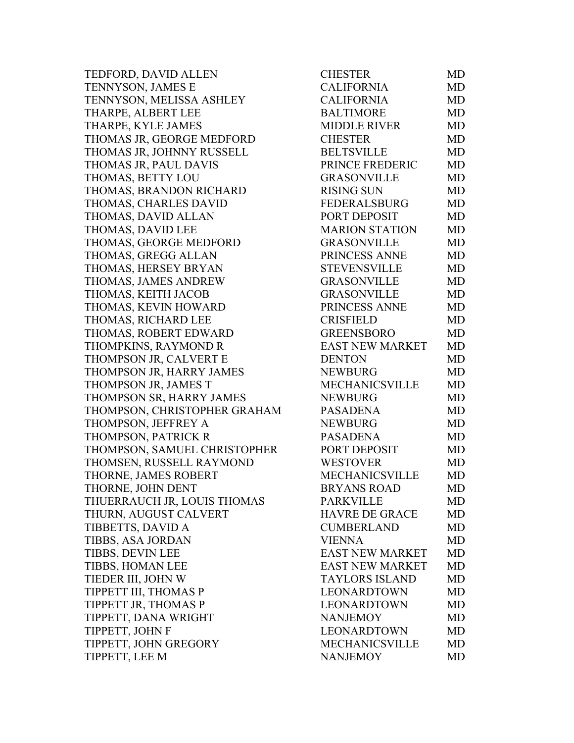TEDFORD, DAVID ALLEN TENNYSON, JAMES E TENNYSON, MELISSA ASHLEY THARPE, ALBERT LEE THARPE, KYLE JAMES THOMAS JR, GEORGE MEDFORD THOMAS JR, JOHNNY RUSSELL THOMAS JR, PAUL DAVIS THOMAS, BETTY LOU THOMAS, BRANDON RICHARD THOMAS, CHARLES DAVID THOMAS, DAVID ALLAN THOMAS, DAVID LEE THOMAS, GEORGE MEDFORD THOMAS, GREGG ALLAN THOMAS, HERSEY BRYAN THOMAS, JAMES ANDREW THOMAS, KEITH JACOB THOMAS, KEVIN HOWARD THOMAS, RICHARD LEE THOMAS, ROBERT EDWARD THOMPKINS, RAYMOND R THOMPSON JR, CALVERT E THOMPSON JR, HARRY JAMES THOMPSON JR, JAMES T THOMPSON SR, HARRY JAMES THOMPSON, CHRISTOPHER GRAHAM THOMPSON, JEFFREY A THOMPSON, PATRICK R THOMPSON, SAMUEL CHRISTOPHER THOMSEN, RUSSELL RAYMOND THORNE, JAMES ROBERT THORNE, JOHN DENT THUERRAUCH JR, LOUIS THOMAS THURN, AUGUST CALVERT TIBBETTS, DAVID A TIBBS, ASA JORDAN TIBBS, DEVIN LEE TIBBS, HOMAN LEE TIEDER III, JOHN W TIPPETT III, THOMAS P TIPPETT JR, THOMAS P TIPPETT, DANA WRIGHT TIPPETT, JOHN F TIPPETT, JOHN GREGORY TIPPETT, LEE M

| CHESTER                | MD        |
|------------------------|-----------|
| <b>CALIFORNIA</b>      | <b>MD</b> |
| <b>CALIFORNIA</b>      | MD        |
| <b>BALTIMORE</b>       | <b>MD</b> |
| <b>MIDDLE RIVER</b>    | <b>MD</b> |
| <b>CHESTER</b>         | <b>MD</b> |
| <b>BELTSVILLE</b>      | <b>MD</b> |
| PRINCE FREDERIC        | <b>MD</b> |
| <b>GRASONVILLE</b>     | <b>MD</b> |
| <b>RISING SUN</b>      | <b>MD</b> |
| <b>FEDERALSBURG</b>    | <b>MD</b> |
| PORT DEPOSIT           | <b>MD</b> |
| <b>MARION STATION</b>  | <b>MD</b> |
| <b>GRASONVILLE</b>     | <b>MD</b> |
| PRINCESS ANNE          | <b>MD</b> |
| <b>STEVENSVILLE</b>    | <b>MD</b> |
| <b>GRASONVILLE</b>     | MD        |
| <b>GRASONVILLE</b>     | <b>MD</b> |
| PRINCESS ANNE          | <b>MD</b> |
| <b>CRISFIELD</b>       | <b>MD</b> |
| <b>GREENSBORO</b>      | <b>MD</b> |
| <b>EAST NEW MARKET</b> | <b>MD</b> |
| <b>DENTON</b>          | MD        |
| <b>NEWBURG</b>         | <b>MD</b> |
| <b>MECHANICSVILLE</b>  | <b>MD</b> |
| <b>NEWBURG</b>         | <b>MD</b> |
| <b>PASADENA</b>        | <b>MD</b> |
| <b>NEWBURG</b>         | <b>MD</b> |
| <b>PASADENA</b>        | <b>MD</b> |
| PORT DEPOSIT           | <b>MD</b> |
| <b>WESTOVER</b>        | <b>MD</b> |
| <b>MECHANICSVILLE</b>  | <b>MD</b> |
| <b>BRYANS ROAD</b>     | MD        |
| <b>PARKVILLE</b>       | MD        |
| <b>HAVRE DE GRACE</b>  | <b>MD</b> |
| <b>CUMBERLAND</b>      | <b>MD</b> |
| <b>VIENNA</b>          | <b>MD</b> |
| <b>EAST NEW MARKET</b> | <b>MD</b> |
| <b>EAST NEW MARKET</b> | <b>MD</b> |
| <b>TAYLORS ISLAND</b>  | <b>MD</b> |
| <b>LEONARDTOWN</b>     | <b>MD</b> |
| <b>LEONARDTOWN</b>     | <b>MD</b> |
| <b>NANJEMOY</b>        | <b>MD</b> |
| <b>LEONARDTOWN</b>     | <b>MD</b> |
| <b>MECHANICSVILLE</b>  | <b>MD</b> |
| <b>NANJEMOY</b>        | <b>MD</b> |
|                        |           |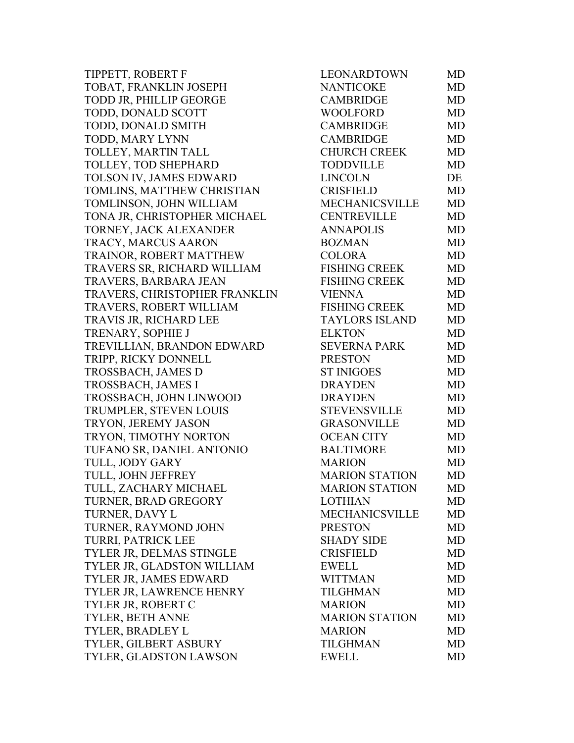TIPPETT, ROBERT F TOBAT, FRANKLIN JOSEPH TODD JR, PHILLIP GEORGE TODD, DONALD SCOTT TODD, DONALD SMITH TODD, MARY LYNN TOLLEY, MARTIN TALL TOLLEY, TOD SHEPHARD TOLSON IV, JAMES EDWARD TOMLINS, MATTHEW CHRISTIAN TOMLINSON, JOHN WILLIAM TONA JR, CHRISTOPHER MICHAEL TORNEY, JACK ALEXANDER TRACY, MARCUS AARON TRAINOR, ROBERT MATTHEW TRAVERS SR, RICHARD WILLIAM TRAVERS, BARBARA JEAN TRAVERS, CHRISTOPHER FRANKLIN TRAVERS, ROBERT WILLIAM TRAVIS JR, RICHARD LEE TRENARY, SOPHIE J TREVILLIAN, BRANDON EDWARD TRIPP, RICKY DONNELL TROSSBACH, JAMES D TROSSBACH, JAMES I TROSSBACH, JOHN LINWOOD TRUMPLER, STEVEN LOUIS TRYON, JEREMY JASON TRYON, TIMOTHY NORTON TUFANO SR, DANIEL ANTONIO TULL, JODY GARY TULL, JOHN JEFFREY TULL, ZACHARY MICHAEL TURNER, BRAD GREGORY TURNER, DAVY L TURNER, RAYMOND JOHN TURRI, PATRICK LEE TYLER JR, DELMAS STINGLE TYLER JR, GLADSTON WILLIAM TYLER JR, JAMES EDWARD TYLER JR, LAWRENCE HENRY TYLER JR, ROBERT C TYLER, BETH ANNE TYLER, BRADLEY L TYLER, GILBERT ASBURY TYLER, GLADSTON LAWSON

| <b>LEONARDTOWN</b>    | MD        |
|-----------------------|-----------|
| <b>NANTICOKE</b>      | <b>MD</b> |
| <b>CAMBRIDGE</b>      | <b>MD</b> |
| <b>WOOLFORD</b>       | MD        |
| <b>CAMBRIDGE</b>      | <b>MD</b> |
| <b>CAMBRIDGE</b>      | <b>MD</b> |
| <b>CHURCH CREEK</b>   | <b>MD</b> |
| <b>TODDVILLE</b>      | <b>MD</b> |
| <b>LINCOLN</b>        | DE        |
| <b>CRISFIELD</b>      | MD        |
| MECHANICSVILLE        | MD        |
| <b>CENTREVILLE</b>    | <b>MD</b> |
| <b>ANNAPOLIS</b>      | <b>MD</b> |
| <b>BOZMAN</b>         | <b>MD</b> |
| <b>COLORA</b>         | <b>MD</b> |
| <b>FISHING CREEK</b>  | <b>MD</b> |
| <b>FISHING CREEK</b>  | MD        |
| <b>VIENNA</b>         | <b>MD</b> |
| <b>FISHING CREEK</b>  | <b>MD</b> |
| <b>TAYLORS ISLAND</b> | <b>MD</b> |
| <b>ELKTON</b>         | <b>MD</b> |
| <b>SEVERNA PARK</b>   | <b>MD</b> |
| <b>PRESTON</b>        | <b>MD</b> |
| <b>ST INIGOES</b>     | MD        |
| <b>DRAYDEN</b>        | <b>MD</b> |
| <b>DRAYDEN</b>        | <b>MD</b> |
| <b>STEVENSVILLE</b>   | <b>MD</b> |
| <b>GRASONVILLE</b>    | <b>MD</b> |
| <b>OCEAN CITY</b>     | <b>MD</b> |
| <b>BALTIMORE</b>      | <b>MD</b> |
| <b>MARION</b>         | MD        |
| <b>MARION STATION</b> | <b>MD</b> |
| <b>MARION STATION</b> | MD        |
| <b>LOTHIAN</b>        | MD        |
| <b>MECHANICSVILLE</b> | <b>MD</b> |
| <b>PRESTON</b>        | MD        |
| <b>SHADY SIDE</b>     | <b>MD</b> |
| <b>CRISFIELD</b>      | <b>MD</b> |
| <b>EWELL</b>          | MD        |
| <b>WITTMAN</b>        | <b>MD</b> |
| <b>TILGHMAN</b>       | <b>MD</b> |
| <b>MARION</b>         | <b>MD</b> |
| <b>MARION STATION</b> | <b>MD</b> |
| <b>MARION</b>         | MD        |
| <b>TILGHMAN</b>       | <b>MD</b> |
| <b>EWELL</b>          | MD        |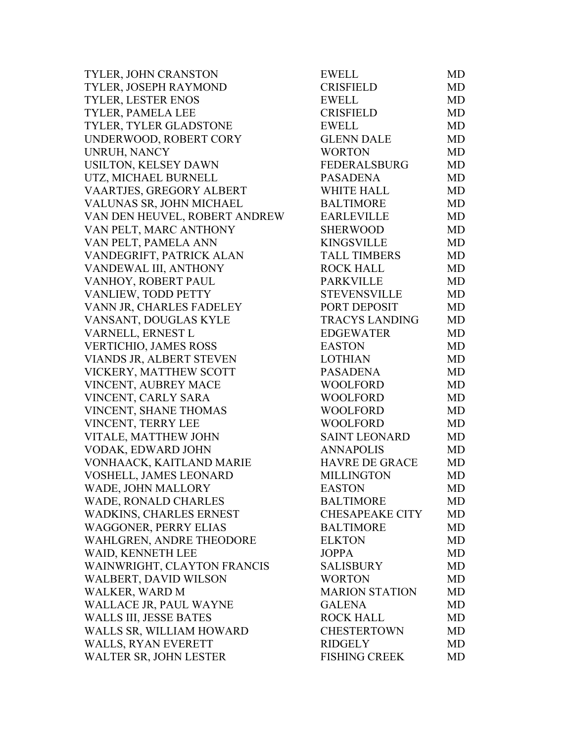| TYLER, JOHN CRANSTON          | <b>EWELL</b>           | MD        |
|-------------------------------|------------------------|-----------|
| TYLER, JOSEPH RAYMOND         | <b>CRISFIELD</b>       | MD        |
| <b>TYLER, LESTER ENOS</b>     | <b>EWELL</b>           | MD        |
| TYLER, PAMELA LEE             | <b>CRISFIELD</b>       | <b>MD</b> |
| TYLER, TYLER GLADSTONE        | <b>EWELL</b>           | <b>MD</b> |
| UNDERWOOD, ROBERT CORY        | <b>GLENN DALE</b>      | MD        |
| UNRUH, NANCY                  | <b>WORTON</b>          | <b>MD</b> |
| USILTON, KELSEY DAWN          | <b>FEDERALSBURG</b>    | <b>MD</b> |
| UTZ, MICHAEL BURNELL          | <b>PASADENA</b>        | <b>MD</b> |
| VAARTJES, GREGORY ALBERT      | <b>WHITE HALL</b>      | <b>MD</b> |
| VALUNAS SR, JOHN MICHAEL      | <b>BALTIMORE</b>       | <b>MD</b> |
| VAN DEN HEUVEL, ROBERT ANDREW | <b>EARLEVILLE</b>      | MD        |
| VAN PELT, MARC ANTHONY        | <b>SHERWOOD</b>        | <b>MD</b> |
| VAN PELT, PAMELA ANN          | <b>KINGSVILLE</b>      | <b>MD</b> |
| VANDEGRIFT, PATRICK ALAN      | <b>TALL TIMBERS</b>    | <b>MD</b> |
| VANDEWAL III, ANTHONY         | <b>ROCK HALL</b>       | <b>MD</b> |
| VANHOY, ROBERT PAUL           | <b>PARKVILLE</b>       | <b>MD</b> |
| VANLIEW, TODD PETTY           | <b>STEVENSVILLE</b>    | <b>MD</b> |
| VANN JR, CHARLES FADELEY      | PORT DEPOSIT           | <b>MD</b> |
| VANSANT, DOUGLAS KYLE         | <b>TRACYS LANDING</b>  | <b>MD</b> |
| VARNELL, ERNEST L             | <b>EDGEWATER</b>       | <b>MD</b> |
| VERTICHIO, JAMES ROSS         | <b>EASTON</b>          | <b>MD</b> |
| VIANDS JR, ALBERT STEVEN      | <b>LOTHIAN</b>         | <b>MD</b> |
| VICKERY, MATTHEW SCOTT        | PASADENA               | MD        |
| VINCENT, AUBREY MACE          | <b>WOOLFORD</b>        | <b>MD</b> |
| VINCENT, CARLY SARA           | <b>WOOLFORD</b>        | <b>MD</b> |
| VINCENT, SHANE THOMAS         | <b>WOOLFORD</b>        | <b>MD</b> |
| VINCENT, TERRY LEE            | <b>WOOLFORD</b>        | <b>MD</b> |
| VITALE, MATTHEW JOHN          | <b>SAINT LEONARD</b>   | <b>MD</b> |
| VODAK, EDWARD JOHN            | <b>ANNAPOLIS</b>       | <b>MD</b> |
| VONHAACK, KAITLAND MARIE      | <b>HAVRE DE GRACE</b>  | <b>MD</b> |
| VOSHELL, JAMES LEONARD        | <b>MILLINGTON</b>      | MD        |
| WADE, JOHN MALLORY            | <b>EASTON</b>          | MD        |
| WADE, RONALD CHARLES          | <b>BALTIMORE</b>       | MD        |
| WADKINS, CHARLES ERNEST       | <b>CHESAPEAKE CITY</b> | MD        |
| <b>WAGGONER, PERRY ELIAS</b>  | <b>BALTIMORE</b>       | MD        |
| WAHLGREN, ANDRE THEODORE      | <b>ELKTON</b>          | MD        |
| WAID, KENNETH LEE             | <b>JOPPA</b>           | <b>MD</b> |
| WAINWRIGHT, CLAYTON FRANCIS   | <b>SALISBURY</b>       | <b>MD</b> |
| <b>WALBERT, DAVID WILSON</b>  | <b>WORTON</b>          | MD        |
| WALKER, WARD M                | <b>MARION STATION</b>  | MD        |
| WALLACE JR, PAUL WAYNE        | <b>GALENA</b>          | MD        |
| <b>WALLS III, JESSE BATES</b> | <b>ROCK HALL</b>       | MD        |
| WALLS SR, WILLIAM HOWARD      | <b>CHESTERTOWN</b>     | MD        |
| <b>WALLS, RYAN EVERETT</b>    | <b>RIDGELY</b>         | <b>MD</b> |
| WALTER SR, JOHN LESTER        | <b>FISHING CREEK</b>   | MD        |
|                               |                        |           |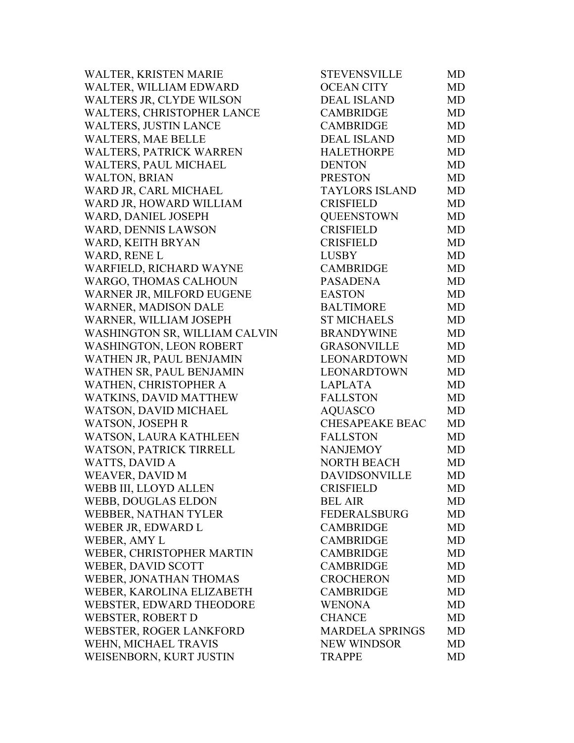| WALTER, KRISTEN MARIE          | <b>STEVENSVILLE</b>    | MD        |
|--------------------------------|------------------------|-----------|
| WALTER, WILLIAM EDWARD         | <b>OCEAN CITY</b>      | <b>MD</b> |
| WALTERS JR, CLYDE WILSON       | <b>DEAL ISLAND</b>     | <b>MD</b> |
| WALTERS, CHRISTOPHER LANCE     | <b>CAMBRIDGE</b>       | <b>MD</b> |
| <b>WALTERS, JUSTIN LANCE</b>   | <b>CAMBRIDGE</b>       | <b>MD</b> |
| <b>WALTERS, MAE BELLE</b>      | DEAL ISLAND            | <b>MD</b> |
| WALTERS, PATRICK WARREN        | <b>HALETHORPE</b>      | <b>MD</b> |
| WALTERS, PAUL MICHAEL          | <b>DENTON</b>          | <b>MD</b> |
| <b>WALTON, BRIAN</b>           | <b>PRESTON</b>         | MD        |
| WARD JR, CARL MICHAEL          | <b>TAYLORS ISLAND</b>  | <b>MD</b> |
| WARD JR, HOWARD WILLIAM        | <b>CRISFIELD</b>       | <b>MD</b> |
| WARD, DANIEL JOSEPH            | <b>QUEENSTOWN</b>      | MD        |
| WARD, DENNIS LAWSON            | <b>CRISFIELD</b>       | <b>MD</b> |
| WARD, KEITH BRYAN              | <b>CRISFIELD</b>       | <b>MD</b> |
| <b>WARD, RENE L</b>            | <b>LUSBY</b>           | <b>MD</b> |
| WARFIELD, RICHARD WAYNE        | CAMBRIDGE              | <b>MD</b> |
| WARGO, THOMAS CALHOUN          | <b>PASADENA</b>        | <b>MD</b> |
| WARNER JR, MILFORD EUGENE      | <b>EASTON</b>          | <b>MD</b> |
| <b>WARNER, MADISON DALE</b>    | <b>BALTIMORE</b>       | <b>MD</b> |
| WARNER, WILLIAM JOSEPH         | <b>ST MICHAELS</b>     | <b>MD</b> |
| WASHINGTON SR, WILLIAM CALVIN  | <b>BRANDYWINE</b>      | <b>MD</b> |
| <b>WASHINGTON, LEON ROBERT</b> | <b>GRASONVILLE</b>     | MD        |
| WATHEN JR, PAUL BENJAMIN       | LEONARDTOWN            | <b>MD</b> |
| WATHEN SR, PAUL BENJAMIN       | <b>LEONARDTOWN</b>     | MD        |
| WATHEN, CHRISTOPHER A          | <b>LAPLATA</b>         | <b>MD</b> |
| WATKINS, DAVID MATTHEW         | <b>FALLSTON</b>        | <b>MD</b> |
| WATSON, DAVID MICHAEL          | AQUASCO                | <b>MD</b> |
| <b>WATSON, JOSEPH R</b>        | <b>CHESAPEAKE BEAC</b> | <b>MD</b> |
| WATSON, LAURA KATHLEEN         | <b>FALLSTON</b>        | <b>MD</b> |
| <b>WATSON, PATRICK TIRRELL</b> | <b>NANJEMOY</b>        | <b>MD</b> |
| <b>WATTS, DAVID A</b>          | NORTH BEACH            | <b>MD</b> |
| WEAVER, DAVID M                | <b>DAVIDSONVILLE</b>   | <b>MD</b> |
| WEBB III, LLOYD ALLEN          | <b>CRISFIELD</b>       | MD        |
| <b>WEBB, DOUGLAS ELDON</b>     | <b>BEL AIR</b>         | MD        |
| WEBBER, NATHAN TYLER           | <b>FEDERALSBURG</b>    | <b>MD</b> |
| WEBER JR, EDWARD L             | <b>CAMBRIDGE</b>       | MD        |
| WEBER, AMY L                   | <b>CAMBRIDGE</b>       | <b>MD</b> |
| WEBER, CHRISTOPHER MARTIN      | <b>CAMBRIDGE</b>       | <b>MD</b> |
| <b>WEBER, DAVID SCOTT</b>      | <b>CAMBRIDGE</b>       | <b>MD</b> |
| WEBER, JONATHAN THOMAS         | <b>CROCHERON</b>       | <b>MD</b> |
| WEBER, KAROLINA ELIZABETH      | <b>CAMBRIDGE</b>       | <b>MD</b> |
| WEBSTER, EDWARD THEODORE       | <b>WENONA</b>          | MD        |
| <b>WEBSTER, ROBERT D</b>       | <b>CHANCE</b>          | <b>MD</b> |
| <b>WEBSTER, ROGER LANKFORD</b> | <b>MARDELA SPRINGS</b> | <b>MD</b> |
| WEHN, MICHAEL TRAVIS           | <b>NEW WINDSOR</b>     | MD        |
| WEISENBORN, KURT JUSTIN        | <b>TRAPPE</b>          | <b>MD</b> |
|                                |                        |           |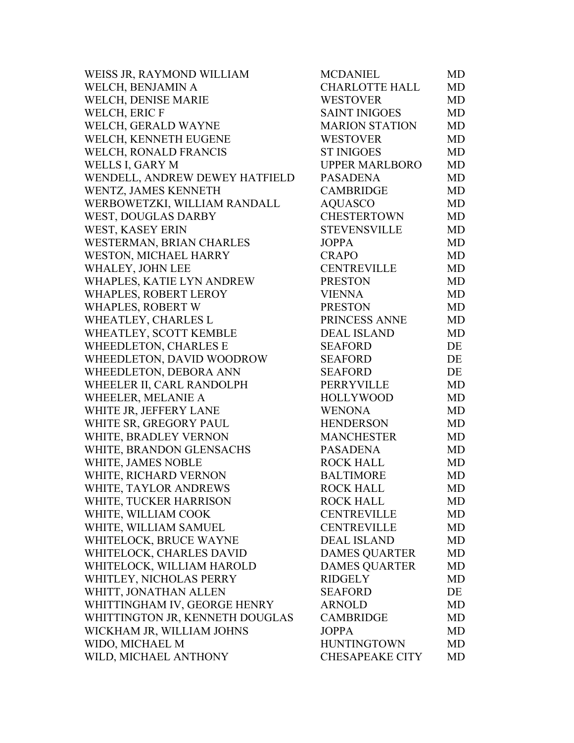| WEISS JR, RAYMOND WILLIAM       | <b>MCDANIEL</b>        | MD |
|---------------------------------|------------------------|----|
| WELCH, BENJAMIN A               | <b>CHARLOTTE HALL</b>  | MD |
| WELCH, DENISE MARIE             | <b>WESTOVER</b>        | MD |
| WELCH, ERIC F                   | <b>SAINT INIGOES</b>   | MD |
| WELCH, GERALD WAYNE             | <b>MARION STATION</b>  | MD |
| WELCH, KENNETH EUGENE           | <b>WESTOVER</b>        | MD |
| WELCH, RONALD FRANCIS           | <b>ST INIGOES</b>      | MD |
| WELLS I, GARY M                 | <b>UPPER MARLBORO</b>  | MD |
| WENDELL, ANDREW DEWEY HATFIELD  | <b>PASADENA</b>        | MD |
| WENTZ, JAMES KENNETH            | <b>CAMBRIDGE</b>       | MD |
| WERBOWETZKI, WILLIAM RANDALL    | <b>AQUASCO</b>         | MD |
| WEST, DOUGLAS DARBY             | <b>CHESTERTOWN</b>     | MD |
| WEST, KASEY ERIN                | <b>STEVENSVILLE</b>    | MD |
| WESTERMAN, BRIAN CHARLES        | <b>JOPPA</b>           | MD |
| WESTON, MICHAEL HARRY           | <b>CRAPO</b>           | MD |
| WHALEY, JOHN LEE                | <b>CENTREVILLE</b>     | MD |
| WHAPLES, KATIE LYN ANDREW       | <b>PRESTON</b>         | MD |
| WHAPLES, ROBERT LEROY           | <b>VIENNA</b>          | MD |
| WHAPLES, ROBERT W               | <b>PRESTON</b>         | MD |
| WHEATLEY, CHARLES L             | PRINCESS ANNE          | MD |
| WHEATLEY, SCOTT KEMBLE          | <b>DEAL ISLAND</b>     | MD |
| WHEEDLETON, CHARLES E           | <b>SEAFORD</b>         | DE |
| WHEEDLETON, DAVID WOODROW       | <b>SEAFORD</b>         | DE |
| WHEEDLETON, DEBORA ANN          | <b>SEAFORD</b>         | DE |
| WHEELER II, CARL RANDOLPH       | PERRYVILLE             | MD |
| WHEELER, MELANIE A              | <b>HOLLYWOOD</b>       | MD |
| WHITE JR, JEFFERY LANE          | <b>WENONA</b>          | MD |
| WHITE SR, GREGORY PAUL          | <b>HENDERSON</b>       | MD |
| WHITE, BRADLEY VERNON           | <b>MANCHESTER</b>      | MD |
| WHITE, BRANDON GLENSACHS        | <b>PASADENA</b>        | MD |
| WHITE, JAMES NOBLE              | <b>ROCK HALL</b>       | MD |
| WHITE, RICHARD VERNON           | <b>BALTIMORE</b>       | MD |
| WHITE, TAYLOR ANDREWS           | ROCK HALL              | MD |
| WHITE, TUCKER HARRISON          | <b>ROCK HALL</b>       | MD |
| WHITE, WILLIAM COOK             | <b>CENTREVILLE</b>     | MD |
| WHITE, WILLIAM SAMUEL           | <b>CENTREVILLE</b>     | MD |
| WHITELOCK, BRUCE WAYNE          | <b>DEAL ISLAND</b>     | MD |
| WHITELOCK, CHARLES DAVID        | <b>DAMES QUARTER</b>   | MD |
| WHITELOCK, WILLIAM HAROLD       | <b>DAMES QUARTER</b>   | MD |
| WHITLEY, NICHOLAS PERRY         | <b>RIDGELY</b>         | MD |
| WHITT, JONATHAN ALLEN           | <b>SEAFORD</b>         | DE |
| WHITTINGHAM IV, GEORGE HENRY    | <b>ARNOLD</b>          | MD |
| WHITTINGTON JR, KENNETH DOUGLAS | <b>CAMBRIDGE</b>       | MD |
| WICKHAM JR, WILLIAM JOHNS       | <b>JOPPA</b>           | MD |
| WIDO, MICHAEL M                 | <b>HUNTINGTOWN</b>     | MD |
| WILD, MICHAEL ANTHONY           | <b>CHESAPEAKE CITY</b> | MD |
|                                 |                        |    |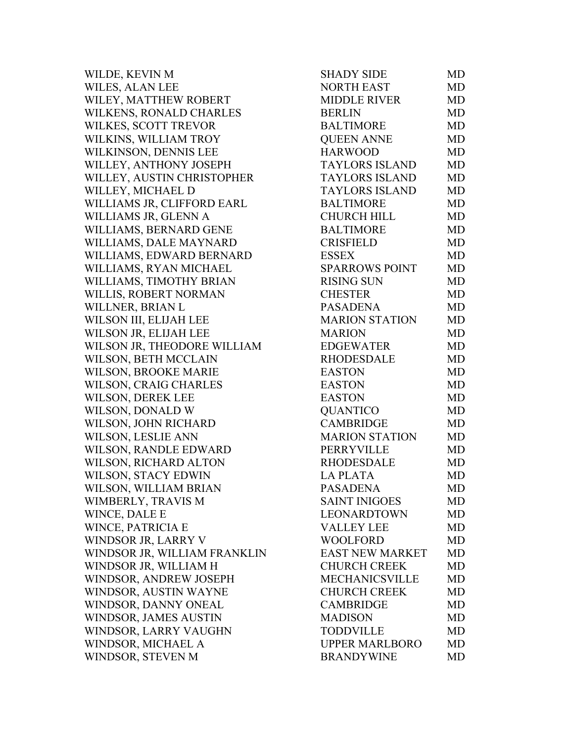| WILDE, KEVIN M               | <b>SHADY SIDE</b>      | MD        |
|------------------------------|------------------------|-----------|
| WILES, ALAN LEE              | <b>NORTH EAST</b>      | <b>MD</b> |
| WILEY, MATTHEW ROBERT        | <b>MIDDLE RIVER</b>    | <b>MD</b> |
| WILKENS, RONALD CHARLES      | <b>BERLIN</b>          | <b>MD</b> |
| WILKES, SCOTT TREVOR         | <b>BALTIMORE</b>       | MD        |
| WILKINS, WILLIAM TROY        | <b>QUEEN ANNE</b>      | <b>MD</b> |
| WILKINSON, DENNIS LEE        | <b>HARWOOD</b>         | <b>MD</b> |
| WILLEY, ANTHONY JOSEPH       | <b>TAYLORS ISLAND</b>  | <b>MD</b> |
| WILLEY, AUSTIN CHRISTOPHER   | <b>TAYLORS ISLAND</b>  | <b>MD</b> |
| WILLEY, MICHAEL D            | <b>TAYLORS ISLAND</b>  | <b>MD</b> |
| WILLIAMS JR, CLIFFORD EARL   | <b>BALTIMORE</b>       | <b>MD</b> |
| WILLIAMS JR, GLENN A         | <b>CHURCH HILL</b>     | MD        |
| WILLIAMS, BERNARD GENE       | <b>BALTIMORE</b>       | <b>MD</b> |
| WILLIAMS, DALE MAYNARD       | <b>CRISFIELD</b>       | <b>MD</b> |
| WILLIAMS, EDWARD BERNARD     | <b>ESSEX</b>           | <b>MD</b> |
| WILLIAMS, RYAN MICHAEL       | <b>SPARROWS POINT</b>  | <b>MD</b> |
| WILLIAMS, TIMOTHY BRIAN      | <b>RISING SUN</b>      | <b>MD</b> |
| WILLIS, ROBERT NORMAN        | <b>CHESTER</b>         | MD        |
| WILLNER, BRIAN L             | <b>PASADENA</b>        | <b>MD</b> |
| WILSON III, ELIJAH LEE       | <b>MARION STATION</b>  | <b>MD</b> |
| WILSON JR, ELIJAH LEE        | <b>MARION</b>          | <b>MD</b> |
| WILSON JR, THEODORE WILLIAM  | <b>EDGEWATER</b>       | <b>MD</b> |
| WILSON, BETH MCCLAIN         | <b>RHODESDALE</b>      | <b>MD</b> |
| WILSON, BROOKE MARIE         | <b>EASTON</b>          | <b>MD</b> |
| WILSON, CRAIG CHARLES        | <b>EASTON</b>          | MD        |
| WILSON, DEREK LEE            | <b>EASTON</b>          | MD        |
| WILSON, DONALD W             | <b>QUANTICO</b>        | <b>MD</b> |
| WILSON, JOHN RICHARD         | <b>CAMBRIDGE</b>       | <b>MD</b> |
| WILSON, LESLIE ANN           | <b>MARION STATION</b>  | <b>MD</b> |
| WILSON, RANDLE EDWARD        | PERRYVILLE             | <b>MD</b> |
| WILSON, RICHARD ALTON        | <b>RHODESDALE</b>      | MD        |
| <b>WILSON, STACY EDWIN</b>   | <b>LA PLATA</b>        | MD        |
| WILSON, WILLIAM BRIAN        | <b>PASADENA</b>        | MD        |
| WIMBERLY, TRAVIS M           | <b>SAINT INIGOES</b>   | MD        |
| WINCE, DALE E                | <b>LEONARDTOWN</b>     | MD        |
| <b>WINCE, PATRICIA E</b>     | <b>VALLEY LEE</b>      | <b>MD</b> |
| WINDSOR JR, LARRY V          | <b>WOOLFORD</b>        | <b>MD</b> |
| WINDSOR JR, WILLIAM FRANKLIN | <b>EAST NEW MARKET</b> | <b>MD</b> |
| WINDSOR JR, WILLIAM H        | <b>CHURCH CREEK</b>    | <b>MD</b> |
| WINDSOR, ANDREW JOSEPH       | <b>MECHANICSVILLE</b>  | <b>MD</b> |
| WINDSOR, AUSTIN WAYNE        | <b>CHURCH CREEK</b>    | MD        |
| WINDSOR, DANNY ONEAL         | <b>CAMBRIDGE</b>       | MD        |
| WINDSOR, JAMES AUSTIN        | <b>MADISON</b>         | MD        |
| WINDSOR, LARRY VAUGHN        | <b>TODDVILLE</b>       | <b>MD</b> |
| WINDSOR, MICHAEL A           | <b>UPPER MARLBORO</b>  | MD        |
| WINDSOR, STEVEN M            | <b>BRANDYWINE</b>      | MD        |
|                              |                        |           |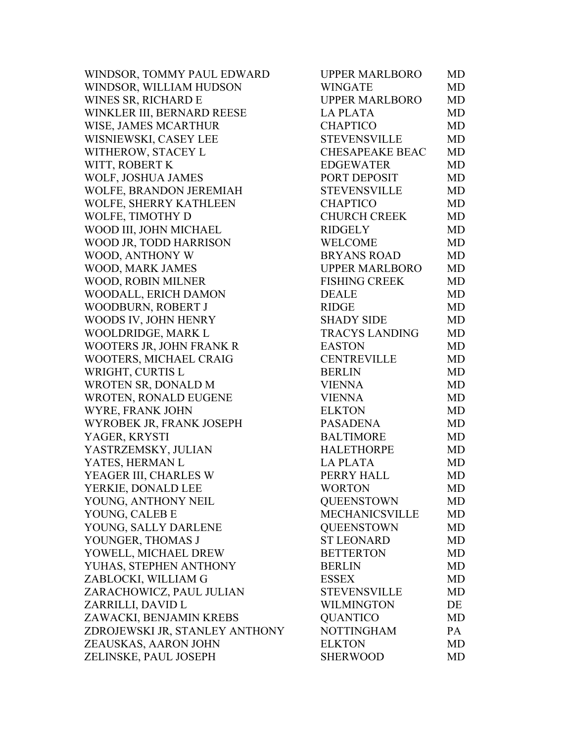| WINDSOR, TOMMY PAUL EDWARD     | <b>UPPER MARLBORO</b>  | MD        |
|--------------------------------|------------------------|-----------|
| WINDSOR, WILLIAM HUDSON        | <b>WINGATE</b>         | MD        |
| WINES SR, RICHARD E            | <b>UPPER MARLBORO</b>  | MD        |
| WINKLER III, BERNARD REESE     | <b>LA PLATA</b>        | MD        |
| <b>WISE, JAMES MCARTHUR</b>    | <b>CHAPTICO</b>        | MD        |
| WISNIEWSKI, CASEY LEE          | <b>STEVENSVILLE</b>    | MD        |
| WITHEROW, STACEY L             | <b>CHESAPEAKE BEAC</b> | MD        |
| WITT, ROBERT K                 | <b>EDGEWATER</b>       | MD        |
| WOLF, JOSHUA JAMES             | PORT DEPOSIT           | <b>MD</b> |
| WOLFE, BRANDON JEREMIAH        | <b>STEVENSVILLE</b>    | MD        |
| WOLFE, SHERRY KATHLEEN         | <b>CHAPTICO</b>        | MD        |
| WOLFE, TIMOTHY D               | <b>CHURCH CREEK</b>    | <b>MD</b> |
| WOOD III, JOHN MICHAEL         | <b>RIDGELY</b>         | MD        |
| WOOD JR, TODD HARRISON         | <b>WELCOME</b>         | MD        |
| WOOD, ANTHONY W                | <b>BRYANS ROAD</b>     | <b>MD</b> |
| WOOD, MARK JAMES               | <b>UPPER MARLBORO</b>  | MD        |
| WOOD, ROBIN MILNER             | <b>FISHING CREEK</b>   | MD        |
| WOODALL, ERICH DAMON           | <b>DEALE</b>           | MD        |
| WOODBURN, ROBERT J             | <b>RIDGE</b>           | MD        |
| WOODS IV, JOHN HENRY           | <b>SHADY SIDE</b>      | MD        |
| WOOLDRIDGE, MARK L             | <b>TRACYS LANDING</b>  | MD        |
| WOOTERS JR, JOHN FRANK R       | <b>EASTON</b>          | MD        |
| WOOTERS, MICHAEL CRAIG         | <b>CENTREVILLE</b>     | MD        |
| WRIGHT, CURTIS L               | <b>BERLIN</b>          | MD        |
| WROTEN SR, DONALD M            | <b>VIENNA</b>          | MD        |
| <b>WROTEN, RONALD EUGENE</b>   | <b>VIENNA</b>          | MD        |
| WYRE, FRANK JOHN               | <b>ELKTON</b>          | MD        |
| WYROBEK JR, FRANK JOSEPH       | PASADENA               | MD        |
| YAGER, KRYSTI                  | <b>BALTIMORE</b>       | MD        |
| YASTRZEMSKY, JULIAN            | <b>HALETHORPE</b>      | MD        |
| YATES, HERMAN L                | <b>LAPLATA</b>         | MD        |
| YEAGER III, CHARLES W          | PERRY HALL             | MD        |
| YERKIE, DONALD LEE             | <b>WORTON</b>          | MD        |
| YOUNG, ANTHONY NEIL            | <b>QUEENSTOWN</b>      | MD        |
| YOUNG, CALEB E                 | <b>MECHANICSVILLE</b>  | MD        |
| YOUNG, SALLY DARLENE           | <b>QUEENSTOWN</b>      | MD        |
| YOUNGER, THOMAS J              | <b>ST LEONARD</b>      | MD        |
| YOWELL, MICHAEL DREW           | <b>BETTERTON</b>       | MD        |
| YUHAS, STEPHEN ANTHONY         | <b>BERLIN</b>          | MD        |
| ZABLOCKI, WILLIAM G            | <b>ESSEX</b>           | MD        |
| ZARACHOWICZ, PAUL JULIAN       | <b>STEVENSVILLE</b>    | MD        |
| ZARRILLI, DAVID L              | <b>WILMINGTON</b>      | DE        |
| ZAWACKI, BENJAMIN KREBS        | <b>QUANTICO</b>        | MD        |
| ZDROJEWSKI JR, STANLEY ANTHONY | <b>NOTTINGHAM</b>      | PA        |
| ZEAUSKAS, AARON JOHN           | <b>ELKTON</b>          | MD        |
| ZELINSKE, PAUL JOSEPH          | <b>SHERWOOD</b>        | MD        |
|                                |                        |           |